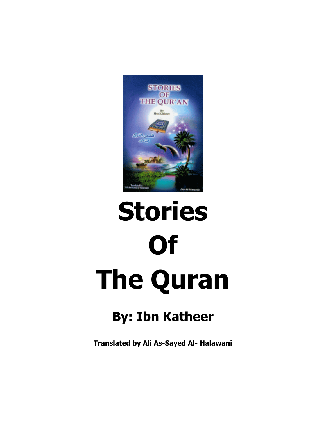

# **Stories Of The Quran**

## **By: Ibn Katheer**

**Translated by Ali As-Sayed Al- Halawani**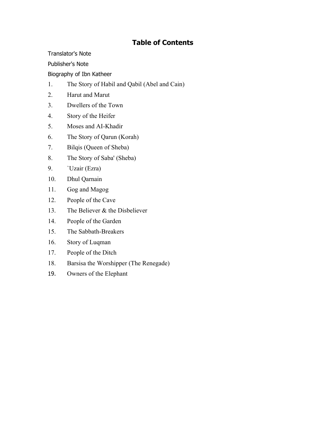#### **Table of Contents**

Translator's Note

Publisher's Note

Biography of Ibn Katheer

- 1. The Story of Habil and Qabil (Abel and Cain)
- 2. Harut and Marut
- 3. Dwellers of the Town
- 4. Story of the Heifer
- 5. Moses and AI-Khadir
- 6. The Story of Qarun (Korah)
- 7. Bilqis (Queen of Sheba)
- 8. The Story of Saba' (Sheba)
- 9. `Uzair (Ezra)
- 10. Dhul Qarnain
- 11. Gog and Magog
- 12. People of the Cave
- 13. The Believer & the Disbeliever
- 14. People of the Garden
- 15. The Sabbath-Breakers
- 16. Story of Luqman
- 17. People of the Ditch
- 18. Barsisa the Worshipper (The Renegade)
- 19. Owners of the Elephant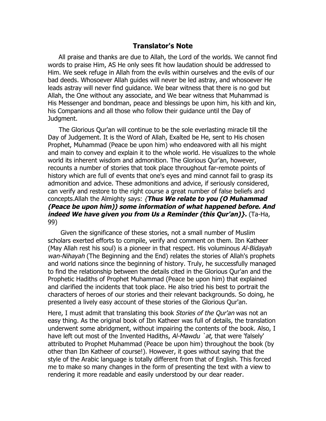#### **Translator's Note**

All praise and thanks are due to Allah, the Lord of the worlds. We cannot find words to praise Him, AS He only sees fit how laudation should be addressed to Him. We seek refuge in Allah from the evils within ourselves and the evils of our bad deeds. Whosoever Allah guides will never be led astray, and whosoever He leads astray will never find guidance. We bear witness that there is no god but Allah, the One without any associate, and We bear witness that Muhammad is His Messenger and bondman, peace and blessings be upon him, his kith and kin, his Companions and all those who follow their guidance until the Day of Judgment.

The Glorious Qur'an will continue to be the sole everlasting miracle till the Day of Judgement. It is the Word of Allah, Exalted be He, sent to His chosen Prophet, Muhammad (Peace be upon him) who endeavored with all his might and main to convey and explain it to the whole world. He visualizes to the whole world its inherent wisdom and admonition. The Glorious Qur'an, however, recounts a number of stories that took place throughout far-remote points of history which are full of events that one's eyes and mind cannot fail to grasp its admonition and advice. These admonitions and advice, if seriously considered, can verify and restore to the right course a great number of false beliefs and concepts.Allah the Almighty says: {**Thus We relate to you (O Muhammad (Peace be upon him)) some information of what happened before. And indeed We have given you from Us a Reminder (this Qur'an)}.** (Ta-Ha, 99)

Given the significance of these stories, not a small number of Muslim scholars exerted efforts to compile, verify and comment on them. Ibn Katheer (May Allah rest his soul) is a pioneer in that respect. His voluminous Al-Bidayah wan-Nihayah (The Beginning and the End) relates the stories of Allah's prophets and world nations since the beginning of history. Truly, he successfully managed to find the relationship between the details cited in the Glorious Qur'an and the Prophetic Hadiths of Prophet Muhammad (Peace be upon him) that explained and clarified the incidents that took place. He also tried his best to portrait the characters of heroes of our stories and their relevant backgrounds. So doing, he presented a lively easy account of these stories of the Glorious Qur'an.

Here, I must admit that translating this book Stories of the Qur'an was not an easy thing. As the original book of Ibn Katheer was full of details, the translation underwent some abridgment, without impairing the contents of the book. Also, I have left out most of the Invented Hadiths, Al-Mawdu `at, that were 'falsely' attributed to Prophet Muhammad (Peace be upon him) throughout the book (by other than Ibn Katheer of course!). However, it goes without saying that the style of the Arabic language is totally different from that of English. This forced me to make so many changes in the form of presenting the text with a view to rendering it more readable and easily understood by our dear reader.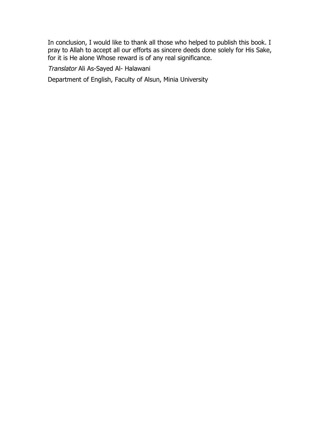In conclusion, I would like to thank all those who helped to publish this book. I pray to Allah to accept all our efforts as sincere deeds done solely for His Sake, for it is He alone Whose reward is of any real significance.

Translator Ali As-Sayed Al- Halawani

Department of English, Faculty of Alsun, Minia University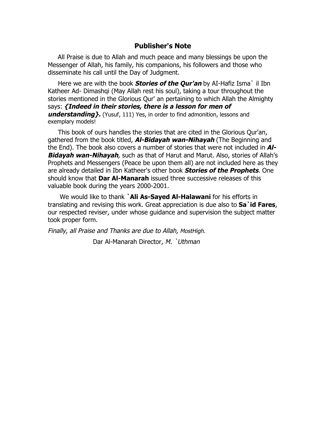#### **Publisher's Note**

All Praise is due to Allah and much peace and many blessings be upon the Messenger of Allah, his family, his companions, his followers and those who disseminate his call until the Day of Judgment.

Here we are with the book **Stories of the Qur'an** by AI-Hafiz Isma` il Ibn Katheer Ad- Dimashqi (May Allah rest his soul), taking a tour throughout the stories mentioned in the Glorious Qur' an pertaining to which Allah the Almighty says: **{Indeed in their stories, there is a lesson for men of understanding }.** (Yusuf, 111) Yes, in order to find admonition, lessons and exemplary models!

This book of ours handles the stories that are cited in the Glorious Qur'an, gathered from the book titled, **Al-Bidayah wan-Nihayah** (The Beginning and the End). The book also covers a number of stories that were not included in **Al-Bidayah wan-Nihayah**, such as that of Harut and Marut. Also, stories of Allah's Prophets and Messengers (Peace be upon them all) are not included here as they are already detailed in Ibn Katheer's other book **Stories of the Prophets**. One should know that **Dar Al-Manarah** issued three successive releases of this valuable book during the years 2000-2001.

We would like to thank **`Ali As-Sayed Al-Halawani** for his efforts in translating and revising this work. Great appreciation is due also to **Sa`id Fares**, our respected reviser, under whose guidance and supervision the subject matter took proper form.

Finally, all Praise and Thanks are due to Allah, MostHigh.

Dar Al-Manarah Director, M. `Uthman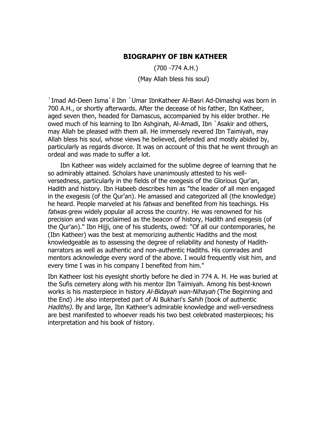#### **BIOGRAPHY OF IBN KATHEER**

 (700 -774 A.H.) (May Allah bless his soul)

`Imad Ad-Deen Isma`il Ibn `Umar IbnKatheer Al-Basri Ad-Dimashqi was born in 700 A.H., or shortly afterwards. After the decease of his father, Ibn Katheer, aged seven then, headed for Damascus, accompanied by his elder brother. He owed much of his learning to Ibn Ashginah, Al-Amadi, Ibn `Asakir and others, may Allah be pleased with them all. He immensely revered Ibn Taimiyah, may Allah bless his soul, whose views he believed, defended and mostly abided by, particularly as regards divorce. It was on account of this that he went through an ordeal and was made to suffer a lot.

Ibn Katheer was widely acclaimed for the sublime degree of learning that he so admirably attained. Scholars have unanimously attested to his wellversedness, particularly in the fields of the exegesis of the Glorious Qur'an, Hadith and history. Ibn Habeeb describes him as "the leader of all men engaged in the exegesis (of the Qur'an). He amassed and categorized all (the knowledge) he heard. People marveled at his *fatwas* and benefited from his teachings. His fatwas grew widely popular all across the country. He was renowned for his precision and was proclaimed as the beacon of history, Hadith and exegesis (of the Qur'an)." Ibn Hijji, one of his students, owed: "Of all our contemporaries, he (Ibn Katheer) was the best at memorizing authentic Hadiths and the most knowledgeable as to assessing the degree of reliability and honesty of Hadithnarrators as well as authentic and non-authentic Hadiths. His comrades and mentors acknowledge every word of the above. I would frequently visit him, and every time I was in his company I benefited from him."

Ibn Katheer lost his eyesight shortly before he died in 774 A. H. He was buried at the Sufis cemetery along with his mentor Ibn Taimiyah. Among his best-known works is his masterpiece in history Al-Bidayah wan-Nihayah (The Beginning and the End) .He also interpreted part of Al Bukhari's Sahih (book of authentic Hadiths). By and large, Ibn Katheer's admirable knowledge and well-versedness are best manifested to whoever reads his two best celebrated masterpieces; his interpretation and his book of history.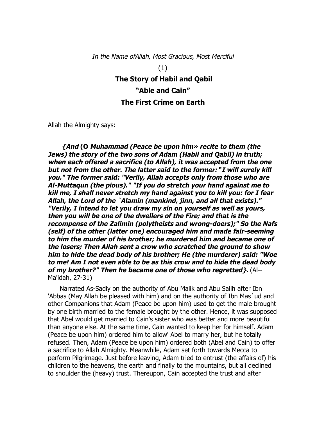In the Name ofAllah, Most Gracious, Most Merciful

(1)

### **The Story of Habil and Qabil "Able and Cain"**

#### **The First Crime on Earth**

Allah the Almighty says:

**{And (O Muhammad (Peace be upon him» recite to them (the Jews) the story of the two sons of Adam (Habil and Qabil) in truth; when each offered a sacrifice (to Allah), it was accepted from the one but not from the other. The latter said to the former: "I will surely kill you." The former said: "Verily, Allah accepts only from those who are Al-Muttaqun (the pious)." "If you do stretch your hand against me to kill me, I shall never stretch my hand against you to kill you: for I fear Allah, the Lord of the `Alamin (mankind, jinn, and all that exists)." "Verily, I intend to let you draw my sin on yourself as well as yours, then you will be one of the dwellers of the Fire; and that is the recompense of the Zalimin (polytheists and wrong-doers);" So the Nafs (self) of the other (latter one) encouraged him and made fair-seeming to him the murder of his brother; he murdered him and became one of the losers; Then Allah sent a crow who scratched the ground to show him to hide the dead body of his brother; He (the murderer) said: "Woe to me! Am I not even able to be as this crow and to hide the dead body of my brother?" Then he became one of those who regretted}.** (Al-- Ma'idah, 27-31)

Narrated As-Sadiy on the authority of Abu Malik and Abu Salih after Ibn 'Abbas (May Allah be pleased with him) and on the authority of Ibn Mas`ud and other Companions that Adam (Peace be upon him) used to get the male brought by one birth married to the female brought by the other. Hence, it was supposed that Abel would get married to Cain's sister who was better and more beautiful than anyone else. At the same time, Cain wanted to keep her for himself. Adam (Peace be upon him) ordered him to allow' Abel to marry her, but he totally refused. Then, Adam (Peace be upon him) ordered both (Abel and Cain) to offer a sacrifice to Allah Almighty. Meanwhile, Adam set forth towards Mecca to perform Pilgrimage. Just before leaving, Adam tried to entrust (the affairs of) his children to the heavens, the earth and finally to the mountains, but all declined to shoulder the (heavy) trust. Thereupon, Cain accepted the trust and after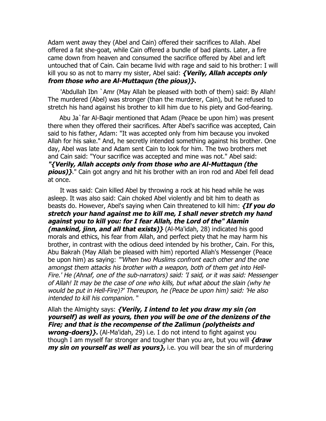Adam went away they (Abel and Cain) offered their sacrifices to Allah. Abel offered a fat she-goat, while Cain offered a bundle of bad plants. Later, a fire came down from heaven and consumed the sacrifice offered by Abel and left untouched that of Cain. Cain became livid with rage and said to his brother: I will kill you so as not to marry my sister, Abel said: **{Verily, Allah accepts only from those who are Al-Muttaqun (the pious)}.**

'Abdullah Ibn `Amr (May Allah be pleased with both of them) said: By Allah! The murdered (Abel) was stronger (than the murderer, Cain), but he refused to stretch his hand against his brother to kill him due to his piety and God-fearing.

Abu Ja`far Al-Baqir mentioned that Adam (Peace be upon him) was present there when they offered their sacrifices. After Abel's sacrifice was accepted, Cain said to his father, Adam: "It was accepted only from him because you invoked Allah for his sake." And, he secretly intended something against his brother. One day, Abel was late and Adam sent Cain to look for him. The two brothers met and Cain said: "Your sacrifice was accepted and mine was not." Abel said: **"{Verily, Allah accepts only from those who are Al-Muttaqun (the pious)}**." Cain got angry and hit his brother with an iron rod and Abel fell dead at once.

It was said: Cain killed Abel by throwing a rock at his head while he was asleep. It was also said: Cain choked Abel violently and bit him to death as beasts do. However, Abel's saying when Cain threatened to kill him: **{If you do stretch your hand against me to kill me, I shall never stretch my hand against you to kill you: for I fear Allah, the Lord of the" Alamin (mankind, jinn, and all that exists)}** (Al-Ma'idah, 28) indicated his good morals and ethics, his fear from Allah, and perfect piety that he may harm his brother, in contrast with the odious deed intended by his brother, Cain. For this, Abu Bakrah (May Allah be pleased with him) reported Allah's Messenger (Peace be upon him) as saying: "'When two Muslims confront each other and the one amongst them attacks his brother with a weapon, both of them get into Hell-Fire.' He (Ahnaf, one of the sub-narrators) said: 'I said, or it was said: Messenger of Allah! It may be the case of one who kills, but what about the slain (why he would be put in Hell-Fire)?' Thereupon, he (Peace be upon him) said: 'He also intended to kill his companion. "

Allah the Almighty says: **{Verily, I intend to let you draw my sin (on yourself) as well as yours, then you will be one of the denizens of the Fire; and that is the recompense of the Zalimun (polytheists and wrong-doers)}.** (Al-Ma'idah, 29) i.e. I do not intend to fight against you though I am myself far stronger and tougher than you are, but you will **{draw my sin on yourself as well as yours},** i.e. you will bear the sin of murdering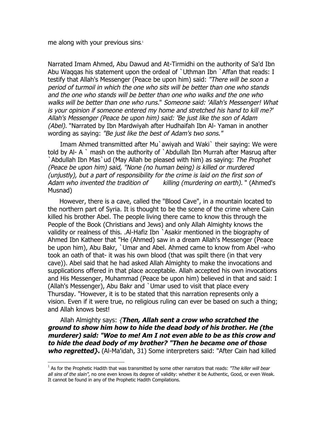me along with your previous sins.<sup>1</sup>

Narrated Imam Ahmed, Abu Dawud and At-Tirmidhi on the authority of Sa'd Ibn Abu Waqqas his statement upon the ordeal of `Uthman Ibn `Affan that reads: I testify that Allah's Messenger (Peace be upon him) said: "There will be soon a period of turmoil in which the one who sits will be better than one who stands and the one who stands will be better than one who walks and the one who walks will be better than one who runs." Someone said: 'Allah's Messenger! What is your opinion if someone entered my home and stretched his hand to kill me?' Allah's Messenger (Peace be upon him) said: 'Be just like the son of Adam (Abel). "Narrated by Ibn Mardwiyah after Hudhaifah Ibn Al- Yaman in another wording as saying: "Be just like the best of Adam's two sons."

Imam Ahmed transmitted after Mu`awiyah and Waki` their saying: We were told by Al- A ` mash on the authority of `Abdullah Ibn Murrah after Masruq after `Abdullah Ibn Mas`ud (May Allah be pleased with him) as saying: The Prophet (Peace be upon him) said, "None (no human being) is killed or murdered (unjustly), but a part of responsibility for the crime is laid on the first son of Adam who invented the tradition of killing (murdering on earth). " (Ahmed's Musnad)

However, there is a cave, called the "Blood Cave", in a mountain located to the northern part of Syria. It is thought to be the scene of the crime where Cain killed his brother Abel. The people living there came to know this through the People of the Book (Christians and Jews) and only Allah Almighty knows the validity or realness of this. .Al-Hafiz Ibn `Asakir mentioned in the biography of Ahmed Ibn Katheer that "He (Ahmed) saw in a dream Allah's Messenger (Peace be upon him), Abu Bakr, `Umar and Abel. Ahmed came to know from Abel -who took an oath of that- it was his own blood (that was spilt there (in that very cave)). Abel said that he had asked Allah Almighty to make the invocations and supplications offered in that place acceptable. Allah accepted his own invocations and His Messenger, Muhammad (Peace be upon him) believed in that and said: I (Allah's Messenger), Abu Bakr and `Umar used to visit that place every Thursday. "However, it is to be stated that this narration represents only a vision. Even if it were true, no religious ruling can ever be based on such a thing; and Allah knows best!

Allah Almighty says: {**Then, Allah sent a crow who scratched the ground to show him how to hide the dead body of his brother. He (the murderer) said: "Woe to me! Am I not even able to be as this crow and to hide the dead body of my brother? "Then he became one of those who regretted}.** (Al-Ma'idah, 31) Some interpreters said: "After Cain had killed

 $1$  As for the Prophetic Hadith that was transmitted by some other narrators that reads: "The killer will bear all sins of the slain", no one even knows its degree of validity: whether it be Authentic, Good, or even Weak. It cannot be found in any of the Prophetic Hadith Compilations.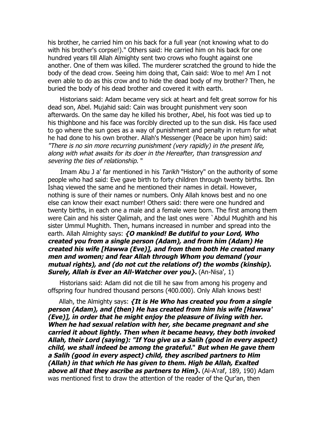his brother, he carried him on his back for a full year (not knowing what to do with his brother's corpse!)." Others said: He carried him on his back for one hundred years till Allah Almighty sent two crows who fought against one another. One of them was killed. The murderer scratched the ground to hide the body of the dead crow. Seeing him doing that, Cain said: Woe to me! Am I not even able to do as this crow and to hide the dead body of my brother? Then, he buried the body of his dead brother and covered it with earth.

Historians said: Adam became very sick at heart and felt great sorrow for his dead son, Abel. Mujahid said: Cain was brought punishment very soon afterwards. On the same day he killed his brother, Abel, his foot was tied up to his thighbone and his face was forcibly directed up to the sun disk. His face used to go where the sun goes as a way of punishment and penalty in return for what he had done to his own brother. Allah's Messenger (Peace be upon him) said: "There is no sin more recurring punishment (very rapidly) in the present life, along with what awaits for its doer in the Hereafter, than transgression and severing the ties of relationship. "

Imam Abu J a' far mentioned in his Tarikh "History" on the authority of some people who had said: Eve gave birth to forty children through twenty births. Ibn Ishaq viewed the same and he mentioned their names in detail. However, nothing is sure of their names or numbers. Only Allah knows best and no one else can know their exact number! Others said: there were one hundred and twenty births, in each one a male and a female were born. The first among them were Cain and his sister Qalimah, and the last ones were `Abdul Mughith and his sister Ummul Mughith. Then, humans increased in number and spread into the earth. Allah Almighty says: **{O mankind! Be dutiful to your Lord, Who created you from a single person (Adam), and from him (Adam) He created his wife [Hawwa (Eve)], and from them both He created many men and women; and fear Allah through Whom you demand (your mutual rights), and (do not cut the relations of) the wombs (kinship). Surely, Allah is Ever an All-Watcher over you}.** (An-Nisa', 1)

Historians said: Adam did not die till he saw from among his progeny and offspring four hundred thousand persons (400.000). Only Allah knows best!

Allah, the Almighty says: **{It is He Who has created you from a single person (Adam), and (then) He has created from him his wife [Hawwa' (Eve)], in order that he might enjoy the pleasure of living with her. When he had sexual relation with her, she became pregnant and she carried it about lightly. Then when it became heavy, they both invoked Allah, their Lord (saying): "If You give us a Salih (good in every aspect) child, we shall indeed be among the grateful." But when He gave them a Salih (good in every aspect) child, they ascribed partners to Him (Allah) in that which He has given to them. High be Allah, Exalted above all that they ascribe as partners to Him}.** (Al-A'raf, 189, 190) Adam was mentioned first to draw the attention of the reader of the Qur'an, then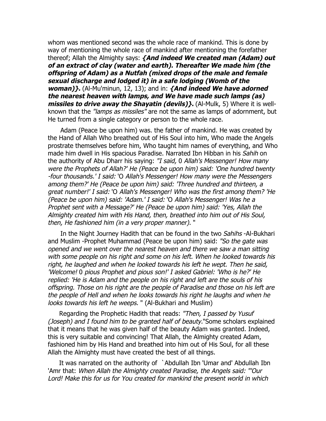whom was mentioned second was the whole race of mankind. This is done by way of mentioning the whole race of mankind after mentioning the forefather thereof; Allah the Almighty says: **{And indeed We created man (Adam) out of an extract of clay (water and earth). Thereafter We made him (the offspring of Adam) as a Nutfah (mixed drops of the male and female sexual discharge and lodged it) in a safe lodging (Womb of the woman)}.** (Al-Mu'minun, 12, 13); and in: **{And indeed We have adorned the nearest heaven with lamps, and We have made such lamps (as) missiles to drive away the Shayatin (devils)}.** (Al-Mulk, 5) Where it is wellknown that the "lamps as missiles" are not the same as lamps of adornment, but He turned from a single category or person to the whole race.

Adam (Peace be upon him) was. the father of mankind. He was created by the Hand of Allah Who breathed out of His Soul into him, Who made the Angels prostrate themselves before him, Who taught him names of everything, and Who made him dwell in His spacious Paradise. Narrated Ibn Hibban in his Sahih on the authority of Abu Dharr his saying: "I said, 0 Allah's Messenger! How many were the Prophets of Allah?' He (Peace be upon him) said: 'One hundred twenty -four thousands.' I said: 'O Allah's Messenger! How many were the Messengers among them?' He (Peace be upon him) said: 'Three hundred and thirteen, a great number!' I said: 'O Allah's Messenger! Who was the first among them? 'He (Peace be upon him) said: 'Adam.' I said: 'O Allah's Messenger! Was he a Prophet sent with a Message?' He (Peace be upon him) said: 'Yes, Allah the Almighty created him with His Hand, then, breathed into him out of His Soul, then, He fashioned him (in a very proper manner). "

In the Night Journey Hadith that can be found in the two Sahihs -Al-Bukhari and Muslim -Prophet Muhammad (Peace be upon him) said: "So the gate was opened and we went over the nearest heaven and there we saw a man sitting with some people on his right and some on his left. When he looked towards his right, he laughed and when he looked towards his left he wept. Then he said, 'Welcome! 0 pious Prophet and pious son!' I asked Gabriel: 'Who is he?' He replied: 'He is Adam and the people on his right and left are the souls of his offspring. Those on his right are the people of Paradise and those on his left are the people of Hell and when he looks towards his right he laughs and when he looks towards his left he weeps. " (Al-Bukhari and Muslim)

Regarding the Prophetic Hadith that reads: "Then, I passed by Yusuf (Joseph) and I found him to be granted half of beauty."Some scholars explained that it means that he was given half of the beauty Adam was granted. Indeed, this is very suitable and convincing! That Allah, the Almighty created Adam, fashioned him by His Hand and breathed into him out of His Soul, for all these Allah the Almighty must have created the best of all things.

It was narrated on the authority of `Abdullah Ibn 'Umar and' Abdullah Ibn 'Amr that: When Allah the Almighty created Paradise, the Angels said: "'Our Lord! Make this for us for You created for mankind the present world in which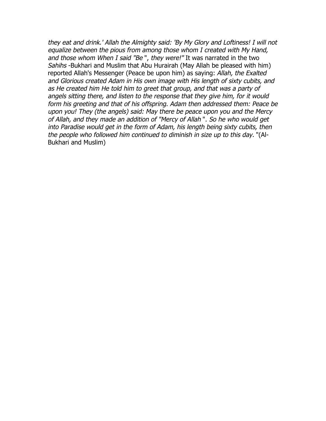they eat and drink.' Allah the Almighty said: 'By My Glory and Loftiness! I will not equalize between the pious from among those whom I created with My Hand, and those whom When I said "Be", they were!" It was narrated in the two Sahihs -Bukhari and Muslim that Abu Hurairah (May Allah be pleased with him) reported Allah's Messenger (Peace be upon him) as saying: Allah, the Exalted and Glorious created Adam in His own image with His length of sixty cubits, and as He created him He told him to greet that group, and that was a party of angels sitting there, and listen to the response that they give him, for it would form his greeting and that of his offspring. Adam then addressed them: Peace be upon you! They (the angels) said: May there be peace upon you and the Mercy of Allah, and they made an addition of "Mercy of Allah ". So he who would get into Paradise would get in the form of Adam, his length being sixty cubits, then the people who followed him continued to diminish in size up to this day. "(Al-Bukhari and Muslim)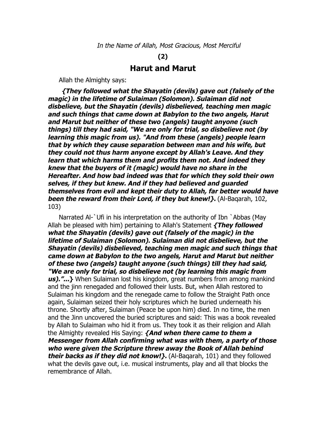#### **(2)**

#### **Harut and Marut**

Allah the Almighty says:

**{They followed what the Shayatin (devils) gave out (falsely of the magic) in the lifetime of Sulaiman (Solomon). Sulaiman did not disbelieve, but the Shayatin (devils) disbelieved, teaching men magic and such things that came down at Babylon to the two angels, Harut and Marut but neither of these two (angels) taught anyone (such things) till they had said, "We are only for trial, so disbelieve not (by learning this magic from us). "And from these (angels) people learn that by which they cause separation between man and his wife, but they could not thus harm anyone except by Allah's Leave. And they learn that which harms them and profits them not. And indeed they knew that the buyers of it (magic) would have no share in the Hereafter. And how bad indeed was that for which they sold their own selves, if they but knew. And if they had believed and guarded themselves from evil and kept their duty to Allah, far better would have been the reward from their Lord, if they but knew!}.** (Al-Baqarah, 102, 103)

Narrated Al-`Ufi in his interpretation on the authority of Ibn `Abbas (May Allah be pleased with him) pertaining to Allah's Statement **{They followed what the Shayatin (devils) gave out (falsely of the magic) in the lifetime of Sulaiman (Solomon). Sulaiman did not disbelieve, but the Shayatin (devils) disbelieved, teaching men magic and such things that came down at Babylon to the two angels, Harut and Marut but neither of these two (angels) taught anyone (such things) till they had said, "We are only for trial, so disbelieve not (by learning this magic from us)."...}** When Sulaiman lost his kingdom, great numbers from among mankind and the jinn renegaded and followed their lusts. But, when Allah restored to Sulaiman his kingdom and the renegade came to follow the Straight Path once again, Sulaiman seized their holy scriptures which he buried underneath his throne. Shortly after, Sulaiman (Peace be upon him) died. In no time, the men and the Jinn uncovered the buried scriptures and said: This was a book revealed by Allah to Sulaiman who hid it from us. They took it as their religion and Allah the Almighty revealed His Saying: **{And when there came to them a Messenger from Allah confirming what was with them, a party of those who were given the Scripture threw away the Book of Allah behind their backs as if they did not know!}.** (Al-Baqarah, 101) and they followed what the devils gave out, i.e. musical instruments, play and all that blocks the remembrance of Allah.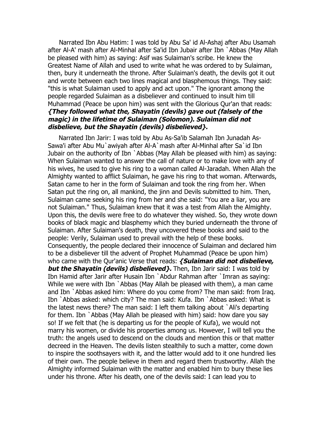Narrated Ibn Abu Hatim: I was told by Abu Sa' id Al-Ashaj after Abu Usamah after Al-A' mash after Al-Minhal after Sa'id Ibn Jubair after Ibn `Abbas (May Allah be pleased with him) as saying: Asif was Sulaiman's scribe. He knew the Greatest Name of Allah and used to write what he was ordered to by Sulaiman, then, bury it underneath the throne. After Sulaiman's death, the devils got it out and wrote between each two lines magical and blasphemous things. They said: "this is what Sulaiman used to apply and act upon." The ignorant among the people regarded Sulaiman as a disbeliever and continued to insult him till Muhammad (Peace be upon him) was sent with the Glorious Qur'an that reads: **{They followed what the, Shayatin (devils) gave out (falsely of the magic) in the lifetime of Sulaiman (Solomon). Sulaiman did not disbelieve, but the Shayatin (devils) disbelieved}.**

Narrated Ibn Jarir: I was told by Abu As-Sa'ib Salamah Ibn Junadah As-Sawa'i after Abu Mu`awiyah after Al-A`mash after Al-Minhal after Sa`id Ibn Jubair on the authority of Ibn `Abbas (May Allah be pleased with him) as saying: When Sulaiman wanted to answer the call of nature or to make love with any of his wives, he used to give his ring to a woman called Al-Jaradah. When Allah the Almighty wanted to afflict Sulaiman, he gave his ring to that woman. Afterwards, Satan came to her in the form of Sulaiman and took the ring from her. When Satan put the ring on, all mankind, the jinn and Devils submitted to him. Then, Sulaiman came seeking his ring from her and she said: "You are a liar, you are not Sulaiman." Thus, Sulaiman knew that it was a test from Allah the Almighty. Upon this, the devils were free to do whatever they wished. So, they wrote down books of black magic and blasphemy which they buried underneath the throne of Sulaiman. After Sulaiman's death, they uncovered these books and said to the people: Verily, Sulaiman used to prevail with the help of these books. Consequently, the people declared their innocence of Sulaiman and declared him to be a disbeliever till the advent of Prophet Muhammad (Peace be upon him) who came with the Qur'anic Verse that reads: **{Sulaiman did not disbelieve, but the Shayatin (devils) disbelieved}.** Then, Ibn Jarir said: I was told by Ibn Hamid after Jarir after Husain Ibn `Abdur Rahman after `Imran as saying: While we were with Ibn `Abbas (May Allah be pleased with them), a man came and Ibn `Abbas asked him: Where do you come from? The man said: from Iraq. Ibn `Abbas asked: which city? The man said: Kufa. Ibn `Abbas asked: What is the latest news there? The man said: I left them talking about `Ali's departing for them. Ibn `Abbas (May Allah be pleased with him) said: how dare you say so! If we felt that (he is departing us for the people of Kufa), we would not marry his women, or divide his properties among us. However, I will tell you the truth: the angels used to descend on the clouds and mention this or that matter decreed in the Heaven. The devils listen stealthily to such a matter, come down to inspire the soothsayers with it, and the latter would add to it one hundred lies of their own. The people believe in them and regard them trustworthy. Allah the Almighty informed Sulaiman with the matter and enabled him to bury these lies under his throne. After his death, one of the devils said: I can lead you to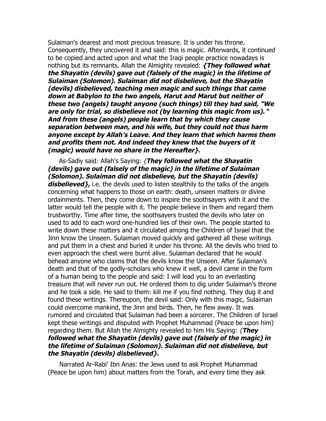Sulaiman's dearest and most precious treasure. It is under his throne. Consequently, they uncovered it and said: this is magic. Afterwards, it continued to be copied and acted upon and what the Iraqi people practice nowadays is nothing but its remnants. Allah the Almighty revealed: **{They followed what the Shayatin (devils) gave out (falsely of the magic) in the lifetime of Sulaiman (Solomon). Sulaiman did not disbelieve, but the Shayatin (devils) disbelieved, teaching men magic and such things that came down at Babylon to the two angels, Harut and Marut but neither of these two (angels) taught anyone (such things) till they had said, "We are only for trial, so disbelieve not (by learning this magic from us). " And from these (angels) people learn that by which they cause separation between man, and his wife, but they could not thus harm anyone except by Allah's Leave. And they learn that which harms them and profits them not. And indeed they knew that the buyers of it (magic) would have no share in the Hereafter}.**

As-Sadiy said: Allah's Saying: {**They followed what the Shayatin (devils) gave out (falsely of the magic) in the lifetime of Sulaiman (Solomon). Sulaiman did not disbelieve, but the Shayatin (devils) disbelieved**, i.e. the devils used to listen stealthily to the talks of the angels concerning what happens to those on earth: death, unseen matters or divine ordainments. Then, they come down to inspire the soothsayers with it and the latter would tell the people with it. The people believe in them and regard them trustworthy. Time after time, the soothsayers trusted the devils who later on used to add to each word one-hundred lies of their own. The people started to write down these matters and it circulated among the Children of Israel that the Jinn know the Unseen. Sulaiman moved quickly and gathered all these writings and put them in a chest and buried it under his throne. All the devils who tried to even approach the chest were burnt alive. Sulaiman declared that he would behead anyone who claims that the devils know the Unseen. After Sulaiman's death and that of the godly-scholars who knew it well, a devil came in the form of a human being to the people and said: I will lead you to an everlasting treasure that will never run out. He ordered them to dig under Sulaiman's throne and he took a side. He said to them: kill me if you find nothing. They dug it and found these writings. Thereupon, the devil said: Only with this magic, Sulaiman could overcome mankind, the Jinn and birds. Then, he flew away. It was rumored and circulated that Sulaiman had been a sorcerer. The Children of Israel kept these writings and disputed with Prophet Muhammad (Peace be upon him) regarding them. But Allah the Almighty revealed to him His Saying: {**They followed what the Shayatin (devils) gave out (falsely of the magic) in the lifetime of Sulaiman (Solomon). Sulaiman did not disbelieve, but the Shayatin (devils) disbelieved}.**

Narrated Ar-Rabi' Ibn Anas: the Jews used to ask Prophet Muhammad (Peace be upon him) about matters from the Torah, and every time they ask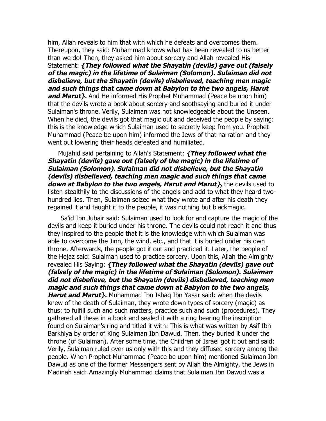him, Allah reveals to him that with which he defeats and overcomes them. Thereupon, they said: Muhammad knows what has been revealed to us better than we do! Then, they asked him about sorcery and Allah revealed His Statement: **{They followed what the Shayatin (devils) gave out (falsely of the magic) in the lifetime of Sulaiman (Solomon). Sulaiman did not disbelieve, but the Shayatin (devils) disbelieved, teaching men magic and such things that came down at Babylon to the two angels, Harut** and Marut}. And He informed His Prophet Muhammad (Peace be upon him) that the devils wrote a book about sorcery and soothsaying and buried it under Sulaiman's throne. Verily, Sulaiman was not knowledgeable about the Unseen. When he died, the devils got that magic out and deceived the people by saying: this is the knowledge which Sulaiman used to secretly keep from you. Prophet Muhammad (Peace be upon him) informed the Jews of that narration and they went out lowering their heads defeated and humiliated.

Mujahid said pertaining to Allah's Statement: **{They followed what the Shayatin (devils) gave out (falsely of the magic) in the lifetime of Sulaiman (Solomon). Sulaiman did not disbelieve, but the Shayatin (devils) disbelieved, teaching men magic and such things that came down at Babylon to the two angels, Harut and Marut},** the devils used to listen stealthily to the discussions of the angels and add to what they heard twohundred lies. Then, Sulaiman seized what they wrote and after his death they regained it and taught it to the people, it was nothing but blackmagic.

Sa'id Ibn Jubair said: Sulaiman used to look for and capture the magic of the devils and keep it buried under his throne. The devils could not reach it and thus they inspired to the people that it is the knowledge with which Sulaiman was able to overcome the Jinn, the wind, etc., and that it is buried under his own throne. Afterwards, the people got it out and practiced it. Later, the people of the Hejaz said: Sulaiman used to practice sorcery. Upon this, Allah the Almighty revealed His Saying: **{They followed what the Shayatin (devils) gave out (falsely of the magic) in the lifetime of Sulaiman (Solomon). Sulaiman did not disbelieve, but the Shayatin (devils) disbelieved, teaching men magic and such things that came down at Babylon to the two angels, Harut and Marut}.** Muhammad Ibn Ishaq Ibn Yasar said: when the devils knew of the death of Sulaiman, they wrote down types of sorcery (magic) as thus: to fulfill such and such matters, practice such and such (procedures). They gathered all these in a book and sealed it with a ring bearing the inscription found on Sulaiman's ring and titled it with: This is what was written by Asif Ibn Barkhiya by order of King Sulaiman Ibn Dawud. Then, they buried it under the throne (of Sulaiman). After some time, the Children of Israel got it out and said: Verily, Sulaiman ruled over us only with this and they diffused sorcery among the people. When Prophet Muhammad (Peace be upon him) mentioned Sulaiman Ibn Dawud as one of the former Messengers sent by Allah the Almighty, the Jews in Madinah said: Amazingly Muhammad claims that Sulaiman Ibn Dawud was a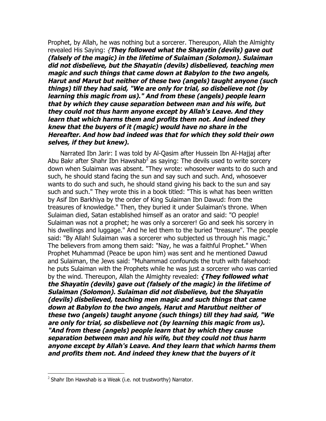Prophet, by Allah, he was nothing but a sorcerer. Thereupon, Allah the Almighty revealed His Saying: {**They followed what the Shayatin (devils) gave out (falsely of the magic) in the lifetime of Sulaiman (Solomon). Sulaiman did not disbelieve, but the Shayatin (devils) disbelieved, teaching men magic and such things that came down at Babylon to the two angels, Harut and Marut but neither of these two (angels) taught anyone (such things) till they had said, "We are only for trial, so disbelieve not (by learning this magic from us)." And from these (angels) people learn that by which they cause separation between man and his wife, but they could not thus harm anyone except by Allah's Leave. And they learn that which harms them and profits them not. And indeed they knew that the buyers of it (magic) would have no share in the Hereafter. And how bad indeed was that for which they sold their own selves, if they but knew).**

Narrated Ibn Jarir: I was told by Al-Qasim after Hussein Ibn Al-Hajjaj after Abu Bakr after Shahr Ibn Hawshab<sup>2</sup> as saying: The devils used to write sorcery down when Sulaiman was absent. "They wrote: whosoever wants to do such and such, he should stand facing the sun and say such and such. And, whosoever wants to do such and such, he should stand giving his back to the sun and say such and such." They wrote this in a book titled: "This is what has been written by Asif Ibn Barkhiya by the order of King Sulaiman Ibn Dawud: from the treasures of knowledge." Then, they buried it under Sulaiman's throne. When Sulaiman died, Satan established himself as an orator and said: "O people! Sulaiman was not a prophet; he was only a sorcerer! Go and seek his sorcery in his dwellings and luggage." And he led them to the buried "treasure". The people said: "By Allah! Sulaiman was a sorcerer who subjected us through his magic." The believers from among them said: "Nay, he was a faithful Prophet." When Prophet Muhammad (Peace be upon him) was sent and he mentioned Dawud and Sulaiman, the Jews said: "Muhammad confounds the truth with falsehood: he puts Sulaiman with the Prophets while he was just a sorcerer who was carried by the wind. Thereupon, Allah the Almighty revealed: **{They followed what the Shayatin (devils) gave out (falsely of the magic) in the lifetime of Sulaiman (Solomon). Sulaiman did not disbelieve, but the Shayatin (devils) disbelieved, teaching men magic and such things that came down at Babylon to the two angels, Harut and Marutbut neither of these two (angels) taught anyone (such things) till they had said, "We are only for trial, so disbelieve not (by learning this magic from us). "And from these (angels) people learn that by which they cause separation between man and his wife, but they could not thus harm anyone except by Allah's Leave. And they learn that which harms them and profits them not. And indeed they knew that the buyers of it**

 $2$  Shahr Ibn Hawshab is a Weak (i.e. not trustworthy) Narrator.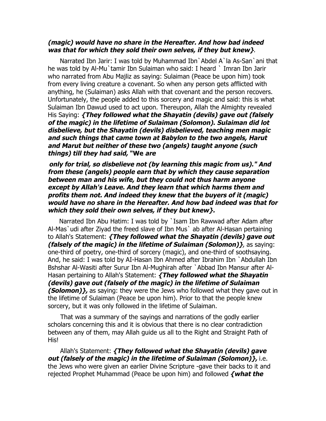#### **(magic) would have no share in the Hereafter. And how bad indeed was that for which they sold their own selves, if they but knew}**.

Narrated Ibn Jarir: I was told by Muhammad Ibn Abdel A la As-San ani that he was told by Al-Mu`tamir Ibn Sulaiman who said: I heard ` Imran Ibn Jarir who narrated from Abu Majliz as saying: Sulaiman (Peace be upon him) took from every living creature a covenant. So when any person gets afflicted with anything, he (Sulaiman) asks Allah with that covenant and the person recovers. Unfortunately, the people added to this sorcery and magic and said: this is what Sulaiman Ibn Dawud used to act upon. Thereupon, Allah the Almighty revealed His Saying: **{They followed what the Shayatin (devils) gave out (falsely of the magic) in the lifetime of Sulaiman (Solomon). Sulaiman did lot disbelieve, but the Shayatin (devils) disbelieved, teaching men magic and such things that came town at Babylon to the two angels, Harut and Marut but neither of these two (angels) taught anyone (such things) till they had said, "We are**

**only for trial, so disbelieve not (by learning this magic from us)." And from these (angels) people earn that by which they cause separation between man and his wife, but they could not thus harm anyone except by Allah's Leave. And they learn that which harms them and profits them not. And indeed they knew that the buyers of it (magic) would have no share in the Hereafter. And how bad indeed was that for which they sold their own selves, if they but knew}.**

Narrated Ibn Abu Hatim: I was told by `Isam Ibn Rawwad after Adam after Al-Mas`udi after Ziyad the freed slave of Ibn Mus` ab after Al-Hasan pertaining to Allah's Statement: **{They followed what the Shayatin (devils) gave out (falsely of the magic) in the lifetime of Sulaiman (Solomon)}**, as saying: one-third of poetry, one-third of sorcery (magic), and one-third of soothsaying. And, he said: I was told by AI-Hasan Ibn Ahmed after Ibrahim Ibn `Abdullah Ibn Bshshar Al-Wasiti after Surur Ibn Al-Mughirah after `Abbad Ibn Mansur after Al-Hasan pertaining to Allah's Statement: **{They followed what the Shayatin (devils) gave out (falsely of the magic) in the lifetime of Sulaiman (Solomon)},** as saying: they were the Jews who followed what they gave out in the lifetime of Sulaiman (Peace be upon him). Prior to that the people knew sorcery, but it was only followed in the lifetime of Sulaiman.

That was a summary of the sayings and narrations of the godly earlier scholars concerning this and it is obvious that there is no clear contradiction between any of them, may Allah guide us all to the Right and Straight Path of His!

Allah's Statement: **{They followed what the Shayatin (devils) gave out (falsely of the magic) in the lifetime of Sulaiman (Solomon)},** i.e. the Jews who were given an earlier Divine Scripture -gave their backs to it and rejected Prophet Muhammad (Peace be upon him) and followed **{what the**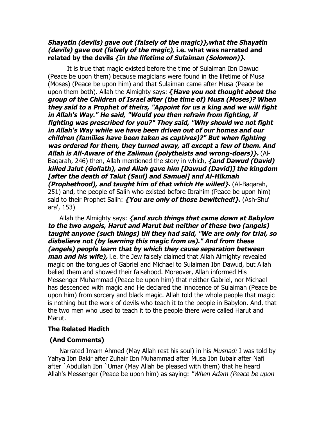#### **Shayatin (devils) gave out (falsely of the magic)},what the Shayatin (devils) gave out (falsely of the magic), i.e. what was narrated and related by the devils {in the lifetime of Sulaiman (Solomon)}.**

It is true that magic existed before the time of Sulaiman Ibn Dawud (Peace be upon them) because magicians were found in the lifetime of Musa (Moses) (Peace be upon him) and that Sulaiman came after Musa (Peace be upon them both). Allah the Almighty says: **{Have you not thought about the group of the Children of Israel after (the time of) Musa (Moses)? When they said to a Prophet of theirs, "Appoint for us a king and we will fight in Allah's Way." He said, "Would you then refrain from fighting, if fighting was prescribed for you?" They said, "Why should we not fight in Allah's Way while we have been driven out of our homes and our children (families have been taken as captives)?" But when fighting was ordered for them, they turned away, all except a few of them. And Allah is All-Aware of the Zalimun (polytheists and wrong-doers)}.** (Al-Baqarah, 246) then, Allah mentioned the story in which, **{and Dawud (David) killed Jalut (Goliath), and Allah gave him [Dawud (David)] the kingdom [after the death of Talut (Saul) and Samuel] and Al-Hikmah (Prophethood), and taught him of that which He willed}.** (Al-Baqarah, 251) and, the people of Salih who existed before Ibrahim (Peace be upon him) said to their Prophet Salih: **{You are only of those bewitched!}.** (Ash-Shu' ara', 153)

Allah the Almighty says: **{and such things that came down at Babylon to the two angels, Harut and Marut but neither of these two (angels) taught anyone (such things) till they had said, "We are only for trial, so disbelieve not (by learning this magic from us)." And from these (angels) people learn that by which they cause separation between man and his wife),** i.e. the Jew falsely claimed that Allah Almighty revealed magic on the tongues of Gabriel and Michael to Sulaiman Ibn Dawud, but Allah belied them and showed their falsehood. Moreover, Allah informed His Messenger Muhammad (Peace be upon him) that neither Gabriel, nor Michael has descended with magic and He declared the innocence of Sulaiman (Peace be upon him) from sorcery and black magic. Allah told the whole people that magic is nothing but the work of devils who teach it to the people in Babylon. And, that the two men who used to teach it to the people there were called Harut and Marut.

#### **The Related Hadith**

#### **(And Comments)**

Narrated Imam Ahmed (May Allah rest his soul) in his Musnad: I was told by Yahya Ibn Bakir after Zuhair Ibn Muhammad after Musa Ibn Iubair after Nafi after `Abdullah Ibn `Umar (May Allah be pleased with them) that he heard Allah's Messenger (Peace be upon him) as saying: "When Adam (Peace be upon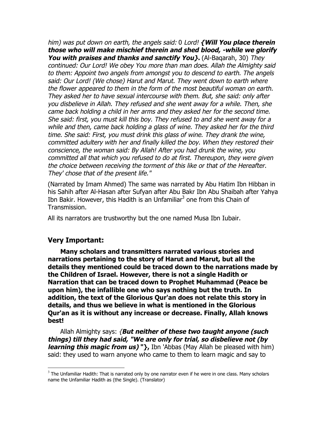him) was put down on earth, the angels said: 0 Lord! **{Will You place therein those who will make mischief therein and shed blood, -while we glorify You with praises and thanks and sanctify You}.** (Al-Baqarah, 30) They continued: Our Lord! We obey You more than man does. Allah the Almighty said to them: Appoint two angels from amongst you to descend to earth. The angels said: Our Lord! (We chose) Harut and Marut. They went down to earth where the flower appeared to them in the form of the most beautiful woman on earth. They asked her to have sexual intercourse with them. But, she said: only after you disbelieve in Allah. They refused and she went away for a while. Then, she came back holding a child in her arms and they asked her for the second time. She said: first, you must kill this boy. They refused to and she went away for a while and then, came back holding a glass of wine. They asked her for the third time. She said: First, you must drink this glass of wine. They drank the wine, committed adultery with her and finally killed the boy. When they restored their conscience, the woman said: By Allah! After you had drunk the wine, you committed all that which you refused to do at first. Thereupon, they were given the choice between receiving the torment of this like or that of the Hereafter. They' chose that of the present life."

(Narrated by Imam Ahmed) The same was narrated by Abu Hatim Ibn Hibban in his Sahih after Al-Hasan after Sufyan after Abu Bakr Ibn Abu Shaibah after Yahya Ibn Bakir. However, this Hadith is an Unfamiliar<sup>3</sup> one from this Chain of Transmission.

All its narrators are trustworthy but the one named Musa Ibn Iubair.

#### **Very Important:**

**Many scholars and transmitters narrated various stories and narrations pertaining to the story of Harut and Marut, but all the details they mentioned could be traced down to the narrations made by the Children of Israel. However, there is not a single Hadith or Narration that can be traced down to Prophet Muhammad (Peace be upon him), the infallible one who says nothing but the truth. In addition, the text of the Glorious Qur'an does not relate this story in details, and thus we believe in what is mentioned in the Glorious Qur'an as it is without any increase or decrease. Finally, Allah knows best!**

Allah Almighty says: {**But neither of these two taught anyone (such things) till they had said, "We are only for trial, so disbelieve not (by** *learning this magic from us***)** "}, Ibn 'Abbas (May Allah be pleased with him) said: they used to warn anyone who came to them to learn magic and say to

 $3$  The Unfamiliar Hadith: That is narrated only by one narrator even if he were in one class. Many scholars name the Unfamiliar Hadith as (the Single). (Translator)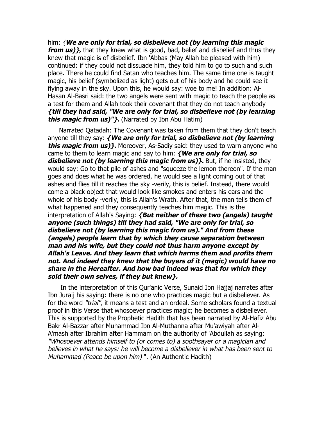him: {**We are only for trial, so disbelieve not (by learning this magic from us)**, that they knew what is good, bad, belief and disbelief and thus they knew that magic is of disbelief. Ibn 'Abbas (May Allah be pleased with him) continued: if they could not dissuade him, they told him to go to such and such place. There he could find Satan who teaches him. The same time one is taught magic, his belief (symbolized as light) gets out of his body and he could see it flying away in the sky. Upon this, he would say: woe to me! In addition: Al-Hasan Al-Basri said: the two angels were sent with magic to teach the people as a test for them and Allah took their covenant that they do not teach anybody **{till they had said, "We are only for trial, so disbelieve not (by learning this magic from us)"}.** (Narrated by Ibn Abu Hatim)

Narrated Qatadah: The Covenant was taken from them that they don't teach anyone till they say: **{We are only for trial, so disbelieve not (by learning this magic from us)}.** Moreover, As-Sadiy said: they used to warn anyone who came to them to learn magic and say to him: **{We are only for trial, so disbelieve not (by learning this magic from us) }.** But, if he insisted, they would say: Go to that pile of ashes and "squeeze the lemon thereon". If the man goes and does what he was ordered, he would see a light coming out of that ashes and flies till it reaches the sky -verily, this is belief. Instead, there would come a black object that would look like smokes and enters his ears and the whole of his body -verily, this is Allah's Wrath. After that, the man tells them of what happened and they consequently teaches him magic. This is the interpretation of Allah's Saying: **{But neither of these two (angels) taught anyone (such things) till they had said, "We are only for trial, so disbelieve not (by learning this magic from us)." And from these (angels) people learn that by which they cause separation between man and his wife, but they could not thus harm anyone except by Allah's Leave. And they learn that which harms them and profits them not. And indeed they knew that the buyers of it (magic) would have no share in the Hereafter. And how bad indeed was that for which they sold their own selves, if they but knew}.**

In the interpretation of this Qur'anic Verse, Sunaid Ibn Hajjaj narrates after Ibn Juraij his saying: there is no one who practices magic but a disbeliever. As for the word "trial", it means a test and an ordeal. Some scholars found a textual proof in this Verse that whosoever practices magic; he becomes a disbeliever. This is supported by the Prophetic Hadith that has been narrated by Al-Hafiz Abu Bakr Al-Bazzar after Muhammad Ibn Al-Muthanna after Mu'awiyah after Al-A'mash after Ibrahim after Hammam on the authority of 'Abdullah as saying: "Whosoever attends himself to (or comes to) a soothsayer or a magician and believes in what he says: he will become a disbeliever in what has been sent to Muhammad (Peace be upon him) ". (An Authentic Hadith)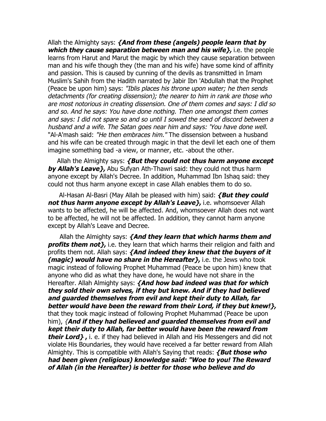Allah the Almighty says: **{And from these (angels) people learn that by which they cause separation between man and his wife},** i.e. the people learns from Harut and Marut the magic by which they cause separation between man and his wife though they (the man and his wife) have some kind of affinity and passion. This is caused by cunning of the devils as transmitted in Imam Muslim's Sahih from the Hadith narrated by Jabir Ibn 'Abdullah that the Prophet (Peace be upon him) says: "Iblis places his throne upon water; he then sends detachments (for creating dissension); the nearer to him in rank are those who are most notorious in creating dissension. One of them comes and says: I did so and so. And he says: You have done nothing. Then one amongst them comes and says: I did not spare so and so until I sowed the seed of discord between a husband and a wife. The Satan goes near him and says: 'You have done well. "Al-A'mash said: "He then embraces him." The dissension between a husband and his wife can be created through magic in that the devil let each one of them imagine something bad -a view, or manner, etc. -about the other.

Allah the Almighty says: **{But they could not thus harm anyone except by Allah's Leave},** Abu Sufyan Ath-Thawri said: they could not thus harm anyone except by Allah's Decree. In addition, Muhammad Ibn Ishaq said: they could not thus harm anyone except in case Allah enables them to do so.

Al-Hasan Al-Basri (May Allah be pleased with him) said: **{But they could not thus harm anyone except by Allah's Leave},** i.e. whomsoever Allah wants to be affected, he will be affected. And, whomsoever Allah does not want to be affected, he will not be affected. In addition, they cannot harm anyone except by Allah's Leave and Decree.

Allah the Almighty says: **{And they learn that which harms them and profits them not},** i.e. they learn that which harms their religion and faith and profits them not. Allah says: **{And indeed they knew that the buyers of it (magic) would have no share in the Hereafter},** i.e. the Jews who took magic instead of following Prophet Muhammad (Peace be upon him) knew that anyone who did as what they have done, he would have not share in the Hereafter. Allah Almighty says: **{And how bad indeed was that for which they sold their own selves, if they but knew. And if they had believed and guarded themselves from evil and kept their duty to Allah, far better would have been the reward from their Lord, if they but knew!},** that they took magic instead of following Prophet Muhammad (Peace be upon him), {**And if they had believed and guarded themselves from evil and kept their duty to Allah, far better would have been the reward from their Lord} ,** i. e. if they had believed in Allah and His Messengers and did not violate His Boundaries, they would have received a far better reward from Allah Almighty. This is compatible with Allah's Saying that reads: **{But those who had been given (religious) knowledge said: "Woe to you! The Reward of Allah (in the Hereafter) is better for those who believe and do**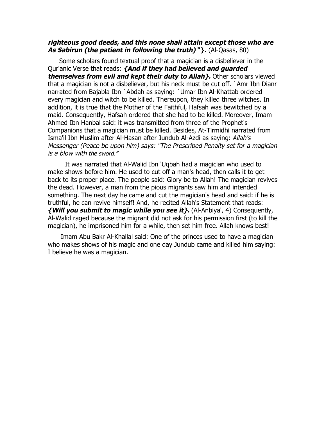#### **righteous good deeds, and this none shall attain except those who are As Sabirun (the patient in following the truth) "}**. (Al-Qasas, 80)

Some scholars found textual proof that a magician is a disbeliever in the Qur'anic Verse that reads: **{And if they had believed and guarded themselves from evil and kept their duty to Allah}.** Other scholars viewed that a magician is not a disbeliever, but his neck must be cut off. `Amr Ibn Dianr narrated from Bajabla Ibn `Abdah as saying: `Umar Ibn Al-Khattab ordered every magician and witch to be killed. Thereupon, they killed three witches. In addition, it is true that the Mother of the Faithful, Hafsah was bewitched by a maid. Consequently, Hafsah ordered that she had to be killed. Moreover, Imam Ahmed Ibn Hanbal said: it was transmitted from three of the Prophet's Companions that a magician must be killed. Besides, At-Tirmidhi narrated from Isma'il Ibn Muslim after Al-Hasan after Jundub Al-Azdi as saying: Allah's Messenger (Peace be upon him) says: "The Prescribed Penalty set for a magician is a blow with the sword."

It was narrated that Al-Walid Ibn 'Uqbah had a magician who used to make shows before him. He used to cut off a man's head, then calls it to get back to its proper place. The people said: Glory be to Allah! The magician revives the dead. However, a man from the pious migrants saw him and intended something. The next day he came and cut the magician's head and said: if he is truthful, he can revive himself! And, he recited Allah's Statement that reads: **{Will you submit to magic while you see it}.** (Al-Anbiya', 4) Consequently, Al-Walid raged because the migrant did not ask for his permission first (to kill the magician), he imprisoned him for a while, then set him free. Allah knows best!

Imam Abu Bakr Al-Khallal said: One of the princes used to have a magician who makes shows of his magic and one day Jundub came and killed him saying: I believe he was a magician.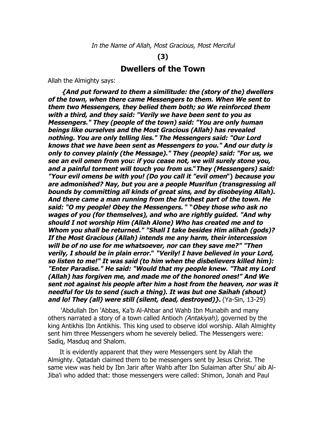#### **(3)**

#### **Dwellers of the Town**

Allah the Almighty says:

**{And put forward to them a similitude: the (story of the) dwellers of the town, when there came Messengers to them. When We sent to them two Messengers, they belied them both; so We reinforced them with a third, and they said: "Verily we have been sent to you as Messengers." They (people of the town) said: "You are only human beings like ourselves and the Most Gracious (Allah) has revealed nothing. You are only telling lies." The Messengers said: "Our Lord knows that we have been sent as Messengers to you." And our duty is only to convey plainly (the Message)." They (people) said: "For us, we see an evil omen from you: if you cease not, we will surely stone you, and a painful torment will touch you from us."They (Messengers) said: "Your evil omens be with you! (Do you call it "evil omen") because you are admonished? Nay, but you are a people Musrifun (transgressing all bounds by committing all kinds of great sins, and by disobeying Allah). And there came a man running from the farthest part of the town. He said: "O my people! Obey the Messengers. " "Obey those who ask no wages of you (for themselves), and who are rightly guided. "And why should I not worship Him (Allah Alone) Who has created me and to Whom you shall be returned." "Shall I take besides Him alihah (gods)? If the Most Gracious (Allah) intends me any harm, their intercession will be of no use for me whatsoever, nor can they save me?" "Then verily, I should be in plain error." "Verily! I have believed in your Lord, so listen to me!" It was said (to him when the disbelievers killed him): "Enter Paradise." He said: "Would that my people knew. "That my Lord (Allah) has forgiven me, and made me of the honored ones!" And We sent not against his people after him a host from the heaven, nor was it needful for Us to send (such a thing). It was but one Saihah (shout) and lo! They (all) were still (silent, dead, destroyed) }.** (Ya-Sin, 13-29)

'Abdullah Ibn 'Abbas, Ka'b Al-Ahbar and Wahb Ibn Munabih and many others narrated a story of a town called Antioch (Antakiyah), governed by the king Antikhis Ibn Antikhis. This king used to observe idol worship. Allah Almighty sent him three Messengers whom he severely belied. The Messengers were: Sadiq, Masduq and Shalom.

It is evidently apparent that they were Messengers sent by Allah the Almighty. Qatadah claimed them to be messengers sent by Jesus Christ. The same view was held by Ibn Jarir after Wahb after Ibn Sulaiman after Shu' aib Al-Jiba'i who added that: those messengers were called: Shimon, Jonah and Paul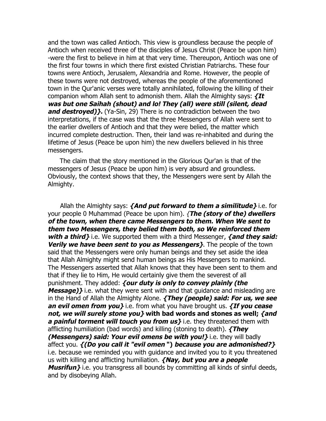and the town was called Antioch. This view is groundless because the people of Antioch when received three of the disciples of Jesus Christ (Peace be upon him) -were the first to believe in him at that very time. Thereupon, Antioch was one of the first four towns in which there first existed Christian Patriarchs. These four towns were Antioch, Jerusalem, Alexandria and Rome. However, the people of these towns were not destroyed, whereas the people of the aforementioned town in the Qur'anic verses were totally annihilated, following the killing of their companion whom Allah sent to admonish them. Allah the Almighty says: **{It was but one Saihah (shout) and lo! They (all) were still (silent, dead** and **destroyed) }.** (Ya-Sin, 29) There is no contradiction between the two interpretations, if the case was that the three Messengers of Allah were sent to the earlier dwellers of Antioch and that they were belied, the matter which incurred complete destruction. Then, their land was re-inhabited and during the lifetime of Jesus (Peace be upon him) the new dwellers believed in his three messengers.

The claim that the story mentioned in the Glorious Qur'an is that of the messengers of Jesus (Peace be upon him) is very absurd and groundless. Obviously, the context shows that they, the Messengers were sent by Allah the Almighty.

Allah the Almighty says: **{And put forward to them a similitude}** i.e. for your people 0 Muhammad (Peace be upon him). {**The (story of the) dwellers of the town, when there came Messengers to them. When We sent to them two Messengers, they belied them both, so We reinforced them with a third}** i.e. We supported them with a third Messenger, **{and they said: Verily we have been sent to you as Messengers**}. The people of the town said that the Messengers were only human beings and they set aside the idea that Allah Almighty might send human beings as His Messengers to mankind. The Messengers asserted that Allah knows that they have been sent to them and that if they lie to Him, He would certainly give them the severest of all punishment. They added: **{our duty is only to convey plainly (the Message)}** i.e. what they were sent with and that guidance and misleading are in the Hand of Allah the Almighty Alone. **{They (people) said: For us, we see an evil omen from you}** i.e. from what you have brought us. **{If you cease not, we will surely stone you} with bad words and stones as well; {and a painful torment will touch you from us**} i.e. they threatened them with afflicting humiliation (bad words) and killing (stoning to death). **{They (Messengers) said: Your evil omens be with you!}** i.e. they will badly affect you. **{(Do you call it "evil omen ") because you are admonished?}** i.e. because we reminded you with guidance and invited you to it you threatened us with killing and afflicting humiliation. **{Nay, but you are a people Musrifun**} i.e. you transgress all bounds by committing all kinds of sinful deeds, and by disobeying Allah.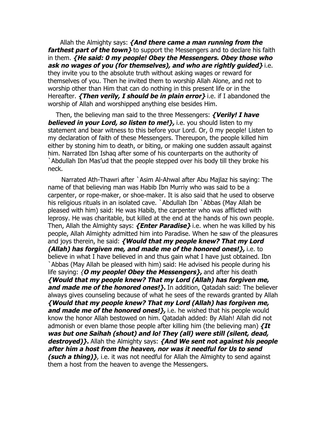Allah the Almighty says: **{And there came a man running from the farthest part of the town}** to support the Messengers and to declare his faith in them. **{He said: 0 my people! Obey the Messengers. Obey those who ask no wages of you (for themselves), and who are rightly guided}** i.e. they invite you to the absolute truth without asking wages or reward for themselves of you. Then he invited them to worship Allah Alone, and not to worship other than Him that can do nothing in this present life or in the Hereafter. **{Then verily, I should be in plain error}** i.e. if I abandoned the worship of Allah and worshipped anything else besides Him.

 Then, the believing man said to the three Messengers: **{Verily! I have believed in your Lord, so listen to me!},** i.e. you should listen to my statement and bear witness to this before your Lord. Or, 0 my people! Listen to my declaration of faith of these Messengers. Thereupon, the people killed him either by stoning him to death, or biting, or making one sudden assault against him. Narrated Ibn Ishaq after some of his counterparts on the authority of `Abdullah Ibn Mas'ud that the people stepped over his body till they broke his neck.

Narrated Ath-Thawri after `Asim Al-Ahwal after Abu Majlaz his saying: The name of that believing man was Habib Ibn Murriy who was said to be a carpenter, or rope-maker, or shoe-maker. It is also said that he used to observe his religious rituals in an isolated cave. `Abdullah Ibn `Abbas (May Allah be pleased with him) said: He was Habib, the carpenter who was afflicted with leprosy. He was charitable, but killed at the end at the hands of his own people. Then, Allah the Almighty says: **{Enter Paradise}** i.e. when he was killed by his people, Allah Almighty admitted him into Paradise. When he saw of the pleasures and joys therein, he said: **{Would that my people knew? That my Lord (Allah) has forgiven me, and made me of the honored ones!},** i.e. to believe in what I have believed in and thus gain what I have just obtained. Ibn `Abbas (May Allah be pleased with him) said: He advised his people during his life saying: {**O my people! Obey the Messengers},** and after his death **{Would that my people knew? That my Lord (Allah) has forgiven me,** and made me of the honored ones!}. In addition, Qatadah said: The believer always gives counseling because of what he sees of the rewards granted by Allah **{Would that my people knew? That my Lord (Allah) has forgiven me, and made me of the honored ones!},** i.e. he wished that his people would know the honor Allah bestowed on him. Qatadah added: By Allah! Allah did not admonish or even blame those people after killing him (the believing man) **{It was but one Saihah (shout) and lo! They (all) were still (silent, dead, destroyed)}.** Allah the Almighty says: **{And We sent not against his people after him a host from the heaven, nor was it needful for Us to send (such a thing)}**, i.e. it was not needful for Allah the Almighty to send against them a host from the heaven to avenge the Messengers.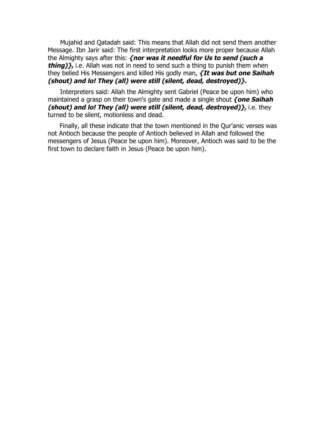Mujahid and Qatadah said: This means that Allah did not send them another Message. Ibn Jarir said: The first interpretation looks more proper because Allah the Almighty says after this: **{nor was it needful for Us to send (such a thing)},** i.e. Allah was not in need to send such a thing to punish them when they belied His Messengers and killed His godly man, **{It was but one Saihah (shout) and lo! They (all) were still (silent, dead, destroyed)}.**

Interpreters said: Allah the Almighty sent Gabriel (Peace be upon him) who maintained a grasp on their town's gate and made a single shout **{one Saihah (shout) and lo! They (all) were still (silent, dead, destroyed)},** i.e. they turned to be silent, motionless and dead.

Finally, all these indicate that the town mentioned in the Qur'anic verses was not Antioch because the people of Antioch believed in Allah and followed the messengers of Jesus (Peace be upon him). Moreover, Antioch was said to be the first town to declare faith in Jesus (Peace be upon him).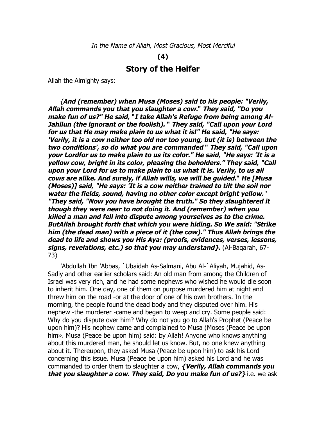In the Name of Allah, Most Gracious, Most Merciful

**(4)**

**Story of the Heifer**

Allah the Almighty says:

{**And (remember) when Musa (Moses) said to his people: "Verily, Allah commands you that you slaughter a cow." They said, "Do you make fun of us?" He said, "I take Allah's Refuge from being among Al-Jahilun (the ignorant or the foolish). " They said, "Call upon your Lord for us that He may make plain to us what it is!" He said, "He says: 'Verily, it is a cow neither too old nor too young, but (it is) between the two conditions', so do what you are commanded " They said, "Call upon your Lordfor us to make plain to us its color." He said, "He says: 'It is a yellow cow, bright in its color, pleasing the beholders." They said, "Call upon your Lord for us to make plain to us what it is. Verily, to us all cows are alike. And surely, if Allah wills, we will be guided." He [Musa (Moses)] said, "He says: 'It is a cow neither trained to tilt the soil nor water the fields, sound, having no other color except bright yellow. ' "They said, "Now you have brought the truth." So they slaughtered it though they were near to not doing it. And (remember) when you killed a man and fell into dispute among yourselves as to the crime. ButAllah brought forth that which you were hiding. So We said: "Strike him (the dead man) with a piece of it (the cow)." Thus Allah brings the dead to life and shows you His Aya: (proofs, evidences, verses, lessons, signs, revelations, etc.) so that you may understand}.** (Al-Baqarah, 67- 73)

'Abdullah Ibn 'Abbas, 'Ubaidah As-Salmani, Abu Al-'Aliyah, Mujahid, As-Sadiy and other earlier scholars said: An old man from among the Children of Israel was very rich, and he had some nephews who wished he would die soon to inherit him. One day, one of them on purpose murdered him at night and threw him on the road -or at the door of one of his own brothers. In the morning, the people found the dead body and they disputed over him. His nephew -the murderer -came and began to weep and cry. Some people said: Why do you dispute over him? Why do not you go to Allah's Prophet (Peace be upon him)? His nephew came and complained to Musa (Moses (Peace be upon him». Musa (Peace be upon him) said: by Allah! Anyone who knows anything about this murdered man, he should let us know. But, no one knew anything about it. Thereupon, they asked Musa (Peace be upon him) to ask his Lord concerning this issue. Musa (Peace be upon him) asked his Lord and he was commanded to order them to slaughter a cow, **{Verily, Allah commands you that you slaughter a cow. They said, Do you make fun of us?}** i.e. we ask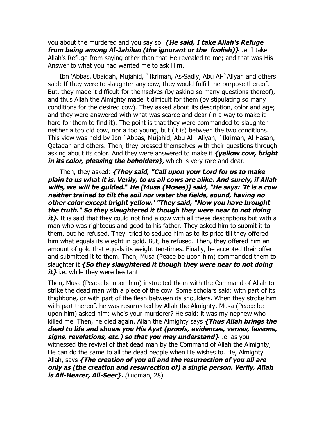you about the murdered and you say so! **{He said, I take Allah's Refuge from being among Al-Jahilun (the ignorant or the foolish)}** i.e. I take Allah's Refuge from saying other than that He revealed to me; and that was His Answer to what you had wanted me to ask Him.

Ibn 'Abbas,'Ubaidah, Mujahid, `Ikrimah, As-Sadiy, Abu Al-`Aliyah and others said: If they were to slaughter any cow, they would fulfill the purpose thereof. But, they made it difficult for themselves (by asking so many questions thereof), and thus Allah the Almighty made it difficult for them (by stipulating so many conditions for the desired cow). They asked about its description, color and age; and they were answered with what was scarce and dear (in a way to make it hard for them to find it). The point is that they were commanded to slaughter neither a too old cow, nor a too young, but (it is) between the two conditions. This view was held by Ibn `Abbas, Mujahid, Abu Al-`Aliyah, `Ikrimah, Al-Hasan, Qatadah and others. Then, they pressed themselves with their questions through asking about its color. And they were answered to make it **{yellow cow, bright** *in its color, pleasing the beholders?,* **which is very rare and dear.** 

Then, they asked: **{They said, "Call upon your Lord for us to make plain to us what it is. Verily, to us all cows are alike. And surely, if Allah wills, we will be guided." He [Musa (Moses)] said, "He says: 'It is a cow neither trained to tilt the soil nor water the fields, sound, having no other color except bright yellow.' "They said, "Now you have brought the truth." So they slaughtered it though they were near to not doing it}**. It is said that they could not find a cow with all these descriptions but with a man who was righteous and good to his father. They asked him to submit it to them, but he refused. They tried to seduce him as to its price till they offered him what equals its wieght in gold. But, he refused. Then, they offered him an amount of gold that equals its weight ten-times. Finally, he accepted their offer and submitted it to them. Then, Musa (Peace be upon him) commanded them to slaughter it **{So they slaughtered it though they were near to not doing it}** i.e. while they were hesitant.

Then, Musa (Peace be upon him) instructed them with the Command of Allah to strike the dead man with a piece of the cow. Some scholars said: with part of its thighbone, or with part of the flesh between its shoulders. When they stroke him with part thereof, he was resurrected by Allah the Almighty. Musa (Peace be upon him) asked him: who's your murderer? He said: it was my nephew who killed me. Then, he died again. Allah the Almighty says **{Thus Allah brings the dead to life and shows you His Ayat (proofs, evidences, verses, lessons, signs, revelations, etc.) so that you may understand}** i.e. as you witnessed the revival of that dead man by the Command of Allah the Almighty, He can do the same to all the dead people when He wishes to. He, Almighty Allah, says **{The creation of you all and the resurrection of you all are only as (the creation and resurrection of) a single person. Verily, Allah** *is All-Hearer, All-Seer}.* (Lugman, 28)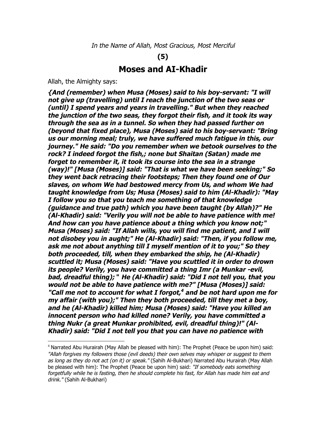#### **(5)**

#### **Moses and AI-Khadir**

Allah, the Almighty says:

**{And (remember) when Musa (Moses) said to his boy-servant: "I will not give up (travelling) until I reach the junction of the two seas or (until) I spend years and years in travelling." But when they reached the junction of the two seas, they forgot their fish, and it took its way through the sea as in a tunnel. So when they had passed further on (beyond that fixed place), Musa (Moses) said to his boy-servant: "Bring us our morning meal; truly, we have suffered much fatigue in this, our journey." He said: "Do you remember when we betook ourselves to the rock? I indeed forgot the fish,; none but Shaitan (Satan) made me forget to remember it, it took its course into the sea in a strange (way)!" [Musa (Moses)] said: "That is what we have been seeking;" So they went back retracing their footsteps; Then they found one of Our slaves, on whom We had bestowed mercy from Us, and whom We had taught knowledge from Us; Musa (Moses) said to him (Al-Khadir): "May I follow you so that you teach me something of that knowledge (guidance and true path) which you have been taught (by Allah)?" He (Al-Khadir) said: "Verily you will not be able to have patience with me! And how can you have patience about a thing which you know not;" Musa (Moses) said: "If Allah wills, you will find me patient, and I will not disobey you in aught;" He (Al-Khadir) said: "Then, if you follow me, ask me not about anything till I myself mention of it to you;" So they both proceeded, till, when they embarked the ship, he (Al-Khadir) scuttled it; Musa (Moses) said: "Have you scuttled it in order to drown its people? Verily, you have committed a thing Imr (a Munkar -evil, bad, dreadful thing); " He (Al-Khadir) said: "Did I not tell you, that you would not be able to have patience with me?" [Musa (Moses)] said: "Call me not to account for what I forgot,<sup>4</sup> and be not hard upon me for my affair (with you);" Then they both proceeded, till they met a boy, and he (Al-Khadir) killed him; Musa (Moses) said: "Have you killed an innocent person who had killed none? Verily, you have committed a thing Nukr (a great Munkar prohibited, evil, dreadful thing)!" (Al-Khadir) said: "Did I not tell you that you can have no patience with**

 $<sup>4</sup>$  Narrated Abu Hurairah (May Allah be pleased with him): The Prophet (Peace be upon him) said:</sup> "Allah forgives my followers those (evil deeds) their own selves may whisper or suggest to them as long as they do not act (on it) or speak." (Sahih Al-Bukhari) Narrated Abu Hurairah (May Allah be pleased with him): The Prophet (Peace be upon him) said: "If somebody eats something forgetfully while he is fasting, then he should complete his fast, for Allah has made him eat and drink." (Sahih Al-Bukhari)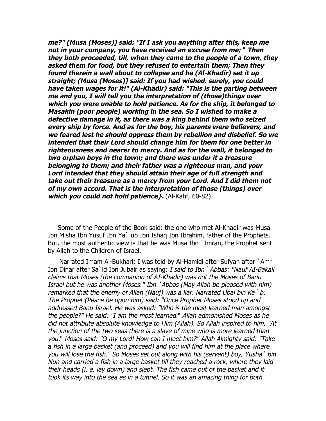**me?" [Musa (Moses)] said: "If I ask you anything after this, keep me not in your company, you have received an excuse from me; " Then they both proceeded, till, when they came to the people of a town, they asked them for food, but they refused to entertain them; Then they found therein a wall about to collapse and he (Al-Khadir) set it up straight; (Musa (Moses)] said: If you had wished, surely, you could have taken wages for it!" (Al-Khadir) said: "This is the parting between me and you, I will tell you the interpretation of (those)things over which you were unable to hold patience. As for the ship, it belonged to Masakin (poor people) working in the sea. So I wished to make a defective damage in it, as there was a king behind them who seized every ship by force. And as for the boy, his parents were believers, and we feared lest he should oppress them by rebellion and disbelief. So we intended that their Lord should change him for them for one better in righteousness and nearer to mercy. And as for the wall, it belonged to two orphan boys in the town; and there was under it a treasure belonging to them; and their father was a righteous man, and your Lord intended that they should attain their age of full strength and take out their treasure as a mercy from your Lord. And I did them not of my own accord. That is the interpretation of those (things) over which you could not hold patience}.** (Al-Kahf, 60-82)

Some of the People of the Book said: the one who met Al-Khadir was Musa Ibn Misha Ibn Yusuf Ibn Ya` ub Ibn Ishaq Ibn Ibrahim, father of the Prophets. But, the most authentic view is that he was Musa Ibn `Imran, the Prophet sent by Allah to the Children of Israel.

Narrated Imam Al-Bukhari: I was told by Al-Hamidi after Sufyan after `Amr Ibn Dinar after Sa id Ibn Jubair as saying: I said to Ibn `Abbas: "Nauf AI-Bakali claims that Moses (the companion of AI-Khadir) was not the Moses of Banu Israel but he was another Moses." Ibn `Abbas (May Allah be pleased with him) remarked that the enemy of Allah (Nauj) was a liar. Narrated Ubai bin Ka  $\delta$ : The Prophet (Peace be upon him) said: "Once Prophet Moses stood up and addressed Banu Israel. He was asked: "Who is the most learned man amongst the people?" He said: "I am the most learned." Allah admonished Moses as he did not attribute absolute knowledge to Him (Allah). So Allah inspired to him, "At the junction of the two seas there is a slave of mine who is more learned than you." Moses said: "O my Lord! How can I meet him?" Allah Almighty said: "Take a fish in a large basket (and proceed) and you will find him at the place where you will lose the fish." So Moses set out along with his (servant) boy, Yusha` bin Nun and carried a fish in a large basket till they reached a rock, where they laid their heads (i. e. lay down) and slept. The fish came out of the basket and it took its way into the sea as in a tunnel. So it was an amazing thing for both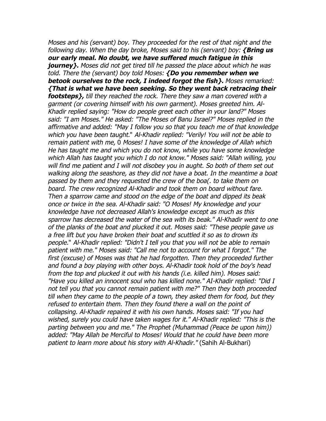Moses and his (servant) boy. They proceeded for the rest of that night and the following day. When the day broke, Moses said to his (servant) boy: **{Bring us our early meal. No doubt, we have suffered much fatigue in this journey }.** Moses did not get tired till he passed the place about which he was told. There the (servant) boy told Moses: **{Do you remember when we betook ourselves to the rock, I indeed forgot the fish }.** Moses remarked: **{That is what we have been seeking. So they went back retracing their footsteps},** till they reached the rock. There they saw a man covered with a garment (or covering himself with his own garment). Moses greeted him. Al-Khadir replied saying: "How do people greet each other in your land?" Moses said: "I am Moses." He asked: "The Moses of Banu Israel?" Moses replied in the affirmative and added: "May I follow you so that you teach me of that knowledge which you have been taught." Al-Khadir replied: "Verily! You will not be able to remain patient with me, 0 Moses! I have some of the knowledge of Allah which He has taught me and which you do not know, while you have some knowledge which Allah has taught you which I do not know." Moses said: "Allah willing, you will find me patient and I will not disobey you in aught. So both of them set out walking along the seashore, as they did not have a boat. In the meantime a boat passed by them and they requested the crew of the boa(. to take them on board. The crew recognized Al-Khadir and took them on board without fare. Then a sparrow came and stood on the edge of the boat and dipped its beak once or twice in the sea. Al-Khadir said: "O Moses! My knowledge and your knowledge have not decreased Allah's knowledge except as much as this sparrow has decreased the water of the sea with its beak." Al-Khadir went to one of the planks of the boat and plucked it out. Moses said: "These people gave us a free lift but you have broken their boat and scuttled it so as to drown its people." Al-Khadir replied: "Didn't I tell you that you will not be able to remain patient with me." Moses said: "Call me not to account for what I forgot." The first (excuse) of Moses was that he had forgotten. Then they proceeded further and found a boy playing with other boys. Al-Khadir took hold of the boy's head from the top and plucked it out with his hands (i.e. killed him). Moses said: "Have you killed an innocent soul who has killed none." AI-Khadir replied: "Did I not tell you that you cannot remain patient with me?" Then they both proceeded till when they came to the people of a town, they asked them for food, but they refused to entertain them. Then they found there a wall on the point of collapsing. Al-Khadir repaired it with his own hands. Moses said: "If you had wished, surely you could have taken wages for it." Al-Khadir replied: "This is the parting between you and me." The Prophet (Muhammad (Peace be upon him)) added: "May Allah be Merciful to Moses! Would that he could have been more patient to learn more about his story with Al-Khadir." (Sahih Al-Bukhari)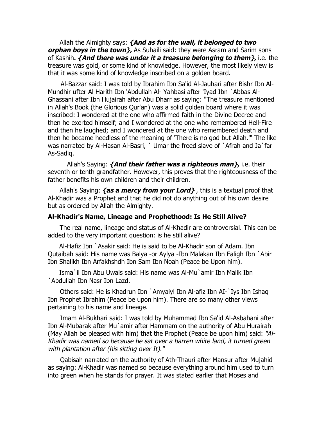Allah the Almighty says: **{And as for the wall, it belonged to two orphan boys in the town },** As Suhaili said: they were Asram and Sarim sons of Kashih**. {And there was under it a treasure belonging to them},** i.e. the treasure was gold, or some kind of knowledge. However, the most likely view is that it was some kind of knowledge inscribed on a golden board.

Al-Bazzar said: I was told by Ibrahim Ibn Sa'id Al-Jauhari after Bishr Ibn Al-Mundhir ufter Al Harith Ibn 'Abdullah Al- Yahbasi after 'Iyad Ibn `Abbas Al-Ghassani after Ibn Hujairah after Abu Dharr as saying: "The treasure mentioned in Allah's Book (the Glorious Qur'an) was a solid golden board where it was inscribed: I wondered at the one who affirmed faith in the Divine Decree and then he exerted himself; and I wondered at the one who remembered Hell-Fire and then he laughed; and I wondered at the one who remembered death and then he became heedless of the meaning of 'There is no god but Allah.'" The like was narrated by Al-Hasan Al-Basri, `Umar the freed slave of `Afrah and Ja`far As-Sadiq.

Allah's Saying: **{And their father was a righteous man},** i.e. their seventh or tenth grandfather. However, this proves that the righteousness of the father benefits his own children and their children.

Allah's Saying: **{as a mercy from your Lord}** , this is a textual proof that Al-Khadir was a Prophet and that he did not do anything out of his own desire but as ordered by Allah the Almighty.

#### **Al-Khadir's Name, Lineage and Prophethood: Is He Still Alive?**

The real name, lineage and status of Al-Khadir are controversial. This can be added to the very important question: is he still alive?

Al-Hafiz Ibn `Asakir said: He is said to be Al-Khadir son of Adam. Ibn Qutaibah said: His name was Balya -or Aylya -Ibn Malakan Ibn Faligh Ibn `Abir Ibn Shalikh Ibn Arfakhshdh Ibn Sam Ibn Noah (Peace be Upon him).

Isma`il Ibn Abu Uwais said: His name was Al-Mu`amir Ibn Malik Ibn `Abdullah Ibn Nasr Ibn Lazd.

Others said: He is Khadrun Ibn `Amyaiyl Ibn Al-afiz Ibn AI-`Iys Ibn Ishaq Ibn Prophet Ibrahim (Peace be upon him). There are so many other views pertaining to his name and lineage.

Imam Al-Bukhari said: I was told by Muhammad Ibn Sa'id Al-Asbahani after Ibn Al-Mubarak after Mu`amir after Hammam on the authority of Abu Hurairah (May Allah be pleased with him) that the Prophet (Peace be upon him) said: "Al-Khadir was named so because he sat over a barren white land, it turned green with plantation after (his sitting over It)."

Qabisah narrated on the authority of Ath-Thauri after Mansur after Mujahid as saying: Al-Khadir was named so because everything around him used to turn into green when he stands for prayer. It was stated earlier that Moses and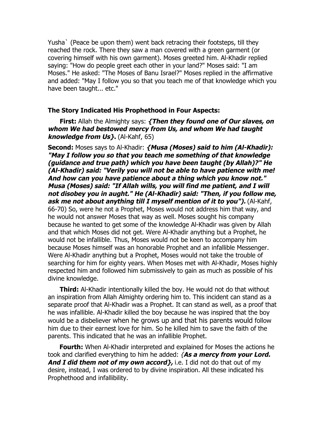Yusha` (Peace be upon them) went back retracing their footsteps, till they reached the rock. There they saw a man covered with a green garment (or covering himself with his own garment). Moses greeted him. Al-Khadir replied saying: "How do people greet each other in your land?" Moses said: "I am Moses." He asked: "The Moses of Banu Israel?" Moses replied in the affirmative and added: "May I follow you so that you teach me of that knowledge which you have been taught... etc."

#### **The Story Indicated His Prophethood in Four Aspects:**

**First:** Allah the Almighty says: **{Then they found one of Our slaves, on whom We had bestowed mercy from Us, and whom We had taught knowledge from Us}.** (Al-Kahf, 65)

**Second:** Moses says to Al-Khadir: **{Musa (Moses) said to him (Al-Khadir): "May I follow you so that you teach me something of that knowledge (guidance and true path) which you have been taught (by Allah)?" He (Al-Khadir) said: "Verily you will not be able to have patience with me! And how can you have patience about a thing which you know not." Musa (Moses) said: "If Allah wills, you will find me patient, and I will not disobey you in aught." He (Al-Khadir) said: "Then, if you follow me, ask me not about anything till I myself mention of it to you").** (Al-Kahf, 66-70) So, were he not a Prophet, Moses would not address him that way, and he would not answer Moses that way as well. Moses sought his company because he wanted to get some of the knowledge Al-Khadir was given by Allah and that which Moses did not get. Were Al-Khadir anything but a Prophet, he would not be infallible. Thus, Moses would not be keen to accompany him because Moses himself was an honorable Prophet and an infallible Messenger. Were Al-Khadir anything but a Prophet, Moses would not take the trouble of searching for him for eighty years. When Moses met with Al-Khadir, Moses highly respected him and followed him submissively to gain as much as possible of his divine knowledge.

**Third:** Al-Khadir intentionally killed the boy. He would not do that without an inspiration from Allah Almighty ordering him to. This incident can stand as a separate proof that Al-Khadir was a Prophet. It can stand as well, as a proof that he was infallible. Al-Khadir killed the boy because he was inspired that the boy would be a disbeliever when he grows up and that his parents would follow him due to their earnest love for him. So he killed him to save the faith of the parents. This indicated that he was an infallible Prophet.

**Fourth:** When Al-Khadir interpreted and explained for Moses the actions he took and clarified everything to him he added: {**As a mercy from your Lord. And I did them not of my own accord},** i.e. I did not do that out of my desire, instead, I was ordered to by divine inspiration. All these indicated his Prophethood and infallibility.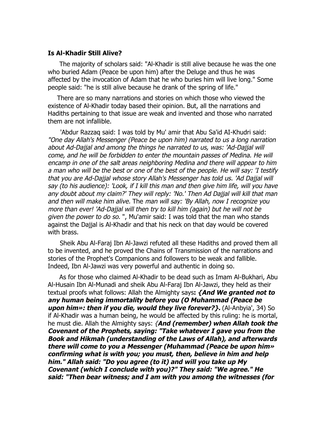#### **Is Al-Khadir Still Alive?**

The majority of scholars said: "Al-Khadir is still alive because he was the one who buried Adam (Peace be upon him) after the Deluge and thus he was affected by the invocation of Adam that he who buries him will live long." Some people said: "he is still alive because he drank of the spring of life."

There are so many narrations and stories on which those who viewed the existence of Al-Khadir today based their opinion. But, all the narrations and Hadiths pertaining to that issue are weak and invented and those who narrated them are not infallible.

'Abdur Razzaq said: I was told by Mu' amir that Abu Sa'id AI-Khudri said: "One day Allah's Messenger (Peace be upon him) narrated to us a long narration about Ad-Dajjal and among the things he narrated to us, was: 'Ad-Dajjal will come, and he will be forbidden to enter the mountain passes of Medina. He will encamp in one of the salt areas neighboring Medina and there will appear to him a man who will be the best or one of the best of the people. He will say: 'I testify that you are Ad-Dajjal whose story Allah's Messenger has told us. 'Ad Dajjal will say (to his audience): 'Look, if I kill this man and then give him life, will you have any doubt about my claim?' They will reply: 'No.' Then Ad Dajjal will kill that man and then will make him alive. The man will say: 'By Allah, now I recognize you more than ever! 'Ad-Dajjal will then try to kill him (again) but he will not be given the power to do so. ", Mu'amir said: I was told that the man who stands against the Dajjal is Al-Khadir and that his neck on that day would be covered with brass.

Sheik Abu Al-Faraj Ibn Al-Jawzi refuted all these Hadiths and proved them all to be invented, and he proved the Chains of Transmission of the narrations and stories of the Prophet's Companions and followers to be weak and fallible. Indeed, Ibn Al-Jawzi was very powerful and authentic in doing so.

As for those who claimed Al-Khadir to be dead such as Imam Al-Bukhari, Abu Al-Husain Ibn Al-Munadi and sheik Abu Al-Faraj Ibn Al-Jawzi, they held as their textual proofs what follows: Allah the Almighty says**: {And We granted not to any human being immortality before you (O Muhammad (Peace be upon him»: then if you die, would they live forever?}.** (Al-Anbyia', 34) So if Al-Khadir was a human being, he would be affected by this ruling: he is mortal, he must die. Allah the Almighty says: {**And (remember) when Allah took the Covenant of the Prophets, saying: "Take whatever I gave you from the Book and Hikmah (understanding of the Laws of Allah), and afterwards there will come to you a Messenger (Muhammad (Peace be upon him» confirming what is with you; you must, then, believe in him and help him." Allah said: "Do you agree (to it) and will you take up My Covenant (which I conclude with you)?" They said: "We agree." He said: "Then bear witness; and I am with you among the witnesses (for**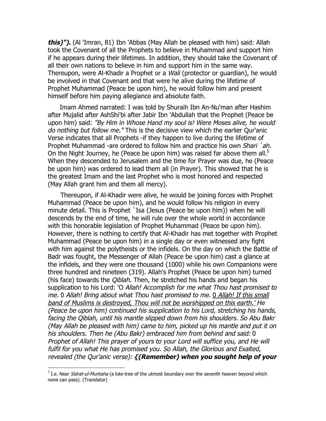**this)").** (Al 'Imran, 81) Ibn 'Abbas (May Allah be pleased with him) said: Allah took the Covenant of all the Prophets to believe in Muhammad and support him if he appears during their lifetimes. In addition, they should take the Covenant of all their own nations to believe in him and support him in the same way. Thereupon, were Al-Khadir a Prophet or a Wali (protector or guardian), he would be involved in that Covenant and that were he alive during the lifetime of Prophet Muhammad (Peace be upon him), he would follow him and present himself before him paying allegiance and absolute faith.

Imam Ahmed narrated: I was told by Shuraih Ibn An-Nu'man after Hashim after Mujalid after AshShi'bi after Jabir Ibn 'Abdullah that the Prophet (Peace be upon him) said: "By Him in Whose Hand my soul is! Were Moses alive, he would do nothing but follow me." This is the decisive view which the earlier Our'anic Verse indicates that all Prophets -if they happen to live during the lifetime of Prophet Muhammad -are ordered to follow him and practice his own Shari `ah. On the Night Journey, he (Peace be upon him) was raised far above them all.<sup>5</sup> When they descended to Jerusalem and the time for Prayer was due, he (Peace be upon him) was ordered to lead them all (in Prayer). This showed that he is the greatest Imam and the last Prophet who is most honored and respected (May Allah grant him and them all mercy).

Thereupon, if Al-Khadir were alive, he would be joining forces with Prophet Muhammad (Peace be upon him), and he would follow his religion in every minute detail. This is Prophet `Isa (Jesus (Peace be upon him)) when he will descends by the end of time, he will rule over the whole world in accordance with this honorable legislation of Prophet Muhammad (Peace be upon him). However, there is nothing to certify that Al-Khadir has met together with Prophet Muhammad (Peace be upon him) in a single day or even witnessed any fight with him against the polytheists or the infidels. On the day on which the Battle of Badr was fought, the Messenger of Allah (Peace be upon him) cast a glance at the infidels, and they were one thousand (1000) while his own Companions were three hundred and nineteen (319). Allah's Prophet (Peace be upon him) turned (his face) towards the *Qiblah*. Then, he stretched his hands and began his supplication to his Lord: 'O Allah! Accomplish for me what Thou hast promised to me. 0 Allah! Bring about what Thou hast promised to me. 0 Allah! If this small band of Muslims is destroyed, Thou will not be worshipped on this earth.' He (Peace be upon him) continued his supplication to his Lord, stretching his hands, facing the Qiblah, until his mantle slipped down from his shoulders. So Abu Bakr (May Allah be pleased with him) came to him, picked up his mantle and put it on his shoulders. Then he (Abu Bakr) embraced him from behind and said: 0 Prophet of Allah! This prayer of yours to your Lord will suffice you, and He will fulfil for you what He has promised you. So Allah, the Glorious and Exalted, revealed (the Qur'anic verse): **{(Remember) when you sought help of your**

 $<sup>5</sup>$  I.e. Near Sidrat-ul-Muntaha (a lote-tree of the utmost boundary over the seventh heaven beyond which</sup> none can pass). (Translator)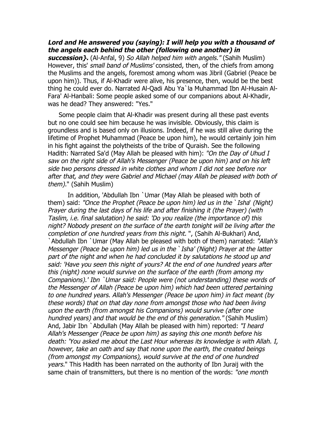### **Lord and He answered you (saying): I will help you with a thousand of the angels each behind the other (following one another) in**

**succession}.** (Al-Anfal, 9) So Allah helped him with angels." (Sahih Muslim) However, this' small band of Muslims' consisted, then, of the chiefs from among the Muslims and the angels, foremost among whom was Jibril (Gabriel (Peace be upon him)). Thus, if Al-Khadir were alive, his presence, then, would be the best thing he could ever do. Narrated Al-Qadi Abu Ya`la Muhammad Ibn Al-Husain Al-Fara' Al-Hanbali: Some people asked some of our companions about Al-Khadir, was he dead? They answered: "Yes."

Some people claim that Al-Khadir was present during all these past events but no one could see him because he was invisible. Obviously, this claim is groundless and is based only on illusions. Indeed, if he was still alive during the lifetime of Prophet Muhammad (Peace be upon him), he would certainly join him in his fight against the polytheists of the tribe of Quraish. See the following Hadith: Narrated Sa'd (May Allah be pleased with him): "On the Day of Uhud I saw on the right side of Allah's Messenger (Peace be upon him) and on his left side two persons dressed in white clothes and whom I did not see before nor after that, and they were Gabriel and Michael (may Allah be pleased with both of them)." (Sahih Muslim)

In addition, 'Abdullah Ibn `Umar (May Allah be pleased with both of them) said: "Once the Prophet (Peace be upon him) led us in the `Isha' (Night) Prayer during the last days of his life and after finishing it (the Prayer) (with Taslim, i.e. final salutation) he said: 'Do you realize (the importance of) this night? Nobody present on the surface of the earth tonight will be living after the completion of one hundred years from this night. ", (Sahih Al-Bukhari) And, `Abdullah Ibn `Umar (May Allah be pleased with both of them) narrated: "Allah's Messenger (Peace be upon him) led us in the `Isha' (Night) Prayer at the latter part of the night and when he had concluded it by salutations he stood up and said: 'Have you seen this night of yours? At the end of one hundred years after this (night) none would survive on the surface of the earth (from among my Companions).' Ibn `Umar said: People were (not understanding) these words of the Messenger of Allah (Peace be upon him) which had been uttered pertaining to one hundred years. Allah's Messenger (Peace be upon him) in fact meant (by these words) that on that day none from amongst those who had been living upon the earth (from amongst his Companions) would survive (after one hundred years) and that would be the end of this generation." (Sahih Muslim) And, Jabir Ibn `Abdullah (May Allah be pleased with him) reported: "I heard Allah's Messenger (Peace be upon him) as saying this one month before his death: 'You asked me about the Last Hour whereas its knowledge is with Allah. I, however, take an oath and say that none upon the earth, the created beings (from amongst my Companions), would survive at the end of one hundred years." This Hadith has been narrated on the authority of Ibn Juraij with the same chain of transmitters, but there is no mention of the words: "one month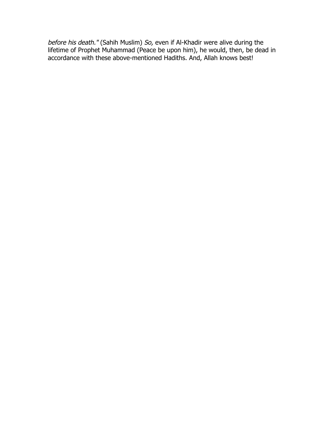before his death." (Sahih Muslim) So, even if Al-Khadir were alive during the lifetime of Prophet Muhammad (Peace be upon him), he would, then, be dead in accordance with these above-mentioned Hadiths. And, Allah knows best!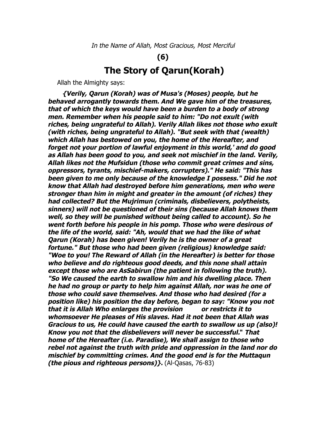# **(6) The Story of Qarun(Korah)**

Allah the Almighty says:

**{Verily, Qarun (Korah) was of Musa's (Moses) people, but he behaved arrogantly towards them. And We gave him of the treasures, that of which the keys would have been a burden to a body of strong men. Remember when his people said to him: "Do not exult (with riches, being ungrateful to Allah). Verily Allah likes not those who exult (with riches, being ungrateful to Allah). "But seek with that (wealth) which Allah has bestowed on you, the home of the Hereafter, and forget not your portion of lawful enjoyment in this world,' and do good as Allah has been good to you, and seek not mischief in the land. Verily, Allah likes not the Mufsidun (those who commit great crimes and sins, oppressors, tyrants, mischief-makers, corrupters)." He said: "This has been given to me only because of the knowledge I possess." Did he not know that Allah had destroyed before him generations, men who were stronger than him in might and greater in the amount (of riches) they had collected? But the Mujrimun (criminals, disbelievers, polytheists, sinners) will not be questioned of their sins (because Allah knows them well, so they will be punished without being called to account). So he went forth before his people in his pomp. Those who were desirous of the life of the world, said: "Ah, would that we had the like of what Qarun (Korah) has been given! Verily he is the owner of a great fortune." But those who had been given (religious) knowledge said: "Woe to you! The Reward of Allah (in the Hereafter) is better for those who believe and do righteous good deeds, and this none shall attain except those who are AsSabirun (the patient in following the truth). "So We caused the earth to swallow him and his dwelling place. Then he had no group or party to help him against Allah, nor was he one of those who could save themselves. And those who had desired (for a position like) his position the day before, began to say: "Know you not that it is Allah Who enlarges the provision or restricts it to whomsoever He pleases of His slaves. Had it not been that Allah was Gracious to us, He could have caused the earth to swallow us up (also)! Know you not that the disbelievers will never be successful." That home of the Hereafter (i.e. Paradise), We shall assign to those who rebel not against the truth with pride and oppression in the land nor do mischief by committing crimes. And the good end is for the Muttaqun (the pious and righteous persons)}.** (Al-Qasas, 76-83)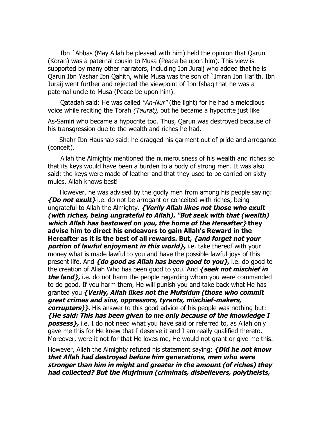Ibn `Abbas (May Allah be pleased with him) held the opinion that Qarun (Koran) was a paternal cousin to Musa (Peace be upon him). This view is supported by many other narrators, including Ibn Juraij who added that he is Qarun Ibn Yashar Ibn Qahith, while Musa was the son of `Imran Ibn Hafith. Ibn Juraij went further and rejected the viewpoint of Ibn Ishaq that he was a paternal uncle to Musa (Peace be upon him).

Qatadah said: He was called "An-Nur" (the light) for he had a melodious voice while reciting the Torah (Taurat), but he became a hypocrite just like

As-Samiri who became a hypocrite too. Thus, Qarun was destroyed because of his transgression due to the wealth and riches he had.

Shahr Ibn Haushab said: he dragged his garment out of pride and arrogance (conceit).

Allah the Almighty mentioned the numerousness of his wealth and riches so that its keys would have been a burden to a body of strong men. It was also said: the keys were made of leather and that they used to be carried on sixty mules. Allah knows best!

However, he was advised by the godly men from among his people saying: **{Do not exult}** i.e. do not be arrogant or conceited with riches, being ungrateful to Allah the Almighty. **{Verily Allah likes not those who exult (with riches, being ungrateful to Allah). "But seek with that (wealth) which Allah has bestowed on you, the home of the Hereafter} they advise him to direct his endeavors to gain Allah's Reward in the Hereafter as it is the best of all rewards. But, {and forget not your portion of lawful enjoyment in this world**, i.e. take thereof with your money what is made lawful to you and have the possible lawful joys of this present life. And **{do good as Allah has been good to you},** i.e. do good to the creation of Allah Who has been good to you. And **{seek not mischief in the land},** i.e. do not harm the people regarding whom you were commanded to do good. If you harm them, He will punish you and take back what He has granted you **{Verily, Allah likes not the Mufsidun (those who commit great crimes and sins, oppressors, tyrants, mischief-makers, corrupters)}.** His answer to this good advice of his people was nothing but: **{He said: This has been given to me only because of the knowledge I possess},** i.e. I do not need what you have said or referred to, as Allah only gave me this for He knew that I deserve it and I am really qualified thereto. Moreover, were it not for that He loves me, He would not grant or give me this.

However, Allah the Almighty refuted his statement saying: **{Did he not know that Allah had destroyed before him generations, men who were stronger than him in might and greater in the amount (of riches) they had collected? But the Mujrimun (criminals, disbelievers, polytheists,**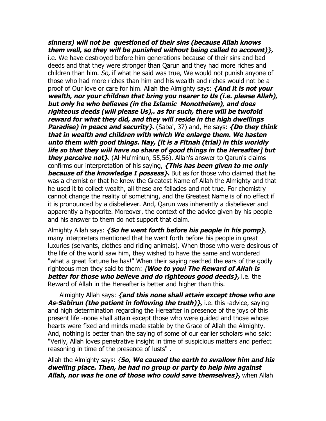**sinners) will not be questioned of their sins (because Allah knows them well, so they will be punished without being called to account)},** i.e. We have destroyed before him generations because of their sins and bad deeds and that they were stronger than Qarun and they had more riches and children than him. So, if what he said was true, We would not punish anyone of those who had more riches than him and his wealth and riches would not be a proof of Our love or care for him. Allah the Almighty says: **{And it is not your wealth, nor your children that bring you nearer to Us (i.e. please Allah), but only he who believes (in the Islamic Monotheism), and does righteous deeds (will please Us),. as for such, there will be twofold reward for what they did, and they will reside in the high dwellings Paradise) in peace and security}.** (Saba', 37) and, He says: *{Do they think* **that in wealth and children with which We enlarge them. We hasten unto them with good things. Nay, [it is a Fitnah (trial) in this worldly life so that they will have no share of good things in the Hereafter] but they perceive not}**. (Al-Mu'minun, 55,56). Allah's answer to Qarun's claims confirms our interpretation of his saying, **{This has been given to me only because of the knowledge I possess }.** But as for those who claimed that he was a chemist or that he knew the Greatest Name of Allah the Almighty and that he used it to collect wealth, all these are fallacies and not true. For chemistry cannot change the reality of something, and the Greatest Name is of no effect if it is pronounced by a disbeliever. And, Qarun was inherently a disbeliever and apparently a hypocrite. Moreover, the context of the advice given by his people and his answer to them do not support that claim.

Almighty Allah says: **{So he went forth before his people in his pomp}**, many interpreters mentioned that he went forth before his people in great luxuries (servants, clothes and riding animals). When those who were desirous of the life of the world saw him, they wished to have the same and wondered "what a great fortune he has!" When their saying reached the ears of the godly righteous men they said to them: {**Woe to you! The Reward of Allah is better for those who believe and do righteous good deeds},** i.e. the Reward of Allah in the Hereafter is better and higher than this.

Almighty Allah says: **{and this none shall attain except those who are As-Sabirun (the patient in following the truth)},** i.e. this -advice, saying and high determination regarding the Hereafter in presence of the joys of this present life -none shall attain except those who were guided and those whose hearts were fixed and minds made stable by the Grace of Allah the Almighty. And, nothing is better than the saying of some of our earlier scholars who said: "Verily, Allah loves penetrative insight in time of suspicious matters and perfect reasoning in time of the presence of lusts" .

Allah the Almighty says: {**So, We caused the earth to swallow him and his dwelling place. Then, he had no group or party to help him against Allah, nor was he one of those who could save themselves},** when Allah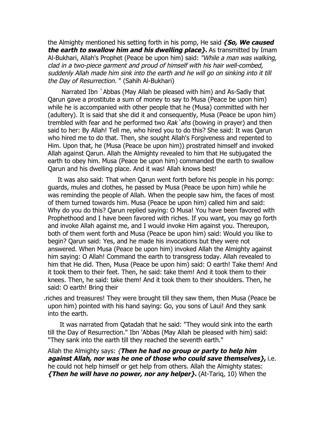the Almighty mentioned his setting forth in his pomp, He said **{So, We caused the earth to swallow him and his dwelling place }.** As transmitted by Imam Al-Bukhari, Allah's Prophet (Peace be upon him) said: "While a man was walking, clad in a two-piece garment and proud of himself with his hair well-combed, suddenly Allah made him sink into the earth and he will go on sinking into it till the Day of Resurrection. " (Sahih Al-Bukhari)

Narrated Ibn `Abbas (May Allah be pleased with him) and As-Sadiy that Qarun gave a prostitute a sum of money to say to Musa (Peace be upon him) while he is accompanied with other people that he (Musa) committed with her (adultery). It is said that she did it and consequently, Musa (Peace be upon him) trembled with fear and he performed two Rak ahs (bowing in prayer) and then said to her: By Allah! Tell me, who hired you to do this? She said: It was Qarun who hired me to do that. Then, she sought Allah's Forgiveness and repented to Him. Upon that, he (Musa (Peace be upon him)) prostrated himself and invoked Allah against Qarun. Allah the Almighty revealed to him that He subjugated the earth to obey him. Musa (Peace be upon him) commanded the earth to swallow Qarun and his dwelling place. And it was! Allah knows best!

It was also said: That when Qarun went forth before his people in his pomp: guards, mules and clothes, he passed by Musa (Peace be upon him) while he was reminding the people of Allah. When the people saw him, the faces of most of them turned towards him. Musa (Peace be upon him) called him and said: Why do you do this? Qarun replied saying: O Musa! You have been favored with Prophethood and I have been favored with riches. If you want, you may go forth and invoke Allah against me, and I would invoke Him against you. Thereupon, both of them went forth and Musa (Peace be upon him) said: Would you like to begin? Qarun said: Yes, and he made his invocations but they were not answered. When Musa (Peace be upon him) invoked Allah the Almighty against him saying: O Allah! Command the earth to transgress today. Allah revealed to him that He did. Then, Musa (Peace be upon him) said: O earth! Take them! And it took them to their feet. Then, he said: take them! And it took them to their knees. Then, he said: take them! And it took them to their shoulders. Then, he said: O earth! Bring their

.riches and treasures! They were brought till they saw them, then Musa (Peace be upon him) pointed with his hand saying: Go, you sons of Laui! And they sank into the earth.

It was narrated from Qatadah that he said: "They would sink into the earth till the Day of Resurrection." Ibn 'Abbas (May Allah be pleased with him) said: "They sank into the earth till they reached the seventh earth."

Allah the Almighty says: {**Then he had no group or party to help him against Allah, nor was he one of those who could save themselves},** i.e. he could not help himself or get help from others. Allah the Almighty states: **{Then he will have no power, nor any helper}.** (At-Tarig, 10) When the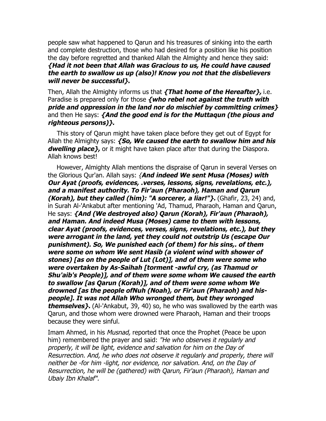people saw what happened to Qarun and his treasures of sinking into the earth and complete destruction, those who had desired for a position like his position the day before regretted and thanked Allah the Almighty and hence they said: **{Had it not been that Allah was Gracious to us, He could have caused the earth to swallow us up (also)! Know you not that the disbelievers will never be successful}.**

Then, Allah the Almighty informs us that **{That home of the Hereafter},** i.e. Paradise is prepared only for those **{who rebel not against the truth with pride and oppression in the land nor do mischief by committing crimes}** and then He says: **{And the good end is for the Muttaqun (the pious and righteous persons)}.**

This story of Qarun might have taken place before they get out of Egypt for Allah the Almighty says: **{So, We caused the earth to swallow him and his dwelling place** }, or it might have taken place after that during the Diaspora. Allah knows best!

However, Almighty Allah mentions the dispraise of Qarun in several Verses on the Glorious Qur'an. Allah says: {**And indeed We sent Musa (Moses) with Our Ayat (proofs, evidences, .verses, lessons, signs, revelations, etc.), and a manifest authority. To Fir'aun (Pharaoh), Haman and Qarun (Korah), but they called (him): "A sorcerer, a liar!"}.** (Ghafir, 23, 24) and, in Surah Al-'Ankabut after mentioning 'Ad, Thamud, Pharaoh, Haman and Qarun, He says: **{And (We destroyed also) Qarun (Korah), Fir'aun (Pharaoh), and Haman. And indeed Musa (Moses) came to them with lessons, clear Ayat (proofs, evidences, verses, signs, revelations, etc.), but they were arrogant in the land, yet they could not outstrip Us (escape Our punishment). So, We punished each (of them) for his sins,. of them were some on whom We sent Hasib (a violent wind with shower of stones) [as on the people of Lut (Lot)], and of them were some who were overtaken by As-Saihah [torment -awful cry, (as Thamud or Shu'aib's People)], and of them were some whom We caused the earth to swallow [as Qarun (Korah)], and of them were some whom We drowned [as the people ofNuh (Noah), or Fir'aun (Pharaoh) and hispeople]. It was not Allah Who wronged them, but they wronged themselves}.** (Al-'Ankabut, 39, 40) so, he who was swallowed by the earth was Qarun, and those whom were drowned were Pharaoh, Haman and their troops because they were sinful.

Imam Ahmed, in his *Musnad*, reported that once the Prophet (Peace be upon him) remembered the prayer and said: "He who observes it regularly and properly, it will be light, evidence and salvation for him on the Day of Resurrection. And, he who does not observe it regularly and properly, there will neither be -for him -light, nor evidence, nor salvation. And, on the Day of Resurrection, he will be (gathered) with Qarun, Fir'aun (Pharaoh), Haman and Ubaiy Ibn Khalaf".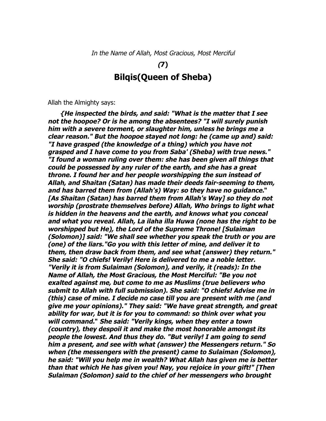## **(7) Bilqis(Queen of Sheba)**

Allah the Almighty says:

**{He inspected the birds, and said: "What is the matter that I see not the hoopoe? Or is he among the absentees? "I will surely punish him with a severe torment, or slaughter him, unless he brings me a clear reason." But the hoopoe stayed not long: he (came up and) said: "I have grasped (the knowledge of a thing) which you have not grasped and I have come to you from Saba' (Sheba) with true news." "I found a woman ruling over them: she has been given all things that could be possessed by any ruler of the earth, and she has a great throne. I found her and her people worshipping the sun instead of Allah, and Shaitan (Satan) has made their deeds fair-seeming to them, and has barred them from (Allah's) Way: so they have no guidance." [As Shaitan (Satan) has barred them from Allah's Way] so they do not worship (prostrate themselves before) Allah, Who brings to light what is hidden in the heavens and the earth, and knows what you conceal and what you reveal. Allah, La ilaha illa Huwa (none has the right to be worshipped but He), the Lord of the Supreme Throne! [Sulaiman (Solomon)] said: "We shall see whether you speak the truth or you are (one) of the liars."Go you with this letter of mine, and deliver it to them, then draw back from them, and see what (answer) they return." She said: "O chiefs! Verily! Here is delivered to me a noble letter. "Verily it is from Sulaiman (Solomon), and verily, it (reads): In the Name of Allah, the Most Gracious, the Most Merciful: "Be you not exalted against me, but come to me as Muslims (true believers who submit to Allah with full submission). She said: "O chiefs! Advise me in (this) case of mine. I decide no case till you are present with me (and give me your opinions)." They said: "We have great strength, and great ability for war, but it is for you to command: so think over what you will command." She said: "Verily kings, when they enter a town (country), they despoil it and make the most honorable amongst its people the lowest. And thus they do. "But verily! I am going to send him a present, and see with what (answer) the Messengers return." So when (the messengers with the present) came to Sulaiman (Solomon), he said: "Will you help me in wealth? What Allah has given me is better than that which He has given you! Nay, you rejoice in your gift!" [Then Sulaiman (Solomon) said to the chief of her messengers who brought**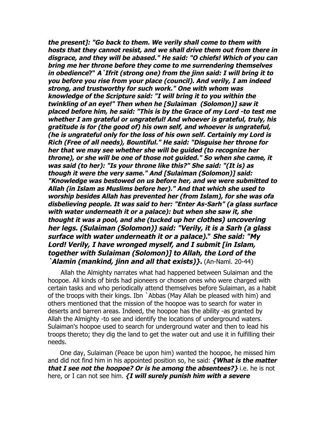**the present]: "Go back to them. We verily shall come to them with hosts that they cannot resist, and we shall drive them out from there in disgrace, and they will be abased." He said: "O chiefs! Which of you can bring me her throne before they come to me surrendering themselves in obedience?" A`Ifrit (strong one) from the jinn said: I will bring it to you before you rise from your place (council). And verily, I am indeed strong, and trustworthy for such work." One with whom was knowledge of the Scripture said: "I will bring it to you within the twinkling of an eye!" Then when he [Sulaiman (Solomon)] saw it placed before him, he said: "This is by the Grace of my Lord -to test me whether I am grateful or ungrateful! And whoever is grateful, truly, his gratitude is for (the good of) his own self, and whoever is ungrateful, (he is ungrateful only for the loss of his own self. Certainly my Lord is Rich (Free of all needs), Bountiful." He said: "Disguise her throne for her that we may see whether she will be guided (to recognize her throne), or she will be one of those not guided." So when she came, it was said (to her): "Is your throne like this?" She said: "(It is) as though it were the very same." And [Sulaiman (Solomon)] said: "Knowledge was bestowed on us before her, and we were submitted to Allah (in Islam as Muslims before her)." And that which she used to worship besides Allah has prevented her (from Islam), for she was ofa disbelieving people. It was said to her: "Enter As-Sarh" (a glass surface with water underneath it or a palace): but when she saw it, she thought it was a pool, and she (tucked up her clothes) uncovering her legs. (Sulaiman (Solomon)) said: "Verily, it is a Sarh (a glass surface with water underneath it or a palace)." She said: "My Lord! Verily, I have wronged myself, and I submit [in Islam, together with Sulaiman (Solomon)] to Allah, the Lord of the `Alamin (mankind, jinn and all that exists)}.** (An-Naml. 20-44)

Allah the Almighty narrates what had happened between Sulaiman and the hoopoe. All kinds of birds had pioneers or chosen ones who were charged with certain tasks and who periodically attend themselves before Sulaiman, as a habit of the troops with their kings. Ibn `Abbas (May Allah be pleased with him) and others mentioned that the mission of the hoopoe was to search for water in deserts and barren areas. Indeed, the hoopoe has the ability -as granted by Allah the Almighty -to see and identify the locations of underground waters. Sulaiman's hoopoe used to search for underground water and then to lead his troops thereto; they dig the land to get the water out and use it in fulfilling their needs.

One day, Sulaiman (Peace be upon him) wanted the hoopoe, he missed him and did not find him in his appointed position so, he said: **{What is the matter that I see not the hoopoe? Or is he among the absentees?}** i.e. he is not here, or I can not see him. **{I will surely punish him with a severe**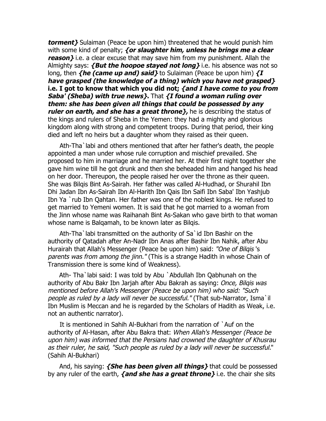**torment}** Sulaiman (Peace be upon him) threatened that he would punish him with some kind of penalty; **{or slaughter him, unless he brings me a clear reason}** i.e. a clear excuse that may save him from my punishment. Allah the Almighty says: **{But the hoopoe stayed not long}** i.e. his absence was not so long, then **{he (came up and) said}** to Sulaiman (Peace be upon him) **{I have grasped (the knowledge of a thing) which you have not grasped} i.e. I got to know that which you did not; {and I have come to you from Saba' (Sheba) with true news}.** That **{I found a woman ruling over them: she has been given all things that could be possessed by any ruler on earth, and she has a great throne},** he is describing the status of the kings and rulers of Sheba in the Yemen: they had a mighty and glorious kingdom along with strong and competent troops. During that period, their king died and left no heirs but a daughter whom they raised as their queen.

Ath-Tha`labi and others mentioned that after her father's death, the people appointed a man under whose rule corruption and mischief prevailed. She proposed to him in marriage and he married her. At their first night together she gave him wine till he got drunk and then she beheaded him and hanged his head on her door. Thereupon, the people raised her over the throne as their queen. She was Bilqis Bint As-Sairah. Her father was called Al-Hudhad, or Shurahil Ibn Dhi Jadan Ibn As-Sairah Ibn Al-Harith Ibn Qais Ibn Saifi Ibn Saba' Ibn Yashjub Ibn Ya `rub Ibn Qahtan. Her father was one of the noblest kings. He refused to get married to Yemeni women. It is said that he got married to a woman from the Jinn whose name was Raihanah Bint As-Sakan who gave birth to that woman whose name is Balqamah, to be known later as Bilqis.

Ath-Tha`labi transmitted on the authority of Sa`id Ibn Bashir on the authority of Qatadah after An-Nadr Ibn Anas after Bashir Ibn Nahik, after Abu Hurairah that Allah's Messenger (Peace be upon him) said: "One of Bilqis 's parents was from among the jinn." (This is a strange Hadith in whose Chain of Transmission there is some kind of Weakness).

Ath- Tha`labi said: I was told by Abu `Abdullah Ibn Qabhunah on the authority of Abu Bakr Ibn Jarjah after Abu Bakrah as saying: Once, Bilqis was mentioned before Allah's Messenger (Peace be upon him) who said: "Such people as ruled by a lady will never be successful." (That sub-Narrator, Isma`il Ibn Muslim is Meccan and he is regarded by the Scholars of Hadith as Weak, i.e. not an authentic narrator).

It is mentioned in Sahih Al-Bukhari from the narration of `Auf on the authority of Al-Hasan, after Abu Bakra that: When Allah's Messenger (Peace be upon him) was informed that the Persians had crowned the daughter of Khusrau as their ruler, he said, "Such people as ruled by a lady will never be successful." (Sahih Al-Bukhari)

And, his saying: **{She has been given all things}** that could be possessed by any ruler of the earth, **{and she has a great throne}** i.e. the chair she sits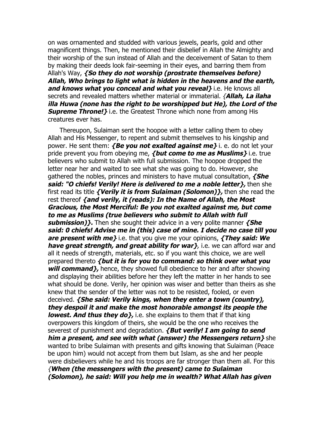on was ornamented and studded with various jewels, pearls, gold and other magnificent things. Then, he mentioned their disbelief in Allah the Almighty and their worship of the sun instead of Allah and the deceivement of Satan to them by making their deeds look fair-seeming in their eyes, and barring them from Allah's Way, **{So they do not worship (prostrate themselves before) Allah, Who brings to light what is hidden in the heavens and the earth, and knows what you conceal and what you reveal}** i.e. He knows all secrets and revealed matters whether material or immaterial. {**Allah, La ilaha illa Huwa (none has the right to be worshipped but He), the Lord of the Supreme Throne!}** i.e. the Greatest Throne which none from among His creatures ever has.

Thereupon, Sulaiman sent the hoopoe with a letter calling them to obey Allah and His Messenger, to repent and submit themselves to his kingship and power. He sent them: **{Be you not exalted against me}** i. e. do not let your pride prevent you from obeying me, **{but come to me as Muslims}** i.e. true believers who submit to Allah with full submission. The hoopoe dropped the letter near her and waited to see what she was going to do. However, she gathered the nobles, princes and ministers to have mutual consultation, **{She said: "O chiefs! Verily! Here is delivered to me a noble letter},** then she first read its title **{Verily it is from Sulaiman (Solomon)},** then she read the rest thereof **{and verily, it (reads): In the Name of Allah, the Most Gracious, the Most Merciful: Be you not exalted against me, but come to me as Muslims (true believers who submit to Allah with full submission)}.** Then she sought their advice in a very polite manner **{She said: 0 chiefs! Advise me in (this) case of mine. I decide no case till you are present with me}** i.e. that you give me your opinions, **{They said: We have great strength, and great ability for war}**, i.e. we can afford war and all it needs of strength, materials, etc. so if you want this choice, we are well prepared thereto **{but it is for you to command: so think over what you will command}**, hence, they showed full obedience to her and after showing and displaying their abilities before her they left the matter in her hands to see what should be done. Verily, her opinion was wiser and better than theirs as she knew that the sender of the letter was not to be resisted, fooled, or even deceived. **{She said: Verily kings, when they enter a town (country), they despoil it and make the most honorable amongst its people the lowest. And thus they do**, i.e. she explains to them that if that king overpowers this kingdom of theirs, she would be the one who receives the severest of punishment and degradation. **{But verily! I am going to send him a present, and see with what (answer) the Messengers return}** she wanted to bribe Sulaiman with presents and gifts knowing that Sulaiman (Peace be upon him) would not accept from them but Islam, as she and her people were disbelievers while he and his troops are far stronger than them all. For this {**When (the messengers with the present) came to Sulaiman (Solomon), he said: Will you help me in wealth? What Allah has given**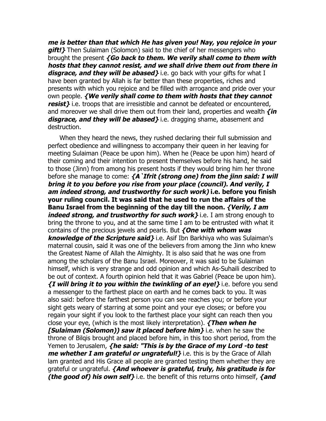**me is better than that which He has given you! Nay, you rejoice in your gift!}** Then Sulaiman (Solomon) said to the chief of her messengers who brought the present **{Go back to them. We verily shall come to them with hosts that they cannot resist, and we shall drive them out from there in disgrace, and they will be abased** } i.e. go back with your gifts for what I have been granted by Allah is far better than these properties, riches and presents with which you rejoice and be filled with arrogance and pride over your own people. **{We verily shall come to them with hosts that they cannot resist}** i.e. troops that are irresistible and cannot be defeated or encountered, and moreover we shall drive them out from their land, properties and wealth **{in disgrace, and they will be abased}** i.e. dragging shame, abasement and destruction.

When they heard the news, they rushed declaring their full submission and perfect obedience and willingness to accompany their queen in her leaving for meeting Sulaiman (Peace be upon him). When he (Peace be upon him) heard of their coming and their intention to present themselves before his hand, he said to those (Jinn) from among his present hosts if they would bring him her throne before she manage to come: **{A`Ifrit (strong one) from the jinn said: I will bring it to you before you rise from your place (council). And verily, I am indeed strong, and trustworthy for such work) i.e. before you finish your ruling council. It was said that he used to run the affairs of the Banu Israel from the beginning of the day till the noon. {Verily, I am indeed strong, and trustworthy for such work }** i.e. I am strong enough to bring the throne to you, and at the same time I am to be entrusted with what it contains of the precious jewels and pearls. But **{One with whom was knowledge of the Scripture said}** i.e. Asif Ibn Barkhiya who was Sulaiman's maternal cousin, said it was one of the believers from among the Jinn who knew the Greatest Name of Allah the Almighty. It is also said that he was one from among the scholars of the Banu Israel. Moreover, it was said to be Sulaiman himself, which is very strange and odd opinion and which As-Suhaili described to be out of context. A fourth opinion held that it was Gabriel (Peace be upon him). **{I will bring it to you within the twinkling of an eye!}** i.e. before you send a messenger to the farthest place on earth and he comes back to you. It was also said: before the farthest person you can see reaches you; or before your sight gets weary of starring at some point and your eye closes; or before you regain your sight if you look to the farthest place your sight can reach then you close your eye, (which is the most likely interpretation). **{Then when he [Sulaiman (Solomon)) saw it placed before him}** i.e. when he saw the throne of Bilqis brought and placed before him, in this too short period, from the Yemen to Jerusalem, **{he said: "This is by the Grace of my Lord -to test me whether I am grateful or ungrateful!}** i.e. this is by the Grace of Allah lam granted and His Grace all people are granted testing them whether they are grateful or ungrateful. **{And whoever is grateful, truly, his gratitude is for (the good of) his own self}** i.e. the benefit of this returns onto himself, **{and**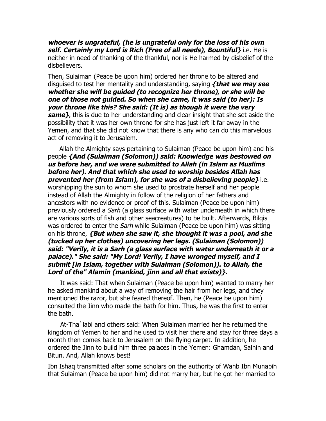**whoever is ungrateful, (he is ungrateful only for the loss of his own self. Certainly my Lord is Rich (Free of all needs), Bountiful}** i.e. He is neither in need of thanking of the thankful, nor is He harmed by disbelief of the disbelievers.

Then, Sulaiman (Peace be upon him) ordered her throne to be altered and disguised to test her mentality and understanding, saying **{that we may see whether she will be guided (to recognize her throne), or she will be one of those not guided. So when she came, it was said (to her): Is your throne like this? She said: (It is) as though it were the very same}**, this is due to her understanding and clear insight that she set aside the possibility that it was her own throne for she has just left it far away in the Yemen, and that she did not know that there is any who can do this marvelous act of removing it to Jerusalem.

Allah the Almighty says pertaining to Sulaiman (Peace be upon him) and his people **{And (Sulaiman (Solomon)) said: Knowledge was bestowed on us before her, and we were submitted to Allah (in Islam as Muslims before her). And that which she used to worship besides Allah has prevented her (from Islam), for she was of a disbelieving people}** i.e. worshipping the sun to whom she used to prostrate herself and her people instead of Allah the Almighty in follow of the religion of her fathers and ancestors with no evidence or proof of this. Sulaiman (Peace be upon him) previously ordered a *Sarh* (a glass surface with water underneath in which there are various sorts of fish and other seacreatures) to be built. Afterwards, Bilqis was ordered to enter the *Sarh* while Sulaiman (Peace be upon him) was sitting on his throne, **{But when she saw it, she thought it was a pool, and she (tucked up her clothes) uncovering her legs. (Sulaiman (Solomon)) said: "Verily, it is a Sarh (a glass surface with water underneath it or a palace)." She said: "My Lord! Verily, I have wronged myself, and I submit [in Islam, together with Sulaiman (Solomon)). to Allah, the Lord of the" Alamin (mankind, jinn and all that exists)}.**

It was said: That when Sulaiman (Peace be upon him) wanted to marry her he asked mankind about a way of removing the hair from her legs, and they mentioned the razor, but she feared thereof. Then, he (Peace be upon him) consulted the Jinn who made the bath for him. Thus, he was the first to enter the bath.

At-Tha`labi and others said: When Sulaiman married her he returned the kingdom of Yemen to her and he used to visit her there and stay for three days a month then comes back to Jerusalem on the flying carpet. In addition, he ordered the Jinn to build him three palaces in the Yemen: Ghamdan, Salhin and Bitun. And, Allah knows best!

Ibn Ishaq transmitted after some scholars on the authority of Wahb Ibn Munabih that Sulaiman (Peace be upon him) did not marry her, but he got her married to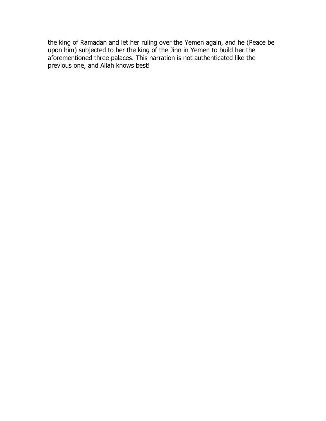the king of Ramadan and let her ruling over the Yemen again, and he (Peace be upon him) subjected to her the king of the Jinn in Yemen to build her the aforementioned three palaces. This narration is not authenticated like the previous one, and Allah knows best!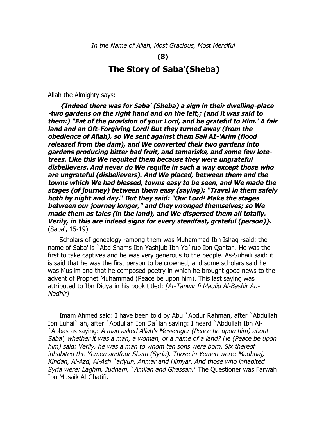In the Name of Allah, Most Gracious, Most Merciful

## **(8) The Story of Saba'(Sheba)**

Allah the Almighty says:

**{Indeed there was for Saba' (Sheba) a sign in their dwelling-place -two gardens on the right hand and on the left,; (and it was said to them:) "Eat of the provision of your Lord, and be grateful to Him.' A fair land and an Oft-Forgiving Lord! But they turned away (from the obedience of Allah), so We sent against them Sail AI-'Arim (flood released from the dam), and We converted their two gardens into gardens producing bitter bad fruit, and tamarisks, and some few lotetrees. Like this We requited them because they were ungrateful disbelievers. And never do We requite in such a way except those who are ungrateful (disbelievers). And We placed, between them and the towns which We had blessed, towns easy to be seen, and We made the stages (of journey) between them easy (saying): "Travel in them safely both by night and day." But they said: "Our Lord! Make the stages between our journey longer," and they wronged themselves; so We made them as tales (in the land), and We dispersed them all totally. Verily, in this are indeed signs for every steadfast, grateful (person)}.** (Saba', 15-19)

Scholars of genealogy -among them was Muhammad Ibn Ishaq -said: the name of Saba' is `Abd Shams Ibn Yashjub Ibn Ya`rub Ibn Qahtan. He was the first to take captives and he was very generous to the people. As-Suhaili said: it is said that he was the first person to be crowned, and some scholars said he was Muslim and that he composed poetry in which he brought good news to the advent of Prophet Muhammad (Peace be upon him). This last saying was attributed to Ibn Didya in his book titled: [At-Tanwir fi Maulid Al-Bashir An-Nadhir]

Imam Ahmed said: I have been told by Abu `Abdur Rahman, after `Abdullah Ibn Luhai` ah, after `Abdullah Ibn Da`lah saying: I heard `Abdullah Ibn Al- `Abbas as saying: A man asked Allah's Messenger (Peace be upon him) about Saba', whether it was a man, a woman, or a name of a land? He (Peace be upon him) said: Verily, he was a man to whom ten sons were born. Six thereof inhabited the Yemen andfour Sham (Syria). Those in Yemen were: Madhhaj, Kindah, Al-Azd, Al-Ash `ariyun, Anmar and Himyar. And those who inhabited Syria were: Laghm, Judham, `Amilah and Ghassan." The Questioner was Farwah Ibn Musaik Al-Ghatifi.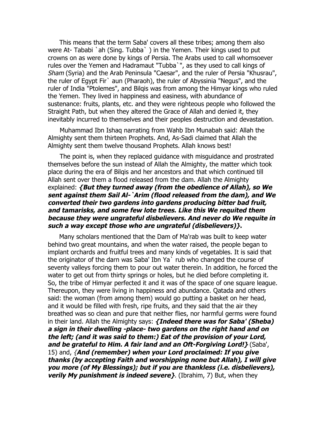This means that the term Saba' covers all these tribes; among them also were At- Tababi `ah (Sing. Tubba`) in the Yemen. Their kings used to put crowns on as were done by kings of Persia. The Arabs used to call whomsoever rules over the Yemen and Hadramaut "Tubba`", as they used to call kings of Sham (Syria) and the Arab Peninsula "Caesar", and the ruler of Persia "Khusrau", the ruler of Egypt Fir` aun (Pharaoh), the ruler of Abyssinia "Negus", and the ruler of India "Ptolemes", and Bilqis was from among the Himyar kings who ruled the Yemen. They lived in happiness and easiness, with abundance of sustenance: fruits, plants, etc. and they were righteous people who followed the Straight Path, but when they altered the Grace of Allah and denied it, they inevitably incurred to themselves and their peoples destruction and devastation.

Muhammad Ibn Ishaq narrating from Wahb Ibn Munabah said: Allah the Almighty sent them thirteen Prophets. And, As-Sadi claimed that Allah the Almighty sent them twelve thousand Prophets. Allah knows best!

The point is, when they replaced guidance with misguidance and prostrated themselves before the sun instead of Allah the Almighty, the matter which took place during the era of Bilqis and her ancestors and that which continued till Allah sent over them a flood released from the dam. Allah the Almighty explained: **{But they turned away (from the obedience of Allah), so We sent against them Sail Al-`Arim (flood released from the dam), and We converted their two gardens into gardens producing bitter bad fruit, and tamarisks, and some few lote trees. Like this We requited them because they were ungrateful disbelievers. And never do We requite in such a way except those who are ungrateful (disbelievers)}.**

Many scholars mentioned that the Dam of Ma'rab was built to keep water behind two great mountains, and when the water raised, the people began to implant orchards and fruitful trees and many kinds of vegetables. It is said that the originator of the darn was Saba' Ibn Ya` rub who changed the course of seventy valleys forcing them to pour out water therein. In addition, he forced the water to get out from thirty springs or holes, but he died before completing it. So, the tribe of Himyar perfected it and it was of the space of one square league. Thereupon, they were living in happiness and abundance. Qatada and others said: the woman (from among them) would go putting a basket on her head, and it would be filled with fresh, ripe fruits, and they said that the air they breathed was so clean and pure that neither flies, nor harmful germs were found in their land. Allah the Almighty says: **{Indeed there was for Saba' (Sheba) a sign in their dwelling -place- two gardens on the right hand and on the left; (and it was said to them:) Eat of the provision of your Lord, and be grateful to Him. A fair land and an Oft-Forgiving Lord!}** (Saba', 15) and, {**And (remember) when your Lord proclaimed: If you give thanks (by accepting Faith and worshipping none but Allah), I will give you more (of My Blessings); but if you are thankless (i.e. disbelievers), verily My punishment is indeed severe}**. (Ibrahim, 7) But, when they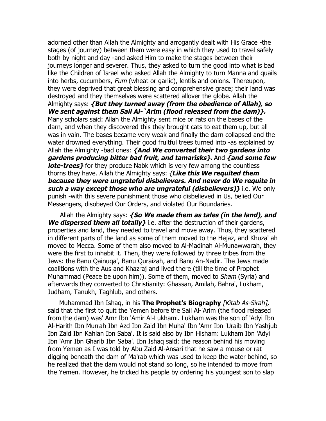adorned other than Allah the Almighty and arrogantly dealt with His Grace -the stages (of journey) between them were easy in which they used to travel safely both by night and day -and asked Him to make the stages between their journeys longer and severer. Thus, they asked to turn the good into what is bad like the Children of Israel who asked Allah the Almighty to turn Manna and quails into herbs, cucumbers, Fum (wheat or garlic), lentils and onions. Thereupon, they were deprived that great blessing and comprehensive grace; their land was destroyed and they themselves were scattered allover the globe. Allah the Almighty says: **{But they turned away (from the obedience of Allah), so We sent against them Sail Al-`Arim (flood released from the dam)}.** Many scholars said: Allah the Almighty sent mice or rats on the bases of the darn, and when they discovered this they brought cats to eat them up, but all was in vain. The bases became very weak and finally the darn collapsed and the water drowned everything. Their good fruitful trees turned into -as explained by Allah the Almighty -bad ones: **{And We converted their two gardens into gardens producing bitter bad fruit, and tamarisks}.** And **{and some few lote-trees**} for they produce Nabk which is very few among the countless thorns they have. Allah the Almighty says: {**Like this We requited them because they were ungrateful disbelievers. And never do We requite in such a way except those who are ungrateful (disbelievers)}** i.e. We only punish -with this severe punishment those who disbelieved in Us, belied Our Messengers, disobeyed Our Orders, and violated Our Boundaries.

Allah the Almighty says: **{So We made them as tales (in the land), and We dispersed them all totally** i.e. after the destruction of their gardens, properties and land, they needed to travel and move away. Thus, they scattered in different parts of the land as some of them moved to the Hejaz, and Khuza' ah moved to Mecca. Some of them also moved to Al-Madinah Al-Munawwarah, they were the first to inhabit it. Then, they were followed by three tribes from the Jews: the Banu Qainuqa', Banu Quraizah, and Banu An-Nadir. The Jews made coalitions with the Aus and Khazraj and lived there (till the time of Prophet Muhammad (Peace be upon him)). Some of them, moved to Sham (Syria) and afterwards they converted to Christianity: Ghassan, Amilah, Bahra', Lukham, Judham, Tanukh, Taghlub, and others.

Muhammad Ibn Ishaq, in his **The Prophet's Biography** [Kitab As-Sirah], said that the first to quit the Yemen before the Sail Al-'Arim (the flood released from the dam) was' Amr Ibn 'Amir Al-Lukhami. Lukham was the son of 'Adyi Ibn Al-Harith Ibn Murrah Ibn Azd Ibn Zaid Ibn Muha' Ibn 'Amr Ibn 'Uraib Ibn Yashjub Ibn Zaid Ibn Kahlan Ibn Saba'. It is said also by Ibn Hisham: Lukham Ibn 'Adyi Ibn 'Amr Ibn Gharib Ibn Saba'. Ibn Ishaq said: the reason behind his moving from Yemen as I was told by Abu Zaid Al-Ansari that he saw a mouse or rat digging beneath the dam of Ma'rab which was used to keep the water behind, so he realized that the dam would not stand so long, so he intended to move from the Yemen. However, he tricked his people by ordering his youngest son to slap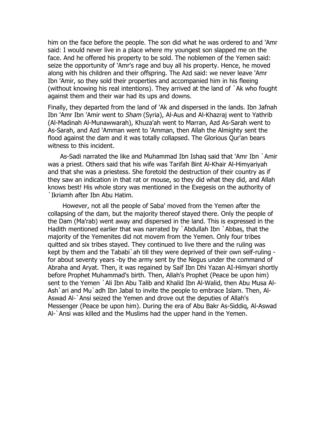him on the face before the people. The son did what he was ordered to and 'Amr said: I would never live in a place where my youngest son slapped me on the face. And he offered his property to be sold. The noblemen of the Yemen said: seize the opportunity of 'Amr's rage and buy all his property. Hence, he moved along with his children and their offspring. The Azd said: we never leave 'Amr Ibn 'Amir, so they sold their properties and accompanied him in his fleeing (without knowing his real intentions). They arrived at the land of `Ak who fought against them and their war had its ups and downs.

Finally, they departed from the land of 'Ak and dispersed in the lands. Ibn Jafnah Ibn 'Amr Ibn 'Amir went to Sham (Syria), Al-Aus and Al-Khazraj went to Yathrib (Al-Madinah Al-Munawwarah), Khuza'ah went to Marran, Azd As-Sarah went to As-Sarah, and Azd 'Amman went to 'Amman, then Allah the Almighty sent the flood against the dam and it was totally collapsed. The Glorious Qur'an bears witness to this incident.

As-Sadi narrated the like and Muhammad Ibn Ishaq said that 'Amr Ibn `Amir was a priest. Others said that his wife was Tarifah Bint Al-Khair Al-Himyariyah and that she was a priestess. She foretold the destruction of their country as if they saw an indication in that rat or mouse, so they did what they did, and Allah knows best! His whole story was mentioned in the Exegesis on the authority of `Ikriamh after Ibn Abu Hatim.

However, not all the people of Saba' moved from the Yemen after the collapsing of the dam, but the majority thereof stayed there. Only the people of the Dam (Ma'rab) went away and dispersed in the land. This is expressed in the Hadith mentioned earlier that was narrated by `Abdullah Ibn `Abbas, that the majority of the Yemenites did not movem from the Yemen. Only four tribes quitted and six tribes stayed. They continued to live there and the ruling was kept by them and the Tababi ah till they were deprived of their own self-ruling for about seventy years -by the army sent by the Negus under the command of Abraha and Aryat. Then, it was regained by Saif Ibn Dhi Yazan AI-Himyari shortly before Prophet Muhammad's birth. Then, Allah's Prophet (Peace be upon him) sent to the Yemen `Ali Ibn Abu Talib and Khalid Ibn Al-Walid, then Abu Musa Al-Ash`ari and Mu`adh Ibn Jabal to invite the people to embrace Islam. Then, Al-Aswad Al-`Ansi seized the Yemen and drove out the deputies of Allah's Messenger (Peace be upon him). During the era of Abu Bakr As-Siddiq, Al-Aswad Al-`Ansi was killed and the Muslims had the upper hand in the Yemen.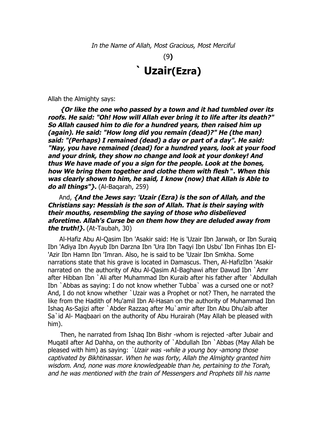In the Name of Allah, Most Gracious, Most Merciful

(9**) ` Uzair(Ezra)**

Allah the Almighty says:

**{Or like the one who passed by a town and it had tumbled over its roofs. He said: "Oh! How will Allah ever bring it to life after its death?" So Allah caused him to die for a hundred years, then raised him up (again). He said: "How long did you remain (dead)?" He (the man) said: "(Perhaps) I remained (dead) a day or part of a day". He said: "Nay, you have remained (dead) for a hundred years, look at your food and your drink, they show no change and look at your donkey! And thus We have made of you a sign for the people. Look at the bones, how We bring them together and clothe them with flesh ". When this was clearly shown to him, he said, I know (now) that Allah is Able to do all things"}.** (Al-Baqarah, 259)

And, **{And the Jews say: 'Uzair (Ezra) is the son of Allah, and the Christians say: Messiah is the son of Allah. That is their saying with their mouths, resembling the saying of those who disbelieved aforetime. Allah's Curse be on them how they are deluded away from the truth!}.** (At-Taubah, 30)

Al-Hafiz Abu Al-Qasim Ibn 'Asakir said: He is 'Uzair Ibn Jarwah, or Ibn Suraiq Ibn 'Adiya Ibn Ayyub Ibn Darzna Ibn 'Ura Ibn Taqyi Ibn Usbu' Ibn Finhas Ibn EI- 'Azir Ibn Hamn Ibn 'Imran. Also, he is said to be 'Uzair Ibn Smkha. Some narrations state that his grave is located in Damascus. Then, Al-HafizIbn 'Asakir narrated on the authority of Abu Al-Qasim AI-Baghawi after Dawud Ibn `Amr after Hibban Ibn `Ali after Muhammad Ibn Kuraib after his father after `Abdullah Ibn `Abbas as saying: I do not know whether Tubba` was a cursed one or not? And, I do not know whether `Uzair was a Prophet or not? Then, he narrated the like from the Hadith of Mu'amil Ibn Al-Hasan on the authority of Muhammad Ibn Ishaq As-Sajizi after `Abder Razzaq after Mu`amir after Ibn Abu Dhu'aib after Sa`id Al- Maqbaari on the authority of Abu Hurairah (May Allah be pleased with him).

Then, he narrated from Ishaq Ibn Bishr -whom is rejected -after Jubair and Muqatil after Ad Dahha, on the authority of `Abdullah Ibn `Abbas (May Allah be pleased with him) as saying: `Uzair was -while a young boy -among those captivated by Bikhtinassar. When he was forty, Allah the Almighty granted him wisdom. And, none was more knowledgeable than he, pertaining to the Torah, and he was mentioned with the train of Messengers and Prophets till his name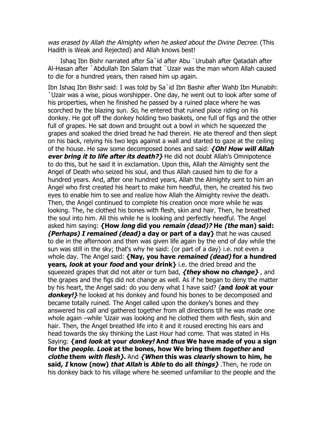was erased by Allah the Almighty when he asked about the Divine Decree. (This Hadith is Weak and Rejected) and Allah knows best!

Ishaq Ibn Bishr narrated after Sa`id after Abu `Urubah after Qatadah after Al-Hasan after `Abdullah Ibn Salam that `Uzair was the man whom Allah caused to die for a hundred years, then raised him up again.

Ibn Ishaq Ibn Bishr said: I was told by Sa`id Ibn Bashir after Wahb Ibn Munabih: `Uzair was a wise, pious worshipper. One day, he went out to look after some of his properties, when he finished he passed by a ruined place where he was scorched by the blazing sun. So, he entered that ruined place riding on his donkey. He got off the donkey holding two baskets, one full of figs and the other full of grapes. He sat down and brought out a bowl in which he squeezed the grapes and soaked the dried bread he had therein. He ate thereof and then slept on his back, relying his two legs against a wall and started to gaze at the ceiling of the house. He saw some decomposed bones and said: **{Oh! How will Allah ever bring it to life after its death?}** He did not doubt Allah's Omnipotence to do this, but he said it in exclamation. Upon this, Allah the Almighty sent the Angel of Death who seized his soul, and thus Allah caused him to die for a hundred years. And, after one hundred years, Allah the Almighty sent to him an Angel who first created his heart to make him heedful, then, he created his two eyes to enable him to see and realize how Allah the Almighty revive the death. Then, the Angel continued to complete his creation once more while he was looking. The, he clothed his bones with flesh, skin and hair. Then, he breathed the soul into him. All this while he is looking and perfectly heedful. The Angel asked him saying: **{How long did you remain (dead)? He (the man) said: (Perhaps) I remained (dead) a day or part of a day}** that he was caused to die in the afternoon and then was given life again by the end of day while the sun was still in the sky; that's why he said: {or part of a day} i.e. not even a whole day. The Angel said: **{Nay, you have remained (dead) for a hundred years, look at your food and your drink}** i.e. the dried bread and the squeezed grapes that did not alter or turn bad, **{they show no change}** , and the grapes and the figs did not change as well. As if he began to deny the matter by his heart, the Angel said: do you deny what I have said? {**and look at your donkey!}** he looked at his donkey and found his bones to be decomposed and became totally ruined. The Angel called upon the donkey's bones and they answered his call and gathered together from all directions till he was made one whole again –while 'Uzair was looking and he clothed them with flesh, skin and hair. Then, the Angel breathed life into it and it roused erecting his ears and head towards the sky thinking the Last Hour had come. That was stated in His Saying: **{and look at your donkey! And thus We have made of you a sign for the people. Look at the bones, how We bring them together and clothe them with flesh}.** And **{When this was clearly shown to him, he said, I know (now) that Allah is Able to do all things}** .Then, he rode on his donkey back to his village where he seemed unfamiliar to the people and the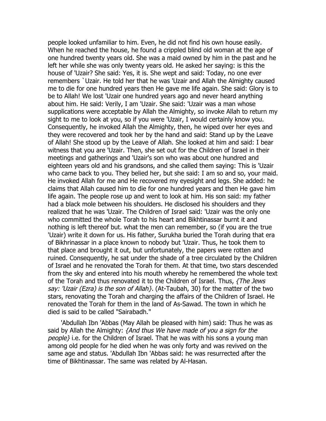people looked unfamiliar to him. Even, he did not find his own house easily. When he reached the house, he found a crippled blind old woman at the age of one hundred twenty years old. She was a maid owned by him in the past and he left her while she was only twenty years old. He asked her saying: is this the house of 'Uzair? She said: Yes, it is. She wept and said: Today, no one ever remembers `Uzair. He told her that he was 'Uzair and Allah the Almighty caused me to die for one hundred years then He gave me life again. She said: Glory is to be to Allah! We lost 'Uzair one hundred years ago and never heard anything about him. He said: Verily, I am 'Uzair. She said: 'Uzair was a man whose supplications were acceptable by Allah the Almighty, so invoke Allah to return my sight to me to look at you, so if you were 'Uzair, I would certainly know you. Consequently, he invoked Allah the Almighty, then, he wiped over her eyes and they were recovered and took her by the hand and said: Stand up by the Leave of Allah! She stood up by the Leave of Allah. She looked at him and said: I bear witness that you are 'Uzair. Then, she set out for the Children of Israel in their meetings and gatherings and 'Uzair's son who was about one hundred and eighteen years old and his grandsons, and she called them saying: This is 'Uzair who came back to you. They belied her, but she said: I am so and so, your maid. He invoked Allah for me and He recovered my eyesight and legs. She added: he claims that Allah caused him to die for one hundred years and then He gave him life again. The people rose up and went to look at him. His son said: my father had a black mole between his shoulders. He disclosed his shoulders and they realized that he was 'Uzair. The Children of Israel said: 'Uzair was the only one who committed the whole Torah to his heart and Bikhtinassar burnt it and nothing is left thereof but. what the men can remember, so (if you are the true 'Uzair) write it down for us. His father, Surukha buried the Torah during that era of Bikhrinassar in a place known to nobody but 'Uzair. Thus, he took them to that place and brought it out, but unfortunately, the papers were rotten and ruined. Consequently, he sat under the shade of a tree circulated by the Children of Israel and he renovated the Torah for them. At that time, two stars descended from the sky and entered into his mouth whereby he remembered the whole text of the Torah and thus renovated it to the Children of Israel. Thus, *{The Jews* say: 'Uzair (Ezra) is the son of Allah}. (At-Taubah, 30) for the matter of the two stars, renovating the Torah and charging the affairs of the Children of Israel. He renovated the Torah for them in the land of As-Sawad. The town in which he died is said to be called "Sairabadh."

'Abdullah Ibn 'Abbas (May Allah be pleased with him) said: Thus he was as said by Allah the Almighty: {And thus We have made of you a sign for the  $people$  i.e. for the Children of Israel. That he was with his sons a young man among old people for he died when he was only forty and was revived on the same age and status. 'Abdullah Ibn 'Abbas said: he was resurrected after the time of Bikhtinassar. The same was related by Al-Hasan.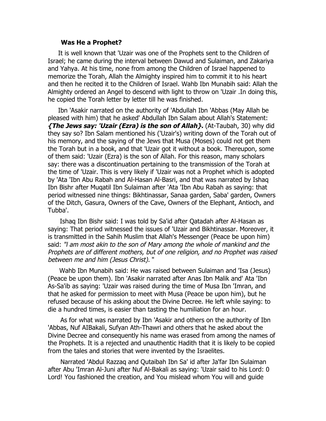#### **Was He a Prophet?**

It is well known that 'Uzair was one of the Prophets sent to the Children of Israel; he came during the interval between Dawud and Sulaiman, and Zakariya and Yahya. At his time, none from among the Children of Israel happened to memorize the Torah, Allah the Almighty inspired him to commit it to his heart and then he recited it to the Children of Israel. Wahb Ibn Munabih said: Allah the Almighty ordered an Angel to descend with light to throw on 'Uzair .In doing this, he copied the Torah letter by letter till he was finished.

Ibn 'Asakir narrated on the authority of 'Abdullah Ibn 'Abbas (May Allah be pleased with him) that he asked' Abdullah Ibn Salam about Allah's Statement: **{The Jews say: 'Uzair (Ezra) is the son of Allah}.** (At-Taubah, 30) why did they say so? Ibn Salam mentioned his ('Uzair's) writing down of the Torah out of his memory, and the saying of the Jews that Musa (Moses) could not get them the Torah but in a book, and that 'Uzair got it without a book. Thereupon, some of them said: 'Uzair (Ezra) is the son of Allah. For this reason, many scholars say: there was a discontinuation pertaining to the transmission of the Torah at the time of 'Uzair. This is very likely if 'Uzair was not a Prophet which is adopted by 'Ata 'Ibn Abu Rabah and Al-Hasan Al-Basri, and that was narrated by Ishaq Ibn Bishr after Muqatil Ibn Sulaiman after 'Ata 'Ibn Abu Rabah as saying: that period witnessed nine things: Bikhtinassar, Sanaa garden, Saba' garden, Owners of the Ditch, Gasura, Owners of the Cave, Owners of the Elephant, Antioch, and Tubba'.

Ishaq Ibn Bishr said: I was told by Sa'id after Qatadah after Al-Hasan as saying: That period witnessed the issues of 'Uzair and Bikhtinassar. Moreover, it is transmitted in the Sahih Muslim that Allah's Messenger (Peace be upon him) said: "l am most akin to the son of Mary among the whole of mankind and the Prophets are of different mothers, but of one religion, and no Prophet was raised between me and him (Jesus Christ). "

Wahb Ibn Munabih said: He was raised between Sulaiman and 'Isa (Jesus) (Peace be upon them). Ibn 'Asakir narrated after Anas Ibn Malik and' Ata 'Ibn As-Sa'ib as saying: 'Uzair was raised during the time of Musa Ibn 'Imran, and that he asked for permission to meet with Musa (Peace be upon him), but he refused because of his asking about the Divine Decree. He left while saying: to die a hundred times, is easier than tasting the humiliation for an hour.

As for what was narrated by Ibn 'Asakir and others on the authority of Ibn 'Abbas, Nuf AIBakali, Sufyan Ath-Thawri and others that he asked about the Divine Decree and consequently his name was erased from among the names of the Prophets. It is a rejected and unauthentic Hadith that it is likely to be copied from the tales and stories that were invented by the Israelites.

Narrated 'Abdul Razzaq and Qutaibah Ibn Sa' id after Ja'far Ibn Sulaiman after Abu 'Imran Al-Juni after Nuf Al-Bakali as saying: 'Uzair said to his Lord: 0 Lord! You fashioned the creation, and You mislead whom You will and guide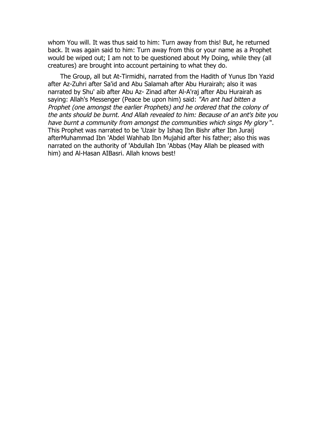whom You will. It was thus said to him: Turn away from this! But, he returned back. It was again said to him: Turn away from this or your name as a Prophet would be wiped out; I am not to be questioned about My Doing, while they (all creatures) are brought into account pertaining to what they do.

The Group, all but At-Tirmidhi, narrated from the Hadith of Yunus Ibn Yazid after Az-Zuhri after Sa'id and Abu Salamah after Abu Hurairah; also it was narrated by Shu' aib after Abu Az- Zinad after Al-A'raj after Abu Hurairah as saying: Allah's Messenger (Peace be upon him) said: "An ant had bitten a Prophet (one amongst the earlier Prophets) and he ordered that the colony of the ants should be burnt. And Allah revealed to him: Because of an ant's bite you have burnt a community from amongst the communities which sings My glory ". This Prophet was narrated to be 'Uzair by Ishaq Ibn Bishr after Ibn Juraij afterMuhammad Ibn 'Abdel Wahhab Ibn Mujahid after his father; also this was narrated on the authority of 'Abdullah Ibn 'Abbas (May Allah be pleased with him) and Al-Hasan AIBasri. Allah knows best!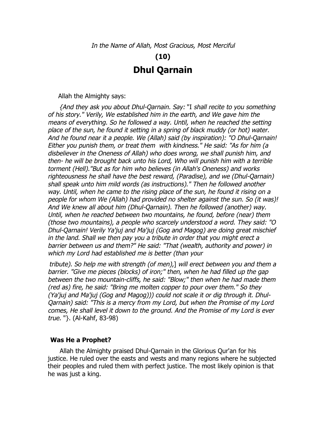# **(10) Dhul Qarnain**

Allah the Almighty says:

{And they ask you about Dhul-Qarnain. Say: "I shall recite to you something of his story." Verily, We established him in the earth, and We gave him the means of everything. So he followed a way. Until, when he reached the setting place of the sun, he found it setting in a spring of black muddy (or hot) water. And he found near it a people. We (Allah) said (by inspiration): "O Dhul-Qarnain! Either you punish them, or treat them with kindness." He said: "As for him (a disbeliever in the Oneness of Allah) who does wrong, we shall punish him, and then- he will be brought back unto his Lord, Who will punish him with a terrible torment (Hell)."But as for him who believes (in Allah's Oneness) and works righteousness he shall have the best reward, (Paradise), and we (Dhul-Qarnain) shall speak unto him mild words (as instructions)." Then he followed another way. Until, when he came to the rising place of the sun, he found it rising on a people for whom We (Allah) had provided no shelter against the sun. So (it was)! And We knew all about him (Dhul-Qarnain). Then he followed (another) way. Until, when he reached between two mountains, he found, before (near) them (those two mountains), a people who scarcely understood a word. They said: "O Dhul-Qarnain! Verily Ya'juj and Ma'juj (Gog and Magog) are doing great mischief in the land. Shall we then pay you a tribute in order that you might erect a barrier between us and them?" He said: "That (wealth, authority and power) in which my Lord had established me is better (than your

tribute). So help me with strength (of men),] will erect between you and them a barrier. "Give me pieces (blocks) of iron;" then, when he had filled up the gap between the two mountain-cliffs, he said: "Blow;" then when he had made them (red as) fire, he said: "Bring me molten copper to pour over them." So they (Ya'juj and Ma'juj (Gog and Magog))) could not scale it or dig through it. Dhul-Qarnain) said: "This is a mercy from my Lord, but when the Promise of my Lord comes, He shall level it down to the ground. And the Promise of my Lord is ever true. "}. (Al-Kahf, 83-98)

#### **Was He a Prophet?**

Allah the Almighty praised Dhul-Qarnain in the Glorious Qur'an for his justice. He ruled over the easts and wests and many regions where he subjected their peoples and ruled them with perfect justice. The most likely opinion is that he was just a king.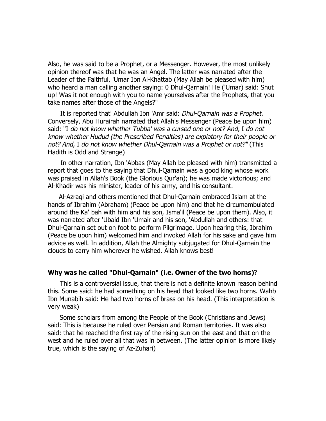Also, he was said to be a Prophet, or a Messenger. However, the most unlikely opinion thereof was that he was an Angel. The latter was narrated after the Leader of the Faithful, 'Umar Ibn Al-Khattab (May Allah be pleased with him) who heard a man calling another saying: 0 Dhul-Qarnain! He ('Umar) said: Shut up! Was it not enough with you to name yourselves after the Prophets, that you take names after those of the Angels?"

It is reported that' Abdullah Ibn 'Amr said: Dhul-Qarnain was a Prophet. Conversely, Abu Hurairah narrated that Allah's Messenger (Peace be upon him) said: "I do not know whether Tubba' was a cursed one or not? And, I do not know whether Hudud (the Prescribed Penalties) are expiatory for their people or not? And, I do not know whether Dhul-Qarnain was a Prophet or not?" (This Hadith is Odd and Strange)

In other narration, Ibn 'Abbas (May Allah be pleased with him) transmitted a report that goes to the saying that Dhul-Qarnain was a good king whose work was praised in Allah's Book (the Glorious Qur'an); he was made victorious; and Al-Khadir was his minister, leader of his army, and his consultant.

Al-Azraqi and others mentioned that Dhul-Qarnain embraced Islam at the hands of Ibrahim (Abraham) (Peace be upon him) and that he circumambulated around the Ka' bah with him and his son, Isma'il (Peace be upon them). Also, it was narrated after 'Ubaid Ibn 'Umair and his son, 'Abdullah and others: that Dhul-Qarnain set out on foot to perform Pilgrimage. Upon hearing this, Ibrahim (Peace be upon him) welcomed him and invoked Allah for his sake and gave him advice as well. In addition, Allah the Almighty subjugated for Dhul-Qarnain the clouds to carry him wherever he wished. Allah knows best!

#### **Why was he called "Dhul-Qarnain" (i.e. Owner of the two horns)**?

This is a controversial issue, that there is not a definite known reason behind this. Some said: he had something on his head that looked like two horns. Wahb Ibn Munabih said: He had two horns of brass on his head. (This interpretation is very weak)

Some scholars from among the People of the Book (Christians and Jews) said: This is because he ruled over Persian and Roman territories. It was also said: that he reached the first ray of the rising sun on the east and that on the west and he ruled over all that was in between. (The latter opinion is more likely true, which is the saying of Az-Zuhari)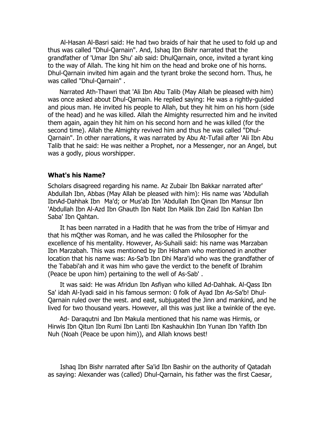Al-Hasan Al-Basri said: He had two braids of hair that he used to fold up and thus was called "Dhul-Qarnain". And, Ishaq Ibn Bishr narrated that the grandfather of 'Umar Ibn Shu' aib said: DhulQarnain, once, invited a tyrant king to the way of Allah. The king hit him on the head and broke one of his horns. Dhul-Qarnain invited him again and the tyrant broke the second horn. Thus, he was called "Dhul-Qarnain" .

Narrated Ath-Thawri that 'Ali Ibn Abu Talib (May Allah be pleased with him) was once asked about Dhul-Qarnain. He replied saying: He was a rightly-guided and pious man. He invited his people to Allah, but they hit him on his horn (side of the head) and he was killed. Allah the Almighty resurrected him and he invited them again, again they hit him on his second horn and he was killed (for the second time). Allah the Almighty revived him and thus he was called "Dhul-Qarnain". In other narrations, it was narrated by Abu At-Tufail after 'Ali Ibn Abu Talib that he said: He was neither a Prophet, nor a Messenger, nor an Angel, but was a godly, pious worshipper.

#### **What's his Name?**

Scholars disagreed regarding his name. Az Zubair Ibn Bakkar narrated after' Abdullah Ibn, Abbas (May Allah be pleased with him): His name was 'Abdullah IbnAd-Dahhak Ibn Ma'd; or Mus'ab Ibn 'Abdullah Ibn Qinan Ibn Mansur Ibn 'Abdullah Ibn Al-Azd Ibn Ghauth Ibn Nabt Ibn Malik Ibn Zaid Ibn Kahlan Ibn Saba' Ibn Qahtan.

It has been narrated in a Hadith that he was from the tribe of Himyar and that his mQther was Roman, and he was called the Philosopher for the excellence of his mentality. However, As-Suhaili said: his name was Marzaban Ibn Marzabah. This was mentioned by Ibn Hisham who mentioned in another location that his name was: As-Sa'b Ibn Dhi Mara'id who was the grandfather of the Tababi'ah and it was him who gave the verdict to the benefit of Ibrahim (Peace be upon him) pertaining to the well of As-Sab' .

It was said: He was Afridun Ibn Asfiyan who killed Ad-Dahhak. Al-Qass Ibn Sa' idah Al-Iyadi said in his famous sermon: 0 folk of Ayad Ibn As-Sa'b! Dhul-Qarnain ruled over the west. and east, subjugated the Jinn and mankind, and he lived for two thousand years. However, all this was just like a twinkle of the eye.

Ad- Daraqutni and Ibn Makula mentioned that his name was Hirmis, or Hirwis Ibn Qitun Ibn Rumi Ibn Lanti Ibn Kashaukhin Ibn Yunan Ibn Yafith Ibn Nuh (Noah (Peace be upon him)), and Allah knows best!

Ishaq Ibn Bishr narrated after Sa'id Ibn Bashir on the authority of Qatadah as saying: Alexander was (called) Dhul-Qarnain, his father was the first Caesar,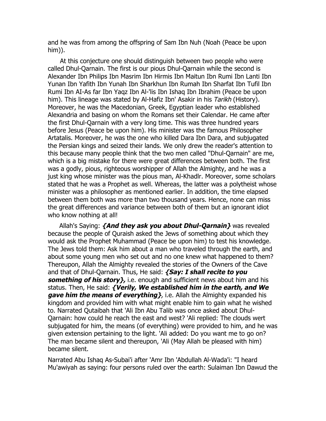and he was from among the offspring of Sam Ibn Nuh (Noah (Peace be upon him)).

At this conjecture one should distinguish between two people who were called Dhul-Qarnain. The first is our pious Dhul-Qarnain while the second is Alexander Ibn Philips Ibn Masrim Ibn Hirmis Ibn Maitun Ibn Rumi Ibn Lanti Ibn Yunan Ibn Yafith Ibn Yunah Ibn Sharkhun Ibn Rumah Ibn Sharfat Ibn Tufil Ibn Rumi Ibn AI-As far Ibn Yaqz Ibn Al-'lis Ibn Ishaq Ibn Ibrahim (Peace be upon him). This lineage was stated by Al-Hafiz Ibn' Asakir in his Tarikh (History). Moreover, he was the Macedonian, Greek, Egyptian leader who established Alexandria and basing on whom the Romans set their Calendar. He came after the first Dhul-Qarnain with a very long time. This was three hundred years before Jesus (Peace be upon him). His minister was the famous Philosopher Artatalis. Moreover, he was the one who killed Dara Ibn Dara, and subjugated the Persian kings and seized their lands. We only drew the reader's attention to this because many people think that the two men called "Dhul-Qarnain" are me, which is a big mistake for there were great differences between both. The first was a godly, pious, righteous worshipper of Allah the Almighty, and he was a just king whose minister was the pious man, Al-Khadlr. Moreover, some scholars stated that he was a Prophet as well. Whereas, the latter was a polytheist whose minister was a philosopher as mentioned earlier. In addition, the time elapsed between them both was more than two thousand years. Hence, none can miss the great differences and variance between both of them but an ignorant idiot who know nothing at all!

Allah's Saying: **{And they ask you about Dhul-Qarnain}** was revealed because the people of Quraish asked the Jews of something about which they would ask the Prophet Muhammad (Peace be upon him) to test his knowledge. The Jews told them: Ask him about a man who traveled through the earth, and about some young men who set out and no one knew what happened to them? Thereupon, Allah the Almighty revealed the stories of the Owners of the Cave and that of Dhul-Qarnain. Thus, He said: **{Say: I shall recite to you something of his story**, i.e. enough and sufficient news about him and his status. Then, He said: **{Verily, We established him in the earth, and We gave him the means of everything}**, i.e. Allah the Almighty expanded his kingdom and provided him with what might enable him to gain what he wished to. Narrated Qutaibah that 'Ali Ibn Abu Talib was once asked about Dhul-Qarnain: how could he reach the east and west? 'Ali replied: The clouds wert subjugated for him, the means (of everything) were provided to him, and he was given extension pertaining to the light. 'Ali added: Do you want me to go on? The man became silent and thereupon, 'Ali (May Allah be pleased with him) became silent.

Narrated Abu Ishaq As-Subai'i after 'Amr Ibn 'Abdullah Al-Wada'i: "I heard Mu'awiyah as saying: four persons ruled over the earth: Sulaiman Ibn Dawud the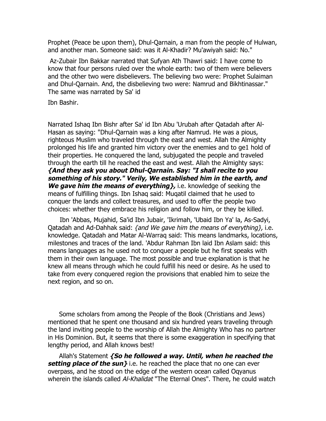Prophet (Peace be upon them), Dhul-Qarnain, a man from the people of Hulwan, and another man. Someone said: was it Al-Khadir? Mu'awiyah said: No."

 Az-Zubair Ibn Bakkar narrated that Sufyan Ath Thawri said: I have come to know that four persons ruled over the whole earth: two of them were believers and the other two were disbelievers. The believing two were: Prophet Sulaiman and Dhul-Qarnain. And, the disbelieving two were: Namrud and Bikhtinassar." The same was narrated by Sa' id

Ibn Bashir.

Narrated Ishaq Ibn Bishr after Sa' id Ibn Abu 'Urubah after Qatadah after Al-Hasan as saying: "Dhul-Qarnain was a king after Namrud. He was a pious, righteous Muslim who traveled through the east and west. Allah the Almighty prolonged his life and granted him victory over the enemies and to ge1 hold of their properties. He conquered the land, subjugated the people and traveled through the earth till he reached the east and west. Allah the Almighty says: **{And they ask you about Dhul-Qarnain. Say: "I shall recite to you something of his story." Verily, We established him in the earth, and We gave him the means of everything, i.e. knowledge of seeking the** means of fulfilling things. Ibn Ishaq said: Muqatil claimed that he used to conquer the lands and collect treasures, and used to offer the people two choices: whether they embrace his religion and follow him, or they be killed.

Ibn 'Abbas, Mujahid, Sa'id Ibn Jubair, 'Ikrimah, 'Ubaid Ibn Ya' la, As-Sadyi, Qatadah and Ad-Dahhak said: {and We gave him the means of everything}, i.e. knowledge. Qatadah and Matar Al-Warraq said: This means landmarks, locations, milestones and traces of the land. 'Abdur Rahman Ibn laid Ibn Aslam said: this means languages as he used not to conquer a people but he first speaks with them in their own language. The most possible and true explanation is that he knew all means through which he could fulfill his need or desire. As he used to take from every conquered region the provisions that enabled him to seize the next region, and so on.

Some scholars from among the People of the Book (Christians and Jews) mentioned that he spent one thousand and six hundred years traveling through the land inviting people to the worship of Allah the Almighty Who has no partner in His Dominion. But, it seems that there is some exaggeration in specifying that lengthy period, and Allah knows best!

Allah's Statement **{So he followed a way. Until, when he reached the setting place of the sun**} i.e. he reached the place that no one can ever overpass, and he stood on the edge of the western ocean called Oqyanus wherein the islands called Al-Khalidat "The Eternal Ones". There, he could watch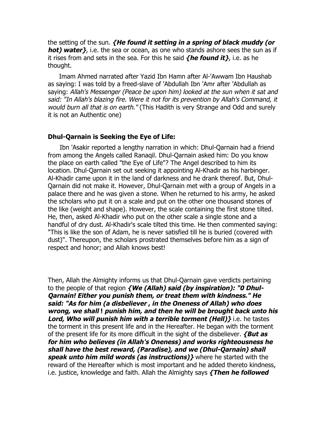the setting of the sun. **{He found it setting in a spring of black muddy (or hot) water}**, i.e. the sea or ocean, as one who stands ashore sees the sun as if it rises from and sets in the sea. For this he said **{he found it}**, i.e. as he thought.

Imam Ahmed narrated after Yazid Ibn Hamn after Al-'Awwam Ibn Haushab as saying: I was told by a freed-slave of 'Abdullah Ibn 'Amr after 'Abdullah as saying: Allah's Messenger (Peace be upon him) looked at the sun when it sat and said: "In Allah's blazing fire. Were it not for its prevention by Allah's Command, it would burn all that is on earth." (This Hadith is very Strange and Odd and surely it is not an Authentic one)

#### **Dhul-Qarnain is Seeking the Eye of Life:**

Ibn 'Asakir reported a lengthy narration in which: Dhul-Qarnain had a friend from among the Angels called Ranaqil. Dhul-Qarnain asked him: Do you know the place on earth called "the Eye of Life"? The Angel described to him its location. Dhul-Qarnain set out seeking it appointing Al-Khadir as his harbinger. Al-Khadir came upon it in the land of darkness and he drank thereof. But, Dhul-Qarnain did not make it. However, Dhul-Qarnain met with a group of Angels in a palace there and he was given a stone. When he returned to his army, he asked the scholars who put it on a scale and put on the other one thousand stones of the like (weight and shape). However, the scale containing the first stone tilted. He, then, asked Al-Khadir who put on the other scale a single stone and a handful of dry dust. Al-Khadir's scale tilted this time. He then commented saying: "This is like the son of Adam, he is never satisfied till he is buried (covered with dust)". Thereupon, the scholars prostrated themselves before him as a sign of respect and honor; and Allah knows best!

Then, Allah the Almighty informs us that Dhul-Qarnain gave verdicts pertaining to the people of that region **{We (Allah) said (by inspiration): "0 Dhul-Qarnain! Either you punish them, or treat them with kindness." He said: "As for him (a disbeliever , in the Oneness of Allah) who does wrong, we shall ! punish him, and then he will be brought back unto his Lord, Who will punish him with a terrible torment (Hell)}** i.e. he tastes the torment in this present life and in the Hereafter. He began with the torment of the present life for its more difficult in the sight of the disbeliever. **{But as for him who believes (in Allah's Oneness) and works righteousness he shall have the best reward, (Paradise), and we (Dhul-Qarnain) shall speak unto him mild words (as instructions)}** where he started with the reward of the Hereafter which is most important and he added thereto kindness, i.e. justice, knowledge and faith. Allah the Almighty says **{Then he followed**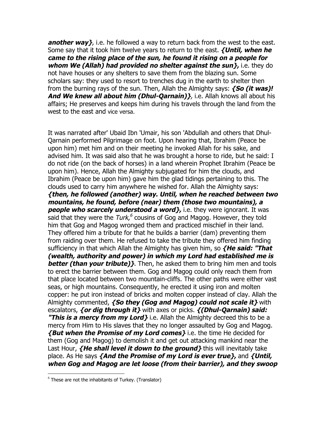**another way**, i.e. he followed a way to return back from the west to the east. Some say that it took him twelve years to return to the east. **{Until, when he came to the rising place of the sun, he found it rising on a people for whom We (Allah) had provided no shelter against the sun},** i.e. they do not have houses or any shelters to save them from the blazing sun. Some scholars say: they used to resort to trenches dug in the earth to shelter then from the burning rays of the sun. Then, Allah the Almighty says: **{So (it was)! And We knew all about him (Dhul-Qarnain)}**, i.e. Allah knows all about his affairs; He preserves and keeps him during his travels through the land from the west to the east and vice versa.

It was narrated after' Ubaid Ibn 'Umair, his son 'Abdullah and others that Dhul-Qarnain performed Pilgrimage on foot. Upon hearing that, Ibrahim (Peace be upon him) met him and on their meeting he invoked Allah for his sake, and advised him. It was said also that he was brought a horse to ride, but he said: I do not ride (on the back of horses) in a land wherein Prophet Ibrahim (Peace be upon him). Hence, Allah the Almighty subjugated for him the clouds, and Ibrahim (Peace be upon him) gave him the glad tidings pertaining to this. The clouds used to carry him anywhere he wished for. Allah the Almighty says: **{then, he followed (another) way. Until, when he reached between two mountains, he found, before (near) them (those two mountains), a people who scarcely understood a word**, i.e. they were ignorant. It was said that they were the  $\mathit{Turk}^{\,6}_{\prime}$  cousins of Gog and Magog. However, they told him that Gog and Magog wronged them and practiced mischief in their land. They offered him a tribute for that he builds a barrier (dam) preventing them from raiding over them. He refused to take the tribute they offered him finding sufficiency in that which Allah the Almighty has given him, so **{He said: "That (wealth, authority and power) in which my Lord had established me is better (than your tribute)}**. Then, he asked them to bring him men and tools to erect the barrier between them. Gog and Magog could only reach them from that place located between two mountain-cliffs. The other paths were either vast seas, or high mountains. Consequently, he erected it using iron and molten copper: he put iron instead of bricks and molten copper instead of clay. Allah the Almighty commented, **{So they (Gog and Magog) could not scale it}** with escalators, **{or dig through it}** with axes or picks. **{(Dhul-Qarnain) said: "This is a mercy from my Lord}** i.e. Allah the Almighty decreed this to be a mercy from Him to His slaves that they no longer assaulted by Gog and Magog. **{But when the Promise of my Lord comes}** i.e. the time He decided for them (Gog and Magog) to demolish it and get out attacking mankind near the Last Hour, *{He shall level it down to the ground}* this will inevitably take place. As He says **{And the Promise of my Lord is ever true},** and **{Until, when Gog and Magog are let loose (from their barrier), and they swoop**

 $6$  These are not the inhabitants of Turkey. (Translator)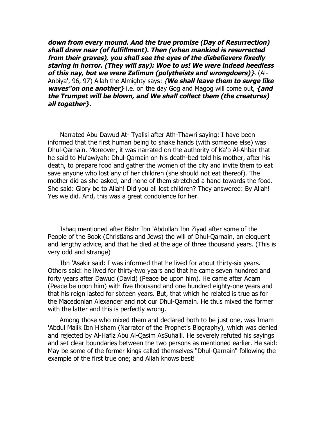**down from every mound. And the true promise (Day of Resurrection) shall draw near (of fulfillment). Then (when mankind is resurrected from their graves), you shall see the eyes of the disbelievers fixedly staring in horror. (They will say): Woe to us! We were indeed heedless of this nay, but we were Zalimun (polytheists and wrongdoers)}**. (Al-Anbiya', 96, 97) Allah the Almighty says: {**We shall leave them to surge like waves"on one another}** i.e. on the day Gog and Magog will come out, **{and the Trumpet will be blown, and We shall collect them (the creatures) all together}.**

Narrated Abu Dawud At- Tyalisi after Ath-Thawri saying: I have been informed that the first human being to shake hands (with someone else) was Dhul-Qarnain. Moreover, it was narrated on the authority of Ka'b Al-Ahbar that he said to Mu'awiyah: Dhul-Qarnain on his death-bed told his mother, after his death, to prepare food and gather the women of the city and invite them to eat save anyone who lost any of her children (she should not eat thereof). The mother did as she asked, and none of them stretched a hand towards the food. She said: Glory be to Allah! Did you all lost children? They answered: By Allah! Yes we did. And, this was a great condolence for her.

Ishaq mentioned after Bishr Ibn 'Abdullah Ibn Ziyad after some of the People of the Book (Christians and Jews) the will of Dhul-Qarnain, an eloquent and lengthy advice, and that he died at the age of three thousand years. (This is very odd and strange)

Ibn 'Asakir said: I was informed that he lived for about thirty-six years. Others said: he lived for thirty-two years and that he came seven hundred and forty years after Dawud (David) (Peace be upon him). He came after Adam (Peace be upon him) with five thousand and one hundred eighty-one years and that his reign lasted for sixteen years. But, that which he related is true as for the Macedonian Alexander and not our Dhul-Qarnain. He thus mixed the former with the latter and this is perfectly wrong.

Among those who mixed them and declared both to be just one, was Imam 'Abdul Malik Ibn Hisham (Narrator of the Prophet's Biography), which was denied and rejected by Al-Hafiz Abu Al-Qasim AsSuhaili. He severely refuted his sayings and set clear boundaries between the two persons as mentioned earlier. He said: May be some of the former kings called themselves "Dhul-Qarnain" following the example of the first true one; and Allah knows best!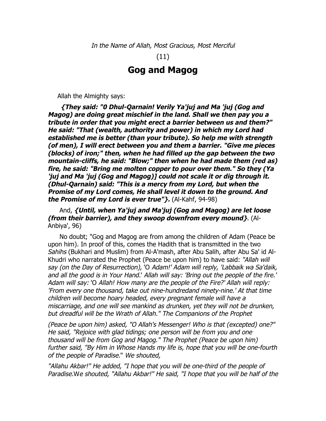(11)

### **Gog and Magog**

Allah the Almighty says:

**{They said: "0 Dhul-Qarnain! Verily Ya'juj and Ma 'juj (Gog and Magog) are doing great mischief in the land. Shall we then pay you a tribute in order that you might erect a barrier between us and them?" He said: "That (wealth, authority and power) in which my Lord had established me is better (than your tribute). So help me with strength (of men), I will erect between you and them a barrier. "Give me pieces (blocks) of iron;" then, when he had filled up the gap between the two mountain-cliffs, he said: "Blow;" then when he had made them (red as) fire, he said: "Bring me molten copper to pour over them." So they (Ya 'juj and Ma 'juj (Gog and Magog)] could not scale it or dig through it. (Dhul-Qarnain) said: "This is a mercy from my Lord, but when the Promise of my Lord comes, He shall level it down to the ground. And the Promise of my Lord is ever true"}.** (Al-Kahf, 94-98)

And, **{Until, when Ya'juj and Ma'juj (Gog and Magog) are let loose (from their barrier), and they swoop downfrom every mound}**. (Al-Anbiya', 96)

No doubt; "Gog and Magog are from among the children of Adam (Peace be upon him). In proof of this, comes the Hadith that is transmitted in the two Sahihs (Bukhari and Muslim) from Al-A'mash, after Abu Salih, after Abu Sa' id Al-Khudri who narrated the Prophet (Peace be upon him) to have said: "Allah will say (on the Day of Resurrection), 'O Adam!' Adam will reply, 'Labbaik wa Sa'daik, and all the good is in Your Hand.' Allah will say: 'Bring out the people of the fire.' Adam will say: 'O Allah! How many are the people of the Fire?' Allah will reply: 'From every one thousand, take out nine-hundredand ninety-nine.' At that time children will become hoary headed, every pregnant female will have a miscarriage, and one will see mankind as drunken, yet they will not be drunken, but dreadful will be the Wrath of Allah." The Companions of the Prophet

(Peace be upon him) asked, "O Allah's Messenger! Who is that (excepted) one?" He said, "Rejoice with glad tidings; one person will be from you and one thousand will be from Gog and Magog." The Prophet (Peace be upon him) further said, "By Him in Whose Hands my life is, hope that you will be one-fourth of the people of Paradise." We shouted,

"Allahu Akbar!" He added, "I hope that you will be one-third of the people of Paradise.We shouted, "Allahu Akbar!" He said, "I hope that you will be half of the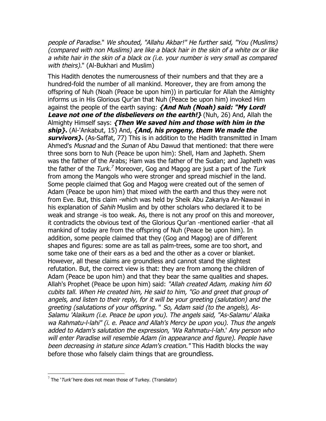people of Paradise." We shouted, "Allahu Akbar!" He further said, "You (Muslims) (compared with non Muslims) are like a black hair in the skin of a white ox or like a white hair in the skin of a black ox (i.e. your number is very small as compared with theirs)." (Al-Bukhari and Muslim)

This Hadith denotes the numerousness of their numbers and that they are a hundred-fold the number of all mankind. Moreover, they are from among the offspring of Nuh (Noah (Peace be upon him)) in particular for Allah the Almighty informs us in His Glorious Qur'an that Nuh (Peace be upon him) invoked Him against the people of the earth saying: **{And Nuh (Noah) said: "My Lord! Leave not one of the disbelievers on the earth!}** (Nuh, 26) And, Allah the Almighty Himself says: **{Then We saved him and those with him in the ship}.** (Al-'Ankabut, 15) And, **{And, his progeny, them We made the survivors}.** (As-Saffat, 77) This is in addition to the Hadith transmitted in Imam Ahmed's *Musnad* and the *Sunan* of Abu Dawud that mentioned: that there were three sons born to Nuh (Peace be upon him): Shell, Ham and Japheth. Shem was the father of the Arabs; Ham was the father of the Sudan; and Japheth was the father of the  $Turk<sup>7</sup>$  Moreover, Gog and Magog are just a part of the  $Turk$ from among the Mangols who were stronger and spread mischief in the land. Some people claimed that Gog and Magog were created out of the semen of Adam (Peace be upon him) that mixed with the earth and thus they were not from Eve. But, this claim -which was held by Sheik Abu Zakariya An-Nawawi in his explanation of Sahih Muslim and by other scholars who declared it to be weak and strange -is too weak. As, there is not any proof on this and moreover, it contradicts the obvious text of the Glorious Qur'an -mentioned earlier -that all mankind of today are from the offspring of Nuh (Peace be upon him). In addition, some people claimed that they (Gog and Magog) are of different shapes and figures: some are as tall as palm-trees, some are too short, and some take one of their ears as a bed and the other as a cover or blanket. However, all these claims are groundless and cannot stand the slightest refutation. But, the correct view is that: they are from among the children of Adam (Peace be upon him) and that they bear the same qualities and shapes. Allah's Prophet (Peace be upon him) said: "Allah created Adam, making him 60 cubits tall. When He created him, He said to him, "Go and greet that group of angels, and listen to their reply, for it will be your greeting (salutation) and the greeting (salutations of your offspring. " So, Adam said (to the angels), As-Salamu 'Alaikum (i.e. Peace be upon you). The angels said, "As-Salamu' Alaika wa Rahmatu-l-lahi" (i. e. Peace and Allah's Mercy be upon you). Thus the angels added to Adam's salutation the expression, 'Wa Rahmatu-l-lah.' Any person who will enter Paradise will resemble Adam (in appearance and figure). People have been decreasing in stature since Adam's creation." This Hadith blocks the way before those who falsely claim things that are groundless.

 $7$  The '*Turk'* here does not mean those of Turkey. (Translator)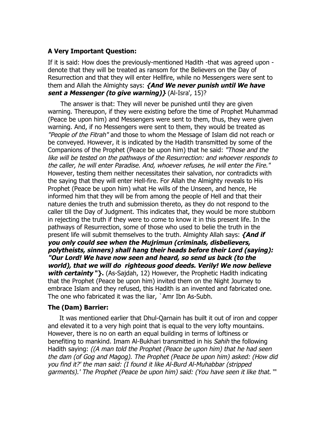### **A Very Important Question:**

If it is said: How does the previously-mentioned Hadith -that was agreed upon denote that they will be treated as ransom for the Believers on the Day of Resurrection and that they will enter Hellfire, while no Messengers were sent to them and Allah the Almighty says: **{And We never punish until We have sent a Messenger (to give warning)}** (Al-Isra', 15)?

The answer is that: They will never be punished until they are given warning. Thereupon, if they were existing before the time of Prophet Muhammad (Peace be upon him) and Messengers were sent to them, thus, they were given warning. And, if no Messengers were sent to them, they would be treated as "People of the Fitrah" and those to whom the Message of Islam did not reach or be conveyed. However, it is indicated by the Hadith transmitted by some of the Companions of the Prophet (Peace be upon him) that he said: "Those and the like will be tested on the pathways of the Resurrection: and whoever responds to the caller, he will enter Paradise. And, whoever refuses, he will enter the Fire." However, testing them neither necessitates their salvation, nor contradicts with the saying that they will enter Hell-fire. For Allah the Almighty reveals to His Prophet (Peace be upon him) what He wills of the Unseen, and hence, He informed him that they will be from among the people of Hell and that their nature denies the truth and submission thereto, as they do not respond to the caller till the Day of Judgment. This indicates that, they would be more stubborn in rejecting the truth if they were to come to know it in this present life. In the pathways of Resurrection, some of those who used to belie the truth in the present life will submit themselves to the truth. Almighty Allah says: **{And if you only could see when the Mujrimun (criminals, disbelievers, polytheists, sinners) shall hang their heads before their Lord (saying): "Our Lord! We have now seen and heard, so send us back (to the world), that we will do righteous good deeds. Verily! We now believe with certainty "}.** (As-Sajdah, 12) However, the Prophetic Hadith indicating that the Prophet (Peace be upon him) invited them on the Night Journey to embrace Islam and they refused, this Hadith is an invented and fabricated one. The one who fabricated it was the liar, `Amr Ibn As-Subh.

### **The (Dam) Barrier:**

It was mentioned earlier that Dhul-Qarnain has built it out of iron and copper and elevated it to a very high point that is equal to the very lofty mountains. However, there is no on earth an equal building in terms of loftiness or benefiting to mankind. Imam Al-Bukhari transmitted in his Sahih the following Hadith saying: ((A man told the Prophet (Peace be upon him) that he had seen the dam (of Gog and Magog). The Prophet (Peace be upon him) asked: (How did you find it?' the man said: (I found it like Al-Burd Al-Muhabbar (stripped garments).' The Prophet (Peace be upon him) said: (You have seen it like that. '"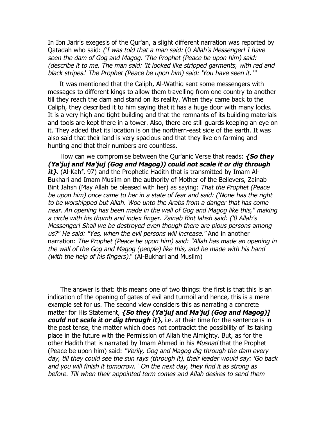In Ibn Jarir's exegesis of the Qur'an, a slight different narration was reported by Qatadah who said: ('I was told that a man said: (0 Allah's Messenger! I have seen the dam of Gog and Magog. 'The Prophet (Peace be upon him) said: (describe it to me. The man said: 'It looked like stripped garments, with red and black stripes.' The Prophet (Peace be upon him) said: 'You have seen it. '"

It was mentioned that the Caliph, Al-Wathiq sent some messengers with messages to different kings to allow them travelling from one country to another till they reach the dam and stand on its reality. When they came back to the Caliph, they described it to him saying that it has a huge door with many locks. It is a very high and tight building and that the remnants of its building materials and tools are kept there in a tower. Also, there are still guards keeping an eye on it. They added that its location is on the northern-east side of the earth. It was also said that their land is very spacious and that they live on farming and hunting and that their numbers are countless.

How can we compromise between the Qur'anic Verse that reads: **{So they (Ya'juj and Ma'juj (Gog and Magog)) could not scale it or dig through it}.** (Al-Kahf, 97) and the Prophetic Hadith that is transmitted by Imam Al-Bukhari and Imam Muslim on the authority of Mother of the Believers, Zainab Bint Jahsh (May Allah be pleased with her) as saying: That the Prophet (Peace be upon him) once came to her in a state of fear and said: ('None has the right to be worshipped but Allah. Woe unto the Arabs from a danger that has come near. An opening has been made in the wall of Gog and Magog like this," making a circle with his thumb and index finger. Zainab Bint lahsh said: ('0 Allah's Messenger! Shall we be destroyed even though there are pious persons among us?" He said: "Yes, when the evil persons will increase." And in another narration: The Prophet (Peace be upon him) said: "Allah has made an opening in the wall of the Gog and Magog (people) like this, and he made with his hand (with the help of his fingers)." (Al-Bukhari and Muslim)

The answer is that: this means one of two things: the first is that this is an indication of the opening of gates of evil and turmoil and hence, this is a mere example set for us. The second view considers this as narrating a concrete matter for His Statement, **{So they (Ya'juj and Ma'juj (Gog and Magog)] could not scale it or dig through it},** i.e. at their time for the sentence is in the past tense, the matter which does not contradict the possibility of its taking place in the future with the Permission of Allah the Almighty. But, as for the other Hadith that is narrated by Imam Ahmed in his *Musnad* that the Prophet (Peace be upon him) said: "Verily, Gog and Magog dig through the dam every day, till they could see the sun rays (through it), their leader would say: 'Go back and you will finish it tomorrow. ' On the next day, they find it as strong as before. Till when their appointed term comes and Allah desires to send them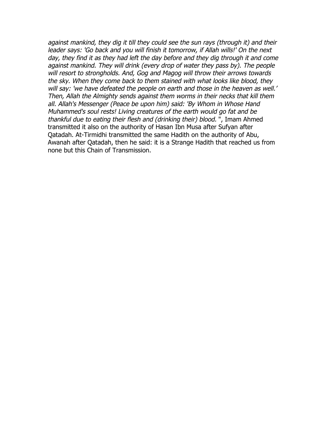against mankind, they dig it till they could see the sun rays (through it) and their leader says: 'Go back and you will finish it tomorrow, if Allah wills!' On the next day, they find it as they had left the day before and they dig through it and come against mankind. They will drink (every drop of water they pass by). The people will resort to strongholds. And, Gog and Magog will throw their arrows towards the sky. When they come back to them stained with what looks like blood, they will say: 'we have defeated the people on earth and those in the heaven as well.' Then, Allah the Almighty sends against them worms in their necks that kill them all. Allah's Messenger (Peace be upon him) said: 'By Whom in Whose Hand Muhammed's soul rests! Living creatures of the earth would go fat and be thankful due to eating their flesh and (drinking their) blood. ", Imam Ahmed transmitted it also on the authority of Hasan Ibn Musa after Sufyan after Qatadah. At-Tirmidhi transmitted the same Hadith on the authority of Abu, Awanah after Qatadah, then he said: it is a Strange Hadith that reached us from none but this Chain of Transmission.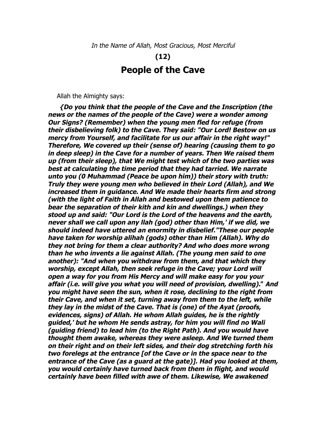# **(12) People of the Cave**

Allah the Almighty says:

**{Do you think that the people of the Cave and the Inscription (the news or the names of the people of the Cave) were a wonder among Our Signs? (Remember) when the young men fled for refuge (from their disbelieving folk) to the Cave. They said: "Our Lord! Bestow on us mercy from Yourself, and facilitate for us our affair in the right way!" Therefore, We covered up their (sense of) hearing (causing them to go in deep sleep) in the Cave for a number of years. Then We raised them up (from their sleep), that We might test which of the two parties was best at calculating the time period that they had tarried. We narrate unto you (0 Muhammad (Peace be upon him)) their story with truth: Truly they were young men who believed in their Lord (Allah), and We increased them in guidance. And We made their hearts firm and strong (with the light of Faith in Allah and bestowed upon them patience to bear the separation of their kith and kin and dwellings.) when they stood up and said: "Our Lord is the Lord of the heavens and the earth, never shall we call upon any llah (god) other than Him,' if we did, we should indeed have uttered an enormity in disbelief."These our people have taken for worship alihah (gods) other than Him (Allah). Why do they not bring for them a clear authority? And who does more wrong than he who invents a lie against Allah. (The young men said to one another): "And when you withdraw from them, and that which they worship, except Allah, then seek refuge in the Cave; your Lord will open a way for you from His Mercy and will make easy for you your affair (i.e. will give you what you will need of provision, dwelling)." And you might have seen the sun, when it rose, declining to the right from their Cave, and when it set, turning away from them to the left, while they lay in the midst of the Cave. That is (one) of the Ayat (proofs, evidences, signs) of Allah. He whom Allah guides, he is the rightly guided,' but he whom He sends astray, for him you will find no Wali (guiding friend) to lead him (to the Right Path). And you would have thought them awake, whereas they were asleep. And We turned them on their right and on their left sides, and their dog stretching forth his two forelegs at the entrance [of the Cave or in the space near to the entrance of the Cave (as a guard at the gate)]. Had you looked at them, you would certainly have turned back from them in flight, and would certainly have been filled with awe of them. Likewise, We awakened**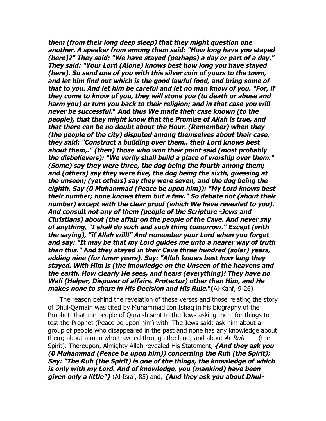**them (from their long deep sleep) that they might question one another. A speaker from among them said: "How long have you stayed (here)?" They said: "We have stayed (perhaps) a day or part of a day." They said: "Your Lord (Alone) knows best how long you have stayed (here). So send one of you with this silver coin of yours to the town, and let him find out which is the good lawful food, and bring some of that to you. And let him be careful and let no man know of you. "For, if they come to know of you, they will stone you (to death or abuse and harm you) or turn you back to their religion; and in that case you will never be successful." And thus We made their case known (to the people), that they might know that the Promise of Allah is true, and that there can be no doubt about the Hour. (Remember) when they (the people of the city) disputed among themselves about their case, they said: "Construct a building over them,. their Lord knows best about them,." (then) those who won their point said (most probably the disbelievers): "We verily shall build a place of worship over them." (Some) say they were three, the dog being the fourth among them; and (others) say they were five, the dog being the sixth, guessing at the unseen; (yet others) say they were seven, and the dog being the eighth. Say (0 Muhammad (Peace be upon him)): "My Lord knows best their number; none knows them but a few." So debate not (about their number) except with the clear proof (which We have revealed to you). And consult not any of them (people of the Scripture -Jews and Christians) about (the affair on the people of the Cave. And never say of anything, "I shall do such and such thing tomorrow." Except (with the saying), "if Allah will!" And remember your Lord when you forget and say: "It may be that my Lord guides me unto a nearer way of truth than this." And they stayed in their Cave three hundred (solar) years, adding nine (for lunar years). Say: "Allah knows best how long they stayed. With Him is (the knowledge on the Unseen of the heavens and the earth. How clearly He sees, and hears (everything)! They have no Wali (Helper, Disposer of affairs, Protector) other than Him, and He makes none to share in His Decision and His Rule."(**Al-Kahf, 9-26)

The reason behind the revelation of these verses and those relating the story of Dhul-Qarnain was cited by Muhammad Ibn Ishaq in his biography of the Prophet: that the people of Quraish sent to the Jews asking them for things to test the Prophet (Peace be upon him) with. The Jews said: ask him about a group of people who disappeared in the past and none has any knowledge about them; about a man who traveled through the land; and about Ar-Ruh (the Spirit). Thereupon, Almighty Allah revealed His Statement, **{And they ask you (0 Muhammad (Peace be upon him)) concerning the Ruh (the Spirit); Say: "The Ruh (the Spirit) is one of the things, the knowledge of which is only with my Lord. And of knowledge, you (mankind) have been given only a little"}** (Al-Isra', 85) and, **{And they ask you about Dhul-**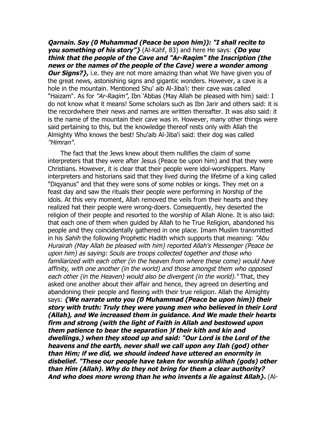**Qarnain. Say (0 Muhammad (Peace be upon him)): "I shall recite to you something of his story"}** (Al-Kahf, 83) and here He says: **{Do you think that the people of the Cave and "Ar-Raqim" the Inscription (the news or the names of the people of the Cave) were a wonder among Our Signs?**, i.e. they are not more amazing than what We have given you of the great news, astonishing signs and gigantic wonders. However, a cave is a hole in the mountain. Mentioned Shu' aib Al-Jiba'i: their cave was called "Haizam". As for "Ar-Raqim", Ibn 'Abbas (May Allah be pleased with him) said: I do not know what it means! Some scholars such as Ibn Jarir and others said: it is the recordwhere their news and names are written thereafter. It was also said: it is the name of the mountain their cave was in. However, many other things were said pertaining to this, but the knowledge thereof rests only with Allah the Almighty Who knows the best! Shu'aib Al-Jiba'i said: their dog was called "Himran".

The fact that the Jews knew about them nullifies the claim of some interpreters that they were after Jesus (Peace be upon him) and that they were Christians. However, it is clear that their people were idol-worshippers. Many interpreters and historians said that they lived during the lifetime of a king called "Diqyanus" and that they were sons of some nobles or kings. They met on a feast day and saw the rituals their people were performing in Norship of the idols. At this very moment, Allah removed the veils from their hearts and they realized hat their people were wrong-doers. Consequently, hey deserted the religion of their people and resorted to the worship of Allah Alone. It is also laid: that each one of them when guided by Allah to he True Religion, abandoned his people and they coincidentally gathered in one place. Imam Muslim transmitted in his Sahih the following Prophetic Hadith which supports that meaning: "Abu Hurairah (May Allah be pleased with him) reported Allah's Messenger (Peace be upon him) as saying: Souls are troops collected together and those who familiarized with each other (in the heaven from where these come) would have affinity, with one another (in the world) and those amongst them who opposed each other (in the Heaven) would also be divergent (in the world)." That, they asked one another about their affair and hence, they agreed on deserting and abandoning their people and fleeing with their true religion. Allah the Almighty says: **{We narrate unto you (0 Muhammad (Peace be upon him)) their story with truth: Truly they were young men who believed in their Lord (Allah), and We increased them in guidance. And We made their hearts firm and strong (with the light of Faith in Allah and bestowed upon them patience to bear the separation )f their kith and kin and dwellings.) when they stood up and said: "Our Lord is the Lord of the heavens and the earth, never shall we call upon any Ilah (god) other than Him; if we did, we should indeed have uttered an enormity in disbelief. "These our people have taken for worship alihah (gods) other than Him (Allah). Why do they not bring for them a clear authority? And who does more wrong than he who invents a lie against Allah}.** (Al-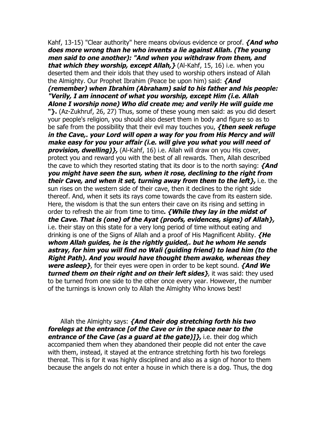Kahf, 13-15) "Clear authority" here means obvious evidence or proof. **{And who does more wrong than he who invents a lie against Allah. (The young men said to one another): "And when you withdraw from them, and that which they worship, except Allah,}** (Al-Kahf, 15, 16) i.e. when you deserted them and their idols that they used to worship others instead of Allah the Almighty. Our Prophet Ibrahim (Peace be upon him) said: **{And (remember) when Ibrahim (Abraham) said to his father and his people: "Verily, I am innocent of what you worship, except Him (i.e. Allah Alone I worship none) Who did create me; and verily He will guide me "}.** (Az-Zukhruf, 26, 27) Thus, some of these young men said: as you did desert your people's religion, you should also desert them in body and figure so as to be safe from the possibility that their evil may touches you, **{then seek refuge in the Cave,. your Lord will open a way for you from His Mercy and will make easy for you your affair (i.e. will give you what you will need of provision, dwelling)},** (Al-Kahf, 16) i.e. Allah will draw on you His cover, protect you and reward you with the best of all rewards. Then, Allah described the cave to which they resorted stating that its door is to the north saying: **{And you might have seen the sun, when it rose, declining to the right from their Cave, and when it set, turning away from them to the left},** i.e. the sun rises on the western side of their cave, then it declines to the right side thereof. And, when it sets its rays come towards the cave from its eastern side. Here, the wisdom is that the sun enters their cave on its rising and setting in order to refresh the air from time to time**. {While they lay in the midst of the Cave. That is (one) of the Ayat (proofs, evidences, signs) of Allah},** i.e. their stay on this state for a very long period of time without eating and drinking is one of the Signs of Allah and a proof of His Magnificent Ability. **{He whom Allah guides, he is the rightly guided,. but he whom He sends astray, for him you will find no Wali (guiding friend) to lead him (to the Right Path). And you would have thought them awake, whereas they were asleep}**, for their eyes were open in order to be kept sound. **{And We turned them on their right and on their left sides}**, it was said: they used to be turned from one side to the other once every year. However, the number of the turnings is known only to Allah the Almighty Who knows best!

Allah the Almighty says: **{And their dog stretching forth his two forelegs at the entrance [of the Cave or in the space near to the entrance of the Cave (as a guard at the gate)]}, i.e. their dog which** accompanied them when they abandoned their people did not enter the cave with them, instead, it stayed at the entrance stretching forth his two forelegs thereat. This is for it was highly disciplined and also as a sign of honor to them because the angels do not enter a house in which there is a dog. Thus, the dog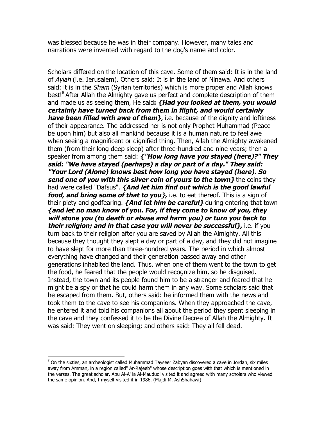was blessed because he was in their company. However, many tales and narrations were invented with regard to the dog's name and color.

Scholars differed on the location of this cave. Some of them said: It is in the land of Aylah (i.e. Jerusalem). Others said: It is in the land of Ninawa. And others said: it is in the *Sham* (Syrian territories) which is more proper and Allah knows best!<sup>8</sup> After Allah the Almighty gave us perfect and complete description of them and made us as seeing them, He said**: {Had you looked at them, you would certainly have turned back from them in flight, and would certainly have been filled with awe of them**, i.e. because of the dignity and loftiness of their appearance. The addressed her is not only Prophet Muhammad (Peace be upon him) but also all mankind because it is a human nature to feel awe when seeing a magnificent or dignified thing. Then, Allah the Almighty awakened them (from their long deep sleep) after three-hundred and nine years; then a speaker from among them said: **{"How long have you stayed (here)?" They said: "We have stayed (perhaps) a day or part of a day." They said: "Your Lord (Alone) knows best how long you have stayed (here). So send one of you with this silver coin of yours to the town}** the coins they had were called "Dafsus". **{And let him find out which is the good lawful food, and bring some of that to you},** i.e. to eat thereof. This is a sign of their piety and godfearing. **{And let him be careful}** during entering that town **{and let no man know of you. For, if they come to know of you, they will stone you (to death or abuse and harm you) or turn you back to their religion; and in that case you will never be successful},** i.e. if you turn back to their religion after you are saved by Allah the Almighty. All this because they thought they slept a day or part of a day, and they did not imagine to have slept for more than three-hundred years. The period in which almost everything have changed and their generation passed away and other generations inhabited the land. Thus, when one of them went to the town to get the food, he feared that the people would recognize him, so he disguised. Instead, the town and its people found him to be a stranger and feared that he might be a spy or that he could harm them in any way. Some scholars said that he escaped from them. But, others said: he informed them with the news and took them to the cave to see his companions. When they approached the cave, he entered it and told his companions all about the period they spent sleeping in the cave and they confessed it to be the Divine Decree of Allah the Almighty. It was said: They went on sleeping; and others said: They all fell dead.

 $^8$  On the sixties, an archeologist called Muhammad Tayseer Zabyan discovered a cave in Jordan, six miles away from Amman, in a region called" Ar-Rajeeb" whose description goes with that which is mentioned in the verses. The great scholar, Abu Al-A' la Al-Maududi visited it and agreed with many scholars who viewed the same opinion. And, I myself visited it in 1986. (Majdi M. AshShahawi)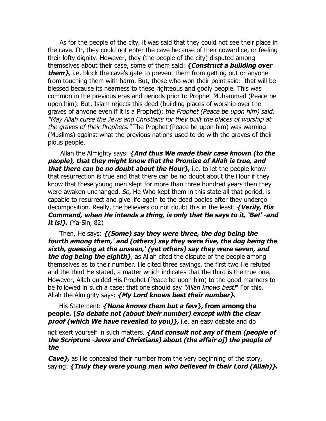As for the people of the city, it was said that they could not see their place in the cave. Or, they could not enter the cave because of their cowardice, or feeling their lofty dignity. However, they (the people of the city) disputed among themselves about their case, some of them said: **{Construct a building over them},** i.e. block the cave's gate to prevent them from getting out or anyone from touching them with harm. But, those who won their point said: that will be blessed because its nearness to these righteous and godly people. This was common in the previous eras and periods prior to Prophet Muhammad (Peace be upon him). But, Islam rejects this deed (building places of worship over the graves of anyone even if it is a Prophet): the Prophet (Peace be upon him) said: "May Allah curse the Jews and Christians for they built the places of worship at the graves of their Prophets." The Prophet (Peace be upon him) was warning (Muslims) against what the previous nations used to do with the graves of their pious people.

Allah the Almighty says: **{And thus We made their case known (to the people), that they might know that the Promise of Allah is true, and that there can be no doubt about the Hour}**, i.e. to let the people know that resurrection is true and that there can be no doubt about the Hour if they know that these young men slept for more than three hundred years then they were awaken unchanged. So, He Who kept them in this state all that period, is capable to resurrect and give life again to the dead bodies after they undergo decomposition. Really, the believers do not doubt this in the least: **{Verily, His Command, when He intends a thing, is only that He says to it, 'Be!' -and it is!}.** (Ya-Sin, 82)

Then, He says: **{(Some) say they were three, the dog being the fourth among them,' and (others) say they were five, the dog being the sixth, guessing at the unseen,' (yet others) say they were seven, and the dog being the eighth}**, as Allah cited the dispute of the people among themselves as to their number. He cited three sayings, the first two He refuted and the third He stated, a matter which indicates that the third is the true one. However, Allah guided His Prophet (Peace be upon him) to the good manners to be followed in such a case: that one should say "Allah knows best!" For this, Allah the Almighty says: **{My Lord knows best their number}.**

#### His Statement: **{None knows them but a few}, from among the people. (So debate not (about their number) except with the clear proof (which We have revealed to you)}**, i.e. an easy debate and do

not exert yourself in such matters. **{And consult not any of them (people of the Scripture -Jews and Christians) about (the affair oj) the people of the**

Cave}, as He concealed their number from the very beginning of the story, saying: **{Truly they were young men who believed in their Lord (Allah)}.**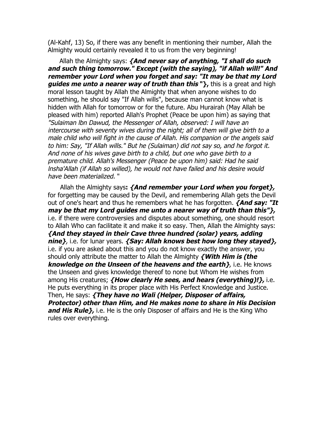(Al-Kahf, 13) So, if there was any benefit in mentioning their number, Allah the Almighty would certainly revealed it to us from the very beginning!

Allah the Almighty says: **{And never say of anything, "I shall do such and such thing tomorrow." Except (with the saying), "if Allah will!" And remember your Lord when you forget and say: "It may be that my Lord guides me unto a nearer way of truth than this "},** this is a great and high moral lesson taught by Allah the Almighty that when anyone wishes to do something, he should say "If Allah wills", because man cannot know what is hidden with Allah for tomorrow or for the future. Abu Hurairah (May Allah be pleased with him) reported Allah's Prophet (Peace be upon him) as saying that "Sulaiman lbn Dawud, the Messenger of Allah, observed: I will have an intercourse with seventy wives during the night; all of them will give birth to a male child who will fight in the cause of Allah. His companion or the angels said to him: Say, "If Allah wills." But he (Sulaiman) did not say so, and he forgot it. And none of his wives gave birth to a child, but one who gave birth to a premature child. Allah's Messenger (Peace be upon him) said: Had he said lnsha'Allah (if Allah so willed), he would not have failed and his desire would have been materialized. "

Allah the Almighty says**: {And remember your Lord when you forget},** for forgetting may be caused by the Devil, and remembering Allah gets the Devil out of one's heart and thus he remembers what he has forgotten. **{And say: "It may be that my Lord guides me unto a nearer way of truth than this"},** i.e. if there were controversies and disputes about something, one should resort to Allah Who can facilitate it and make it so easy. Then, Allah the Almighty says: **{And they stayed in their Cave three hundred (solar) years, adding nine}**, i.e. for lunar years. **{Say: Allah knows best how long they stayed},** i.e. if you are asked about this and you do not know exactly the answer, you should only attribute the matter to Allah the Almighty **{With Him is (the knowledge on the Unseen of the heavens and the earth}**, i.e. He knows the Unseen and gives knowledge thereof to none but Whom He wishes from among His creatures; **{How clearly He sees, and hears (everything)!},** i.e. He puts everything in its proper place with His Perfect Knowledge and Justice. Then, He says: **{They have no Wali (Helper, Disposer of affairs, Protector) other than Him, and He makes none to share in His Decision and His Rule},** i.e. He is the only Disposer of affairs and He is the King Who rules over everything.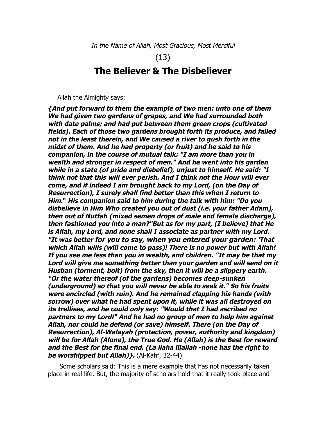In the Name of Allah, Most Gracious, Most Merciful

(13)

### **The Believer & The Disbeliever**

Allah the Almighty says:

**{And put forward to them the example of two men: unto one of them We had given two gardens of grapes, and We had surrounded both with date palms; and had put between them green crops (cultivated fields). Each of those two gardens brought forth its produce, and failed not in the least therein, and We caused a river to gush forth in the midst of them. And he had property (or fruit) and he said to his companion, in the course of mutual talk: "I am more than you in wealth and stronger in respect of men." And he went into his garden while in a state (of pride and disbelief), unjust to himself. He said: "I think not that this will ever perish. And I think not the Hour will ever come, and if indeed I am brought back to my Lord, (on the Day of Resurrection), I surely shall find better than this when I return to Him." His companion said to him during the talk with him: "Do you disbelieve in Him Who created you out of dust (i.e. your father Adam), then out of Nutfah (mixed semen drops of male and female discharge), then fashioned you into a man?"But as for my part, (I believe) that He is Allah, my Lord, and none shall I associate as partner with my Lord. "It was better for you to say, when you entered your garden: 'That which Allah wills (will come to pass)! There is no power but with Allah! If you see me less than you in wealth, and children. "It may be that my Lord will give me something better than your garden and will send on it Husban (torment, bolt) from the sky, then it will be a slippery earth. "Or the water thereof (of the gardens) becomes deep-sunken (underground) so that you will never be able to seek it." So his fruits were encircled (with ruin). And he remained clapping his hands (with sorrow) over what he had spent upon it, while it was all destroyed on its trellises, and he could only say: "Would that I had ascribed no partners to my Lord!" And he had no group of men to help him against Allah, nor could he defend (or save) himself. There (on the Day of Resurrection), Al-Walayah (protection, power, authority and kingdom) will be for Allah (Alone), the True God. He (Allah) is the Best for reward and the Best for the final end. (La ilaha illallah -none has the right to be worshipped but Allah)}.** (Al-Kahf, 32-44)

Some scholars said: This is a mere example that has not necessarily taken place in real life. But, the majority of scholars hold that it really took place and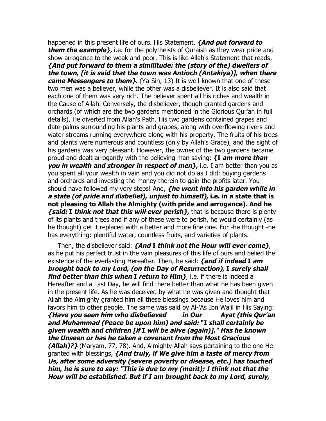happened in this present life of ours. His Statement, **{And put forward to them the example}**, i.e. for the polytheists of Quraish as they wear pride and show arrogance to the weak and poor. This is like Allah's Statement that reads, **{And put forward to them a similitude: the (story of the) dwellers of the town, [it is said that the town was Antioch (Antakiya)], when there came Messengers to them**}. (Ya-Sin, 13) It is well-known that one of these two men was a believer, while the other was a disbeliever. It is also said that each one of them was very rich. The believer spent all his riches and wealth in the Cause of Allah. Conversely, the disbeliever, though granted gardens and orchards (of which are the two gardens mentioned in the Glorious Qur'an in full details), He diverted from Allah's Path. His two gardens contained grapes and date-palms surrounding his plants and grapes, along with overflowing rivers and water streams running everywhere along with his property. The fruits of his trees and plants were numerous and countless (only by Allah's Grace), and the sight of his gardens was very pleasant. However, the owner of the two gardens became proud and dealt arrogantly with the believing man saying: **{I am more than you in wealth and stronger in respect of men },** i.e. I am better than you as you spent all your wealth in vain and you did not do as I did: buying gardens and orchards and investing the money therein to gain the profits later. You should have followed my very steps! And, **{he went into his garden while in a state (of pride and disbelief), unjust to himself), i.e. in a state that is not pleasing to Allah the Almighty (with pride and arrogance). And he {said: I think not that this will ever perish},** that is because there is plenty of its plants and trees and if any of these were to perish, he would certainly (as he thought) get it replaced with a better and more fine one. For -he thought -he has everything: plentiful water, countless fruits, and varieties of plants.

Then, the disbeliever said: **{And I think not the Hour will ever come}**, as he put his perfect trust in the vain pleasures of this life of ours and belied the existence of the everlasting Hereafter. Then, he said: **{and if indeed I am brought back to my Lord, (on the Day of Resurrection), I surely shall find better than this when I return to Him}**, i.e. if there is indeed a Hereafter and a Last Day, he will find there better than what he has been given in the present life. As he was deceived by what he was given and thought that Allah the Almighty granted him all these blessings because He loves him and favors him to other people. The same was said by Al-'As Ibn Wa'il in His Saying: **{Have you seen him who disbelieved in Our Ayat (this Qur'an and Muhammad (Peace be upon him) and said: "I shall certainly be given wealth and children [if I will be alive (again)]." Has he known the Unseen or has he taken a covenant from the Most Gracious (Allah)?}** (Maryam, 77, 78). And, Almighty Allah says pertaining to the one He granted with blessings, **{And truly, if We give him a taste of mercy from Us, after some adversity (severe poverty or disease, etc.) has touched him, he is sure to say: "This is due to my (merit); I think not that the Hour will be established. But if I am brought back to my Lord, surely,**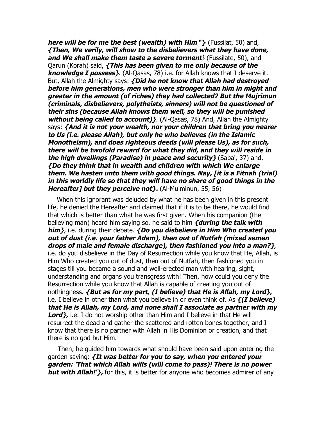**here will be for me the best (wealth) with Him "}** (Fussilat, 50) and, **{Then, We verily, will show to the disbelievers what they have done, and We shall make them taste a severe torment**} (Fussilate, 50), and Qarun (Korah) said, **{This has been given to me only because of the knowledge I possess}**. (Al-Qasas, 78) i.e. for Allah knows that I deserve it. But, Allah the Almighty says: **{Did he not know that Allah had destroyed before him generations, men who were stronger than him in might and greater in the amount (of riches) they had collected? But the Mujrimun (criminals, disbelievers, polytheists, sinners) will not be questioned of their sins (because Allah knows them well, so they will be punished without being called to account)}**. (Al-Qasas, 78) And, Allah the Almighty says: **{And it is not your wealth, nor your children that bring you nearer to Us (i.e. please Allah), but only he who believes (in the Islamic Monotheism), and does righteous deeds (will please Us), as for such, there will be twofold reward for what they did, and they will reside in the high dwellings (Paradise) in peace and security}** (Saba', 37) and, **{Do they think that in wealth and children with which We enlarge them. We hasten unto them with good things. Nay, [it is a Fitnah (trial) in this worldly life so that they will have no share of good things in the Hereafter] but they perceive not}.** (Al-Mu'minun, 55, 56)

When this ignorant was deluded by what he has been given in this present life, he denied the Hereafter and claimed that if it is to be there, he would find that which is better than what he was first given. When his companion (the believing man) heard him saying so, he said to him **{during the talk with him}**, i.e. during their debate. **{Do you disbelieve in Him Who created you out of dust (i.e. your father Adam), then out of Nutfah (mixed semen drops of male and female discharge), then fashioned you into a man?}**, i.e. do you disbelieve in the Day of Resurrection while you know that He, Allah, is Him Who created you out of dust, then out of Nutfah, then fashioned you in stages till you became a sound and well-erected man with hearing, sight, understanding and organs you transgress with! Then, how could you deny the Resurrection while you know that Allah is capable of creating you out of nothingness. **{But as for my part, (I believe) that He is Allah, my Lord},** i.e. I believe in other than what you believe in or even think of. As **{(I believe) that He is Allah, my Lord, and none shall I associate as partner with my** Lord<sub>b</sub>, i.e. I do not worship other than Him and I believe in that He will resurrect the dead and gather the scattered and rotten bones together, and I know that there is no partner with Allah in His Dominion or creation, and that there is no god but Him.

Then, he guided him towards what should have been said upon entering the garden saying: **{It was better for you to say, when you entered your garden: 'That which Allah wills (will come to pass)! There is no power but with Allah!'},** for this, it is better for anyone who becomes admirer of any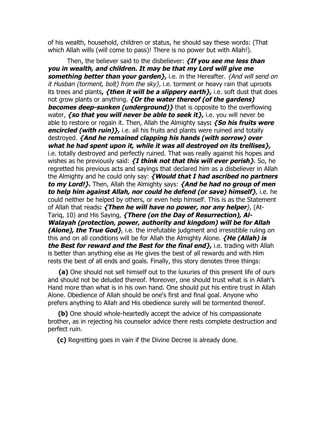of his wealth, household, children or status, he should say these words: (That which Allah wills (will come to pass)! There is no power but with Allah!).

Then, the believer said to the disbeliever: **{If you see me less than you in wealth, and children. It may be that my Lord will give me something better than your garden**, i.e. in the Hereafter. *{And will send on* it Husban (torment, bolt) from the sky}, i.e. torment or heavy rain that uproots its trees and plants**, {then it will be a slippery earth},** i.e. soft dust that does not grow plants or anything. **{Or the water thereof (of the gardens) becomes deep-sunken (underground)}** that is opposite to the overflowing water, **{so that you will never be able to seek it},** i.e. you will never be able to restore or regain it. Then, Allah the Almighty says**: {So his fruits were encircled (with ruin)}**, i.e. all his fruits and plants were ruined and totally destroyed. **{And he remained clapping his hands (with sorrow) over what he had spent upon it, while it was all destroyed on its trellises},** i.e. totally destroyed and perfectly ruined. That was really against his hopes and wishes as he previously said: **{I think not that this will ever perish}**. So, he regretted his previous acts and sayings that declared him as a disbeliever in Allah the Almighty and he could only say: **{Would that I had ascribed no partners to my Lord!}.** Then, Allah the Almighty says: **{And he had no group of men to help him against Allah, nor could he defend (or save) himself}**, i.e. he could neither be helped by others, or even help himself. This is as the Statement of Allah that reads**: {Then he will have no power, nor any helper**}, (At-Tariq, 10) and His Saying, **{There (on the Day of Resurrection), Al-Walayah (protection, power, authority and kingdom) will be for Allah (Alone), the True God}**, i.e. the irrefutable judgment and irresistible ruling on this and on all conditions will be for Allah the Almighty Alone. **{He (Allah) is the Best for reward and the Best for the final end},** i.e. trading with Allah is better than anything else as He gives the best of all rewards and with Him rests the best of all ends and goals. Finally, this story denotes three things:

**(a)** One should not sell himself out to the luxuries of this present life of ours and should not be deluded thereof. Moreover, one should trust what is in Allah's Hand more than what is in his own hand. One should put his entire trust in Allah Alone. Obedience of Allah should be one's first and final goal. Anyone who prefers anything to Allah and His obedience surely will be tormented thereof.

**(b)** One should whole-heartedly accept the advice of his compassionate brother, as in rejecting his counselor advice there rests complete destruction and perfect ruin.

**(c)** Regretting goes in vain if the Divine Decree is already done.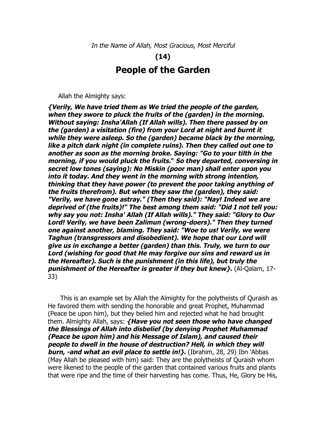# **(14) People of the Garden**

Allah the Almighty says:

**{Verily, We have tried them as We tried the people of the garden, when they swore to pluck the fruits of the (garden) in the morning. Without saying: Insha'Allah (If Allah wills). Then there passed by on the (garden) a visitation (fire) from your Lord at night and burnt it while they were asleep. So the (garden) became black by the morning, like a pitch dark night (in complete ruins). Then they called out one to another as soon as the morning broke. Saying: "Go to your tilth in the morning, if you would pluck the fruits." So they departed, conversing in secret low tones (saying): No Miskin (poor man) shall enter upon you into it today. And they went in the morning with strong intention, thinking that they have power (to prevent the poor taking anything of the fruits therefrom). But when they saw the (garden), they said: "Verily, we have gone astray." (Then they said): "Nay! Indeed we are deprived of (the fruits)!" The best among them said: "Did I not tell you: why say you not: Insha' Allah (If Allah wills)." They said: "Glory to Our Lord! Verily, we have been Zalimun (wrong-doers)." Then they turned one against another, blaming. They said: "Woe to us! Verily, we were Taghun (transgressors and disobedient). We hope that our Lord will give us in exchange a better (garden) than this. Truly, we turn to our Lord (wishing for good that He may forgive our sins and reward us in the Hereafter). Such is the punishment (in this life), but truly the punishment of the Hereafter is greater if they but knew}.** (Al-Qalam, 17- 33)

This is an example set by Allah the Almighty for the polytheists of Quraish as He favored them with sending the honorable and great Prophet, Muhammad (Peace be upon him), but they belied him and rejected what he had brought them. Almighty Allah, says: **{Have you not seen those who have changed the Blessings of Allah into disbelief (by denying Prophet Muhammad (Peace be upon him) and his Message of Islam), and caused their people to dwell in the house of destruction? Hell, in which they will burn, -and what an evil place to settle in!}.** (Ibrahim, 28, 29) Ibn 'Abbas (May Allah be pleased with him) said: They are the polytheists of Quraish whom were likened to the people of the garden that contained various fruits and plants that were ripe and the time of their harvesting has come. Thus, He, Glory be His,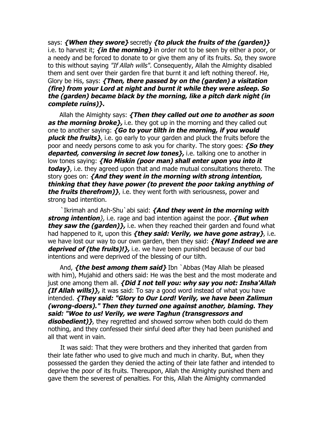says: **{When they swore}** secretly **{to pluck the fruits of the (garden)}** i.e. to harvest it; **{in the morning}** in order not to be seen by either a poor, or a needy and be forced to donate to or give them any of its fruits. So, they swore to this without saying "If Allah wills". Consequently, Allah the Almighty disabled them and sent over their garden fire that burnt it and left nothing thereof. He, Glory be His, says: **{Then, there passed by on the (garden) a visitation (fire) from your Lord at night and burnt it while they were asleep. So the (garden) became black by the morning, like a pitch dark night (in complete ruins)}.**

Allah the Almighty says: **{Then they called out one to another as soon as the morning broke**, i.e. they got up in the morning and they called out one to another saying: **{Go to your tilth in the morning, if you would pluck the fruits**}, i.e. go early to your garden and pluck the fruits before the poor and needy persons come to ask you for charity. The story goes: **{So they departed, conversing in secret low tones},** i.e. talking one to another in low tones saying: **{No Miskin (poor man) shall enter upon you into it today}**, i.e. they agreed upon that and made mutual consultations thereto. The story goes on: **{And they went in the morning with strong intention, thinking that they have power (to prevent the poor taking anything of the fruits therefrom)}**, i.e. they went forth with seriousness, power and strong bad intention.

`Ikrimah and Ash-Shu`abi said: **{And they went in the morning with strong intention**}, i.e. rage and bad intention against the poor. **{But when they saw the (garden)}**, i.e. when they reached their garden and found what had happened to it, upon this **{they said: Verily, we have gone astray}**, i.e. we have lost our way to our own garden, then they said: **{Nay! Indeed we are** deprived of (the fruits)!}, i.e. we have been punished because of our bad intentions and were deprived of the blessing of our tilth.

And, **{the best among them said}** Ibn `Abbas (May Allah be pleased with him), Mujahid and others said: He was the best and the most moderate and just one among them all. **{Did I not tell you: why say you not: Insha'Allah (If Allah wills)},** it was said: To say a good word instead of what you have intended. **{They said: "Glory to Our Lord! Verily, we have been Zalimun (wrong-doers)." Then they turned one against another, blaming. They said: "Woe to us! Verily, we were Taghun (transgressors and disobedient)**, they regretted and showed sorrow when both could do them nothing, and they confessed their sinful deed after they had been punished and all that went in vain.

It was said: That they were brothers and they inherited that garden from their late father who used to give much and much in charity. But, when they possessed the garden they denied the acting of their late father and intended to deprive the poor of its fruits. Thereupon, Allah the Almighty punished them and gave them the severest of penalties. For this, Allah the Almighty commanded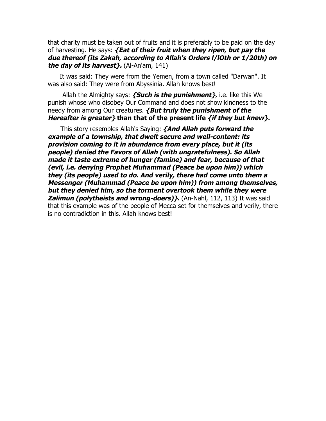that charity must be taken out of fruits and it is preferably to be paid on the day of harvesting. He says: **{Eat of their fruit when they ripen, but pay the due thereof (its Zakah, according to Allah's Orders l/lOth or 1/20th) on the day of its harvest}.** (Al-An'am, 141)

It was said: They were from the Yemen, from a town called "Darwan". It was also said: They were from Abyssinia. Allah knows best!

Allah the Almighty says: **{Such is the punishment}**, i.e. like this We punish whose who disobey Our Command and does not show kindness to the needy from among Our creatures. **{But truly the punishment of the Hereafter is greater} than that of the present life {if they but knew}.**

This story resembles Allah's Saying: **{And Allah puts forward the example of a township, that dwelt secure and well-content: its provision coming to it in abundance from every place, but it (its people) denied the Favors of Allah (with ungratefulness). So Allah made it taste extreme of hunger (famine) and fear, because of that (evil, i.e. denying Prophet Muhammad (Peace be upon him)) which they (its people) used to do. And verily, there had come unto them a Messenger (Muhammad (Peace be upon him)) from among themselves, but they denied him, so the torment overtook them while they were Zalimun (polytheists and wrong-doers)}.** (An-Nahl, 112, 113) It was said that this example was of the people of Mecca set for themselves and verily, there is no contradiction in this. Allah knows best!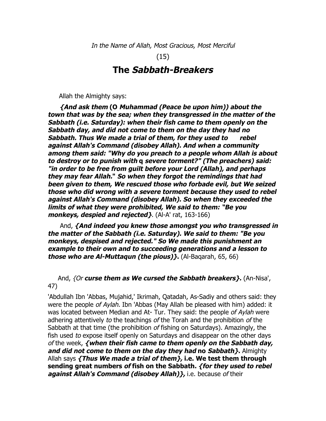In the Name of Allah, Most Gracious, Most Merciful

(15)

### **The Sabbath-Breakers**

Allah the Almighty says:

**{And ask them (O Muhammad (Peace be upon him)) about the town that was by the sea; when they transgressed in the matter of the Sabbath (i.e. Saturday): when their fish came to them openly on the Sabbath day, and did not come to them on the day they had no Sabbath. Thus We made a trial of them, for they used to rebel against Allah's Command (disobey Allah). And when a community among them said: "Why do you preach to a people whom Allah is about to destroy or to punish with q severe torment?" (The preachers) said: "in order to be free from guilt before your Lord (Allah), and perhaps they may fear Allah." So when they forgot the remindings that had been given to them, We rescued those who forbade evil, but We seized those who did wrong with a severe torment because they used to rebel against Allah's Command (disobey Allah). So when they exceeded the limits of what they were prohibited, We said to them: "Be you monkeys, despied and rejected}**. (Al-A' rat, 163-166)

And, **{And indeed you knew those amongst you who transgressed in the matter of the Sabbath (i.e. Saturday). We said to them: "Be you monkeys, despised and rejected." So We made this punishment an example to their own and to succeeding generations and a lesson to those who are Al-Muttaqun (the pious)}.** (Al-Baqarah, 65, 66)

#### And, {Or **curse them as We cursed the Sabbath breakers}.** (An-Nisa', 47)

'Abdullah Ibn 'Abbas, Mujahid,' Ikrimah, Qatadah, As-Sadiy and others said: they were the people of Aylah. Ibn 'Abbas (May Allah be pleased with him) added: it was located between Median and At- Tur. They said: the people of Aylah were adhering attentively to the teachings of the Torah and the prohibition of the Sabbath at that time (the prohibition of fishing on Saturdays). Amazingly, the fish used to expose itself openly on Saturdays and disappear on the other days of the week, **{when their fish came to them openly on the Sabbath day, and did not come to them on the day they had no Sabbath}.** Almighty Allah says **{Thus We made a trial of them}, i.e. We test them through sending great numbers of fish on the Sabbath. {for they used to rebel against Allah's Command (disobey Allah)},** i.e. because of their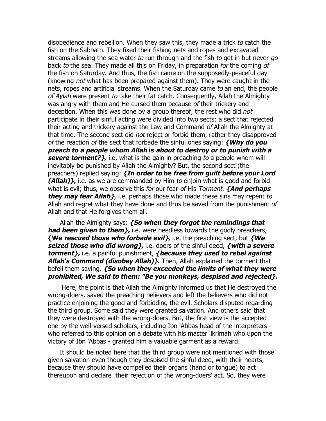disobedience and rebellion. When they saw this, they made a trick to catch the fish on the Sabbath. They fixed their fishing nets and ropes and excavated streams allowing the sea water to run through and the fish to get in but never go back to the sea. They made all this on Friday, in preparation for the coming of the fish on Saturday. And thus, the fish came on the supposedly-peaceful day (knowing not what has been prepared against them). They were caught in the nets, ropes and artificial streams. When the Saturday came to an end, the people of Aylah were present to take their fat catch. Consequently, Allah the Almighty was angry with them and He cursed them because of their trickery and deception. When this was done by a group thereof, the rest who did not participate in their sinful acting were divided into two sects: a sect that rejected their acting and trickery against the Law and Command of Allah the Almighty at that time. The second sect did not reject or forbid them, rather they disapproved of the reaction of the sect that forbade the sinful ones saying: **{Why do you preach to a people whom Allah is about to destroy or to punish with a severe torment?},** i.e. what is the gain in preaching to a people whom will inevitably be punished by Allah the Almighty? But, the second sect (the preachers) replied saying: **{In order to be free from guilt before your Lord (Allah)},** i.e. as we are commanded by Him to enjoin what is good and forbid what is evil; thus, we observe this for our fear of His Torment. **{And perhaps they may fear Allah}**, i.e. perhaps those who made these sins may repent to Allah and regret what they have done and thus be saved from the punishment of Allah and that He forgives them all.

Allah the Almighty says: **{So when they forgot the remindings that had been given to them},** i.e. were heedless towards the godly preachers, **{We rescued those who forbade evil},** i.e. the preaching sect, but **{We seized those who did wrong},** i.e. doers of the sinful deed, **{with a severe torment},** i.e. a painful punishment, **{because they used to rebel against Allah's Command (disobey Allah)}.** Then, Allah explained the torment that befell them saying, **{So when they exceeded the limits of what they were prohibited, We said to them: "Be you monkeys, despised and rejected}.**

Here, the point is that Allah the Almighty informed us that He destroyed the wrong-doers, saved the preaching believers and left the believers who did not practice enjoining the good and forbidding the evil. Scholars disputed regarding the third group. Some said they were granted salvation. And others said that they were destroyed with the wrong-doers. But, the first view is the accepted one by the well-versed scholars, including Ibn 'Abbas head of the interpreters who referred to this opinion on a debate with his master 'lkrimah who upon the victory of Ibn 'Abbas - granted him a valuable garment as a reward.

It should be noted here that the third group were not mentioned with those given salvation even though they despised the sinful deed, with their hearts, because they should have compelled their organs (hand or tongue) to act thereupon and declare their rejection of the wrong-doers' act. So, they were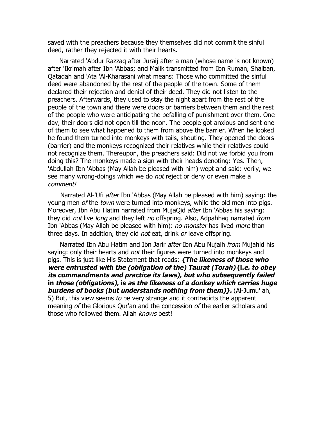saved with the preachers because they themselves did not commit the sinful deed, rather they rejected it with their hearts.

Narrated 'Abdur Razzaq after Juraij after a man (whose name is not known) after 'Ikrimah after Ibn 'Abbas; and Malik transmitted from Ibn Ruman, Shaiban, Qatadah and 'Ata 'Al-Kharasani what means: Those who committed the sinful deed were abandoned by the rest of the people of the town. Some of them declared their rejection and denial of their deed. They did not listen to the preachers. Afterwards, they used to stay the night apart from the rest of the people of the town and there were doors or barriers between them and the rest of the people who were anticipating the befalling of punishment over them. One day, their doors did not open till the noon. The people got anxious and sent one of them to see what happened to them from above the barrier. When he looked he found them turned into monkeys with tails, shouting. They opened the doors (barrier) and the monkeys recognized their relatives while their relatives could not recognize them. Thereupon, the preachers said: Did not we forbid you from doing this? The monkeys made a sign with their heads denoting: Yes. Then, 'Abdullah Ibn 'Abbas (May Allah be pleased with him) wept and said: verily, we see many wrong-doings which we do *not* reject or deny or even make a comment!

Narrated Al-'Ufi after Ibn 'Abbas (May Allah be pleased with him) saying: the young men of the town were turned into monkeys, while the old men into pigs. Moreover, Ibn Abu Hatim narrated from MujaQid after Ibn 'Abbas his saying: they did not live long and they left no offspring. Also, Adpahhag narrated from Ibn 'Abbas (May Allah be pleased with him): no monster has lived more than three days. In addition, they did not eat, drink or leave offspring.

Narrated Ibn Abu Hatim and Ibn Jarir after Ibn Abu Nujaih from Mujahid his saying: only their hearts and not their figures were turned into monkeys and pigs. This is just like His Statement that reads: **{The likeness of those who were entrusted with the (obligation of the) Taurat (Torah) (i.e. to obey its commandments and practice its laws), but who subsequently failed in those (obligations), is as the likeness of a donkey which carries huge burdens of books (but understands nothing from them)}.** (Al-Jumu' ah, 5) But, this view seems to be very strange and it contradicts the apparent meaning of the Glorious Our'an and the concession of the earlier scholars and those who followed them. Allah knows best!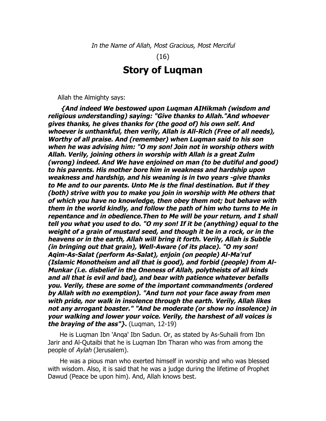(16)

### **Story of Luqman**

Allah the Almighty says:

**{And indeed We bestowed upon Luqman AIHikmah (wisdom and religious understanding) saying: "Give thanks to Allah."And whoever gives thanks, he gives thanks for (the good of) his own self. And whoever is unthankful, then verily, Allah is All-Rich (Free of all needs), Worthy of all praise. And (remember) when Luqman said to his son when he was advising him: "O my son! Join not in worship others with Allah. Verily, joining others in worship with Allah is a great Zulm (wrong) indeed. And We have enjoined on man (to be dutiful and good) to his parents. His mother bore him in weakness and hardship upon weakness and hardship, and his weaning is in two years -give thanks to Me and to our parents. Unto Me is the final destination. But if they (both) strive with you to make you join in worship with Me others that of which you have no knowledge, then obey them not; but behave with them in the world kindly, and follow the path of him who turns to Me in repentance and in obedience.Then to Me will be your return, and I shall tell you what you used to do. "O my son! If it be (anything) equal to the weight of a grain of mustard seed, and though it be in a rock, or in the heavens or in the earth, Allah will bring it forth. Verily, Allah is Subtle (in bringing out that grain), Well-Aware (of its place). "O my son! Aqim-As-Salat (perform As-Salat), enjoin (on people) Al-Ma'ruf (Islamic Monotheism and all that is good), and forbid (people) from Al-Munkar (i.e. disbelief in the Oneness of Allah, polytheists of all kinds and all that is evil and bad), and bear with patience whatever befalls you. Verily, these are some of the important commandments (ordered by Allah with no exemption). "And turn not your face away from men with pride, nor walk in insolence through the earth. Verily, Allah likes not any arrogant boaster." "And be moderate (or show no insolence) in your walking and lower your voice. Verily, the harshest of all voices is the braying of the ass"}.** (Luqman, 12-19)

He is Luqman Ibn 'Anqa' Ibn Sadun. Or, as stated by As-Suhaili from Ibn Jarir and Al-Qutaibi that he is Luqman Ibn Tharan who was from among the people of Aylah (Jerusalem).

He was a pious man who exerted himself in worship and who was blessed with wisdom. Also, it is said that he was a judge during the lifetime of Prophet Dawud (Peace be upon him). And, Allah knows best.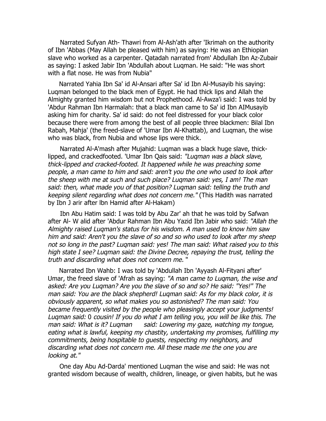Narrated Sufyan Ath- Thawri from Al-Ash'ath after 'Ikrimah on the authority of Ibn 'Abbas (May Allah be pleased with him) as saying: He was an Ethiopian slave who worked as a carpenter. Qatadah narrated from' Abdullah Ibn Az-Zubair as saying: I asked Jabir Ibn 'Abdullah about Luqman. He said: "He was short with a flat nose. He was from Nubia"

Narrated Yahia Ibn Sa' id Al-Ansari after Sa' id Ibn Al-Musayib his saying: Luqman belonged to the black men of Egypt. He had thick lips and Allah the Almighty granted him wisdom but not Prophethood. Al-Awza'i said: I was told by 'Abdur Rahman Ibn Harmalah: that a black man came to Sa' id Ibn AIMusayib asking him for charity. Sa' id said: do not feel distressed for your black color because there were from among the best of all people three blackmen: Bilal Ibn Rabah, Mahja' (the freed-slave of 'Umar Ibn Al-Khattab), and Luqman, the wise who was black, from Nubia and whose lips were thick.

Narrated Al-A'mash after Mujahid: Luqman was a black huge slave, thicklipped, and crackedfooted. 'Umar Ibn Qais said: "Luqman was a black slave, thick-lipped and cracked-footed. It happened while he was preaching some people, a man came to him and said: aren't you the one who used to look after the sheep with me at such and such place? Luqman said: yes, I am! The man said: then, what made you of that position? Luqman said: telling the truth and keeping silent regarding what does not concern me." (This Hadith was narrated by Ibn J arir after lbn Hamid after Al-Hakam)

Ibn Abu Hatim said: I was told by Abu Zar' ah that he was told by Safwan after Al- W alid after 'Abdur Rahman Ibn Abu Yazid Ibn Jabir who said: "Allah the Almighty raised Luqman's status for his wisdom. A man used to know him saw him and said: Aren't you the slave of so and so who used to look after my sheep not so long in the past? Luqman said: yes! The man said: What raised you to this high state I see? Luqman said: the Divine Decree, repaying the trust, telling the truth and discarding what does not concern me. "

Narrated Ibn Wahb: I was told by 'Abdullah Ibn 'Ayyash Al-Fityani after' Umar, the freed slave of 'Afrah as saying: "A man came to Luqman, the wise and asked: Are you Luqman? Are you the slave of so and so? He said: "Yes!" The man said: You are the black shepherd! Luqman said: As for my black color, it is obviously apparent, so what makes you so astonished? The man said: You became frequently visited by the people who pleasingly accept your judgments! Luqman said: 0 cousin! If you do what I am telling you, you will be like this. The man said: What is it? Lugman said: Lowering my gaze, watching my tongue, eating what is lawful, keeping my chastity, undertaking my promises, fulfilling my commitments, being hospitable to guests, respecting my neighbors, and discarding what does not concern me. All these made me the one you are looking at."

One day Abu Ad-Darda' mentioned Luqman the wise and said: He was not granted wisdom because of wealth, children, lineage, or given habits, but he was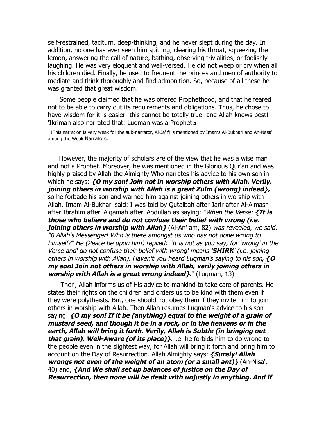self-restrained, taciturn, deep-thinking, and he never slept during the day. In addition, no one has ever seen him spitting, clearing his throat, squeezing the lemon, answering the call of nature, bathing, observing trivialities, or foolishly laughing. He was very eloquent and well-versed. He did not weep or cry when all his children died. Finally, he used to frequent the princes and men of authority to mediate and think thoroughly and find admonition. So, because of all these he was granted that great wisdom.

Some people claimed that he was offered Prophethood, and that he feared not to be able to carry out its requirements and obligations. Thus, he chose to have wisdom for it is easier -this cannot be totally true -and Allah knows best! 'Ikrimah also narrated that: Luqman was a Prophet.**<sup>1</sup>**

1This narration is very weak for the sub-narrator, Al-Ja' fi is mentioned by Imams Al-Bukhari and An-Nasa'i among the Weak Narrators.

However, the majority of scholars are of the view that he was a wise man and not a Prophet. Moreover, he was mentioned in the Glorious Qur'an and was highly praised by Allah the Almighty Who narrates his advice to his own son in which he says: **{O my son! Join not in worship others with Allah. Verily, joining others in worship with Allah is a great Zulm (wrong) indeed},** so he forbade his son and warned him against joining others in worship with Allah. Imam Al-Bukhari said: I was told by Qutaibah after Jarir after Al-A'mash after Ibrahim after 'Alqamah after 'Abdullah as saying: "When the Verse: **{It is those who believe and do not confuse their belief with wrong (i.e. joining others in worship with Allah}** (Al-An' am, 82) was revealed, we said: "0 Allah's Messenger! Who is there amongst us who has not done wrong to himself?" He (Peace be upon him) replied: "It is not as you say, for 'wrong' in the Verse and' do not confuse their belief with wrong' means **'SHIRK**' (i.e. joining others in worship with Allah). Haven't you heard Luqman's saying to his son**, {O my son! Join not others in worship with Allah, verily joining others in worship with Allah is a great wrong indeed}**." (Luqman, 13)

Then, Allah informs us of His advice to mankind to take care of parents. He states their rights on the children and orders us to be kind with them even if they were polytheists. But, one should not obey them if they invite him to join others in worship with Allah. Then Allah resumes Luqman's advice to his son saying: **{O my son! If it be (anything) equal to the weight of a grain of mustard seed, and though it be in a rock, or in the heavens or in the earth, Allah will bring it forth. Verily, Allah is Subtle (in bringing out that grain), Well-Aware (of its place)}**, i.e. he forbids him to do wrong to the people even in the slightest way, for Allah will bring it forth and bring him to account on the Day of Resurrection. Allah Almighty says: **{Surely! Allah wrongs not even of the weight of an atom (or a small ant)}** (An-Nisa', 40) and, **{And We shall set up balances of justice on the Day of Resurrection, then none will be dealt with unjustly in anything. And if**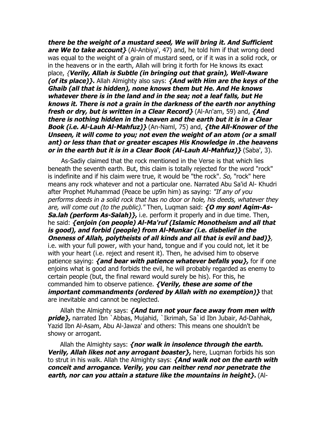**there be the weight of a mustard seed, We will bring it. And Sufficient are We to take account}** (Al-Anbiya', 47) and, he told him if that wrong deed was equal to the weight of a grain of mustard seed, or if it was in a solid rock, or in the heavens or in the earth, Allah will bring it forth for He knows its exact place, {**Verily, Allah is Subtle (in bringing out that grain), Well-Aware (of its place)}.** Allah Almighty also says: **{And with Him are the keys of the Ghaib (all that is hidden), none knows them but He. And He knows whatever there is in the land and in the sea; not a leaf falls, but He knows it. There is not a grain in the darkness of the earth nor anything fresh or dry, but is written in a Clear Record}** (Al-An'am, 59) and, **{And there is nothing hidden in the heaven and the earth but it is in a Clear Book (i.e. Al-Lauh Al-Mahfuz)}** (An-Naml, 75) and, **{the All-Knower of the Unseen, it will come to you; not even the weight of an atom (or a small ant) or less than that or greater escapes His Knowledge in .the heavens or in the earth but it is in a Clear Book (Al-Lauh Al-Mahfuz)}** (Saba', 3).

As-Sadiy claimed that the rock mentioned in the Verse is that which lies beneath the seventh earth. But, this claim is totally rejected for the word "rock" is indefinite and if his claim were true, it would be "the rock". So, "rock" here means any rock whatever and not a particular one. Narrated Abu Sa'id Al- Khudri after Prophet Muhammad (Peace be up9n him) as saying: "If any of you performs deeds in a solid rock that has no door or hole, his deeds, whatever they are, will come out (to the public)." Then, Luqman said: **{O my son! Aqim-As-Sa.lah (perform As-Salah)},** i.e. perform it properly and in due time. Then, he said: **{enjoin (on people) Al-Ma'ruf (Islamic Monotheism and all that is good), and forbid (people) from Al-Munkar (i.e. disbelief in the Oneness of Allah, polytheists of all kinds and all that is evil and bad)}**, i.e. with your full power, with your hand, tongue and if you could not, let it be with your heart (i.e. reject and resent it). Then, he advised him to observe patience saying: **{and bear with patience whatever befalls you},** for if one enjoins what is good and forbids the evil, he will probably regarded as enemy to certain people (but, the final reward would surely be his). For this, he commanded him to observe patience. **{Verily, these are some of the important commandments (ordered by Allah with no exemption)}** that are inevitable and cannot be neglected.

Allah the Almighty says: **{And turn not your face away from men with pride},** narrated Ibn `Abbas, Mujahid, `Ikrimah, Sa`id Ibn Jubair, Ad-Dahhak, Yazid Ibn Al-Asam, Abu Al-Jawza' and others: This means one shouldn't be showy or arrogant.

Allah the Almighty says: **{nor walk in insolence through the earth. Verily, Allah likes not any arrogant boaster},** here, Luqman forbids his son to strut in his walk. Allah the Almighty says: **{And walk not on the earth with conceit and arrogance. Verily, you can neither rend nor penetrate the earth, nor can you attain a stature like the mountains in height}.** (Al-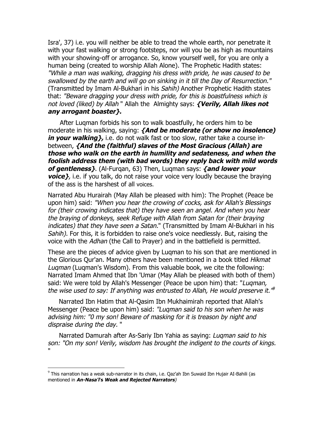Isra', 37) i.e. you will neither be able to tread the whole earth, nor penetrate it with your fast walking or strong footsteps, nor will you be as high as mountains with your showing-off or arrogance. So, know yourself well, for you are only a human being (created to worship Allah Alone). The Prophetic Hadith states: "While a man was walking, dragging his dress with pride, he was caused to be swallowed by the earth and will go on sinking in it till the Day of Resurrection." (Transmitted by Imam Al-Bukhari in his Sahih) Another Prophetic Hadith states that: "Beware dragging your dress with pride, for this is boastfulness which is not loved (liked) by Allah " Allah the Almighty says: **{Verily, Allah likes not any arrogant boaster}.**

After Luqman forbids his son to walk boastfully, he orders him to be moderate in his walking, saying: **{And be moderate (or show no insolence) in your walking },** i.e. do not walk fast or too slow, rather take a course inbetween, **{And the (faithful) slaves of the Most Gracious (Allah) are those who walk on the earth in humility and sedateness, and when the foolish address them (with bad words) they reply back with mild words of gentleness}**. (Al-Furqan, 63) Then, Luqman says: **{and lower your voice}**, i.e. if you talk, do not raise your voice very loudly because the braying of the ass is the harshest of all voices.

Narrated Abu Hurairah (May Allah be pleased with him): The Prophet (Peace be upon him) said: "When you hear the crowing of cocks, ask for Allah's Blessings for (their crowing indicates that) they have seen an angel. And when you hear the braying of donkeys, seek Refuge with Allah from Satan for (their braying indicates) that they have seen a Satan." (Transmitted by Imam Al-Bukhari in his Sahih). For this, it is forbidden to raise one's voice needlessly. But, raising the voice with the Adhan (the Call to Prayer) and in the battlefield is permitted.

These are the pieces of advice given by Luqman to his son that are mentioned in the Glorious Qur'an. Many others have been mentioned in a book titled Hikmat Luqman (Luqman's Wisdom). From this valuable book, we cite the following: Narrated Imam Ahmed that Ibn 'Umar (May Allah be pleased with both of them) said: We were told by Allah's Messenger (Peace be upon him) that: "Luqman, the wise used to say: If anything was entrusted to Allah, He would preserve it.<sup>19</sup>

Narrated Ibn Hatim that Al-Qasim Ibn Mukhaimirah reported that Allah's Messenger (Peace be upon him) said: "Luqman said to his son when he was advising him: "0 my son! Beware of masking for it is treason by night and dispraise during the day. "

Narrated Damurah after As-Sariy Ibn Yahia as saying: Luqman said to his son: "On my son! Verily, wisdom has brought the indigent to the courts of kings. "

 $9$  This narration has a weak sub-narrator in its chain, i.e. Qaz'ah Ibn Suwaid Ibn Hujair AI-Bahili (as mentioned in **An-Nasa'i's Weak and Rejected Narrators**)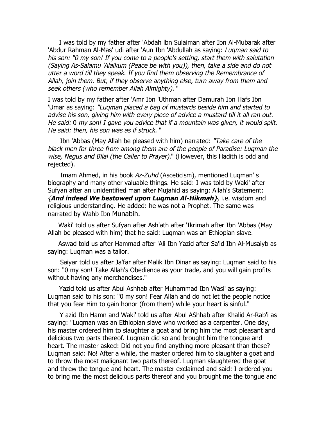I was told by my father after 'Abdah lbn Sulaiman after Ibn Al-Mubarak after 'Abdur Rahman Al-Mas' udi after 'Aun Ibn 'Abdullah as saying: Luqman said to his son: "0 my son! If you come to a people's setting, start them with salutation (Saying As-Salamu 'Alaikum (Peace be with you)), then, take a side and do not utter a word till they speak. If you find them observing the Remembrance of Allah, join them. But, if they observe anything else, turn away from them and seek others (who remember Allah Almighty). "

I was told by my father after 'Amr Ibn 'Uthman after Damurah Ibn Hafs Ibn 'Umar as saying: "Luqman placed a bag of mustards beside him and started to advise his son, giving him with every piece of advice a mustard till it all ran out. He said: 0 my son! I gave you advice that if a mountain was given, it would split. He said: then, his son was as if struck. "

Ibn 'Abbas (May Allah be pleased with him) narrated: "Take care of the black men for three from among them are of the people of Paradise: Luqman the wise, Negus and Bilal (the Caller to Prayer)." (However, this Hadith is odd and rejected).

Imam Ahmed, in his book Az-Zuhd (Asceticism), mentioned Luqman' s biography and many other valuable things. He said: I was told by Waki' after Sufyan after an unidentified man after Mujahid as saying: Allah's Statement: {**And indeed We bestowed upon Luqman Al-Hikmah}**, i.e. wisdom and religious understanding. He added: he was not a Prophet. The same was narrated by Wahb Ibn Munabih.

Waki' told us after Sufyan after Ash'ath after 'Ikrimah after Ibn 'Abbas (May Allah be pleased with him) that he said: Luqman was an Ethiopian slave.

Aswad told us after Hammad after 'Ali Ibn Yazid after Sa'id Ibn Al-Musaiyb as saying: Luqman was a tailor.

Saiyar told us after Ja'far after Malik Ibn Dinar as saying: Luqman said to his son: "0 my son! Take Allah's Obedience as your trade, and you will gain profits without having any merchandises."

Yazid told us after Abul Ashhab after Muhammad Ibn Wasi' as saying: Luqman said to his son: "0 my son! Fear Allah and do not let the people notice that you fear Him to gain honor (from them) while your heart is sinful."

Y azid Ibn Hamn and Waki' told us after Abul AShhab after Khalid Ar-Rab'i as saying: "Luqman was an Ethiopian slave who worked as a carpenter. One day, his master ordered him to slaughter a goat and bring him the most pleasant and delicious two parts thereof. Luqman did so and brought him the tongue and heart. The master asked: Did not you find anything more pleasant than these? Luqman said: No! After a while, the master ordered him to slaughter a goat and to throw the most malignant two parts thereof. Luqman slaughtered the goat and threw the tongue and heart. The master exclaimed and said: I ordered you to bring me the most delicious parts thereof and you brought me the tongue and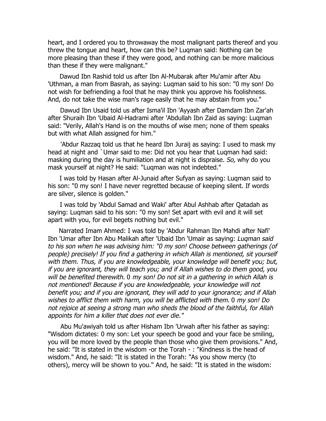heart, and I ordered you to throwaway the most malignant parts thereof and you threw the tongue and heart, how can this be? Luqman said: Nothing can be more pleasing than these if they were good, and nothing can be more malicious than these if they were malignant."

Dawud Ibn Rashid told us after Ibn Al-Mubarak after Mu'amir after Abu 'Uthman, a man from Basrah, as saying: Luqman said to his son: "0 my son! Do not wish for befriending a fool that he may think you approve his foolishness. And, do not take the wise man's rage easily that he may abstain from you."

Dawud Ibn Usaid told us after Isma'il Ibn 'Ayyash after Damdam Ibn Zar'ah after Shuraih Ibn 'Ubaid Al-Hadrami after 'Abdullah Ibn Zaid as saying: Luqman said: "Verily, Allah's Hand is on the mouths of wise men; none of them speaks but with what Allah assigned for him."

'Abdur Razzaq told us that he heard Ibn Juraij as saying: I used to mask my head at night and `Umar said to me: Did not you hear that Luqman had said: masking during the day is humiliation and at night is dispraise. So, why do you mask yourself at night? He said: "Luqman was not indebted."

I was told by Hasan after Al-Junaid after Sufyan as saying: Luqman said to his son: "0 my son! I have never regretted because of keeping silent. If words are silver, silence is golden."

I was told by 'Abdul Samad and Waki' after Abul Ashhab after Qatadah as saying: Luqman said to his son: "0 my son! Set apart with evil and it will set apart with you, for evil begets nothing but evil."

Narrated Imam Ahmed: I was told by 'Abdur Rahman Ibn Mahdi after Nafi' Ibn 'Umar after Ibn Abu Malikah after 'Ubaid Ibn 'Umair as saying: Luqman said to his son when he was advising him: "0 my son! Choose between gatherings (of people) precisely! If you find a gathering in which Allah is mentioned, sit yourself with them. Thus, if you are knowledgeable, your knowledge will benefit you; but, if you are ignorant, they will teach you; and if Allah wishes to do them good, you will be benefited therewith. 0 my son! Do not sit in a gathering in which Allah is not mentioned! Because if you are knowledgeable, your knowledge will not benefit you; and if you are ignorant, they will add to your ignorance; and if Allah wishes to afflict them with harm, you will be afflicted with them. 0 my son! Do not rejoice at seeing a strong man who sheds the blood of the faithful, for Allah appoints for him a killer that does not ever die."

Abu Mu'awiyah told us after Hisham Ibn 'Urwah after his father as saying: "Wisdom dictates: 0 my son: Let your speech be good and your face be smiling, you will be more loved by the people than those who give them provisions." And, he said: "It is stated in the wisdom -or the Torah - : "Kindness is the head of wisdom." And, he said: "It is stated in the Torah: "As you show mercy (to others), mercy will be shown to you." And, he said: "It is stated in the wisdom: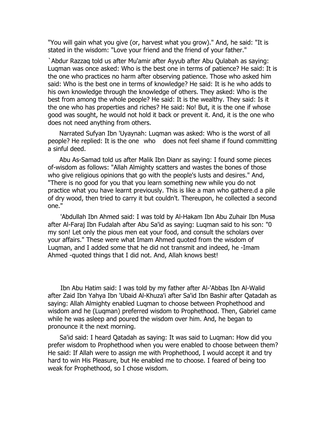"You will gain what you give (or, harvest what you grow)." And, he said: "It is stated in the wisdom: "Love your friend and the friend of your father."

`Abdur Razzaq told us after Mu'amir after Ayyub after Abu Qulabah as saying: Luqman was once asked: Who is the best one in terms of patience? He said: It is the one who practices no harm after observing patience. Those who asked him said: Who is the best one in terms of knowledge? He said: It is he who adds to his own knowledge through the knowledge of others. They asked: Who is the best from among the whole people? He said: It is the wealthy. They said: Is it the one who has properties and riches? He said: No! But, it is the one if whose good was sought, he would not hold it back or prevent it. And, it is the one who does not need anything from others.

Narrated Sufyan Ibn 'Uyaynah: Luqman was asked: Who is the worst of all people? He replied: It is the one who does not feel shame if found committing a sinful deed.

Abu As-Samad told us after Malik Ibn Dianr as saying: I found some pieces of-wisdom as follows: "Allah Almighty scatters and wastes the bones of those who give religious opinions that go with the people's lusts and desires." And, "There is no good for you that you learn something new while you do not practice what you have learnt previously. This is like a man who gathere.d a pile of dry wood, then tried to carry it but couldn't. Thereupon, he collected a second one."

'Abdullah Ibn Ahmed said: I was told by Al-Hakam Ibn Abu Zuhair Ibn Musa after Al-Faraj Ibn Fudalah after Abu Sa'id as saying: Luqman said to his son: "0 my son! Let only the pious men eat your food, and consult the scholars over your affairs." These were what Imam Ahmed quoted from the wisdom of Luqman, and I added some that he did not transmit and indeed, he -Imam Ahmed -quoted things that I did not. And, Allah knows best!

Ibn Abu Hatim said: I was told by my father after Al-'Abbas Ibn Al-Walid after Zaid Ibn Yahya Ibn 'Ubaid Al-Khuza'i after Sa'id Ibn Bashir after Qatadah as saying: Allah Almighty enabled Luqman to choose between Prophethood and wisdom and he (Luqman) preferred wisdom to Prophethood. Then, Gabriel came while he was asleep and poured the wisdom over him. And, he began to pronounce it the next morning.

Sa'id said: I heard Qatadah as saying: It was said to Luqman: How did you prefer wisdom to Prophethood when you were enabled to choose between them? He said: If Allah were to assign me with Prophethood, I would accept it and try hard to win His Pleasure, but He enabled me to choose. I feared of being too weak for Prophethood, so I chose wisdom.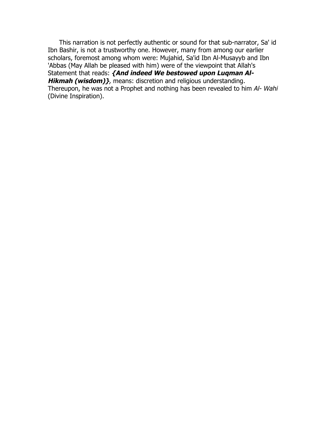This narration is not perfectly authentic or sound for that sub-narrator, Sa' id Ibn Bashir, is not a trustworthy one. However, many from among our earlier scholars, foremost among whom were: Mujahid, Sa'id Ibn Al-Musayyb and Ibn 'Abbas (May Allah be pleased with him) were of the viewpoint that Allah's Statement that reads: {And indeed We bestowed upon Luqman Al-**Hikmah (wisdom)}**, means: discretion and religious understanding. Thereupon, he was not a Prophet and nothing has been revealed to him Al- Wahi (Divine Inspiration).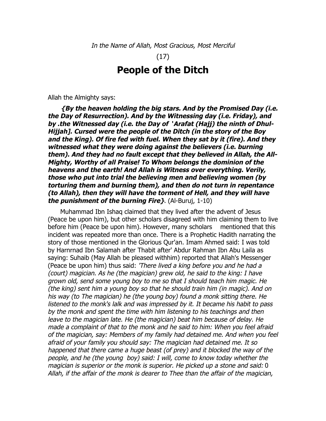(17)

**People of the Ditch**

Allah the Almighty says:

**{By the heaven holding the big stars. And by the Promised Day (i.e. the Day of Resurrection). And by the Witnessing day (i.e. Friday), and by .the Witnessed day (i.e. the Day of 'Arafat (Hajj) the ninth of Dhul-Hijjah]. Cursed were the people of the Ditch (in the story of the Boy and the King). Of fire fed with fuel. When they sat by it (fire). And they witnessed what they were doing against the believers (i.e. burning them). And they had no fault except that they believed in Allah, the All-Mighty, Worthy of all Praise! To Whom belongs the dominion of the heavens and the earth! And Allah is Witness over everything. Verily, those who put into trial the believing men and believing women (by torturing them and burning them), and then do not turn in repentance (to Allah), then they will have the torment of Hell, and they will have the punishment of the burning Fire}**. (Al-Buruj, 1-10)

Muhammad Ibn Ishaq claimed that they lived after the advent of Jesus (Peace be upon him), but other scholars disagreed with him claiming them to live before him (Peace be upon him). However, many scholars mentioned that this incident was repeated more than once. There is a Prophetic Hadith narrating the story of those mentioned in the Glorious Qur'an. Imam Ahmed said: I was told by Harnrnad Ibn Salamah after Thabit after' Abdur Rahman Ibn Abu Laila as saying: Suhaib (May Allah be pleased withhim) reported that Allah's Messenger (Peace be upon him) thus said: 'There lived a king before you and he had a (court) magician. As he (the magician) grew old, he said to the king: I have grown old, send some young boy to me so that I should teach him magic. He (the king) sent him a young boy so that he should train him (in magic). And on his way (to The magician) he (the young boy) found a monk sitting there. He listened to the monk's lalk and was impressed by it. It became his habit to pass by the monk and spent the time with him listening to his teachings and then leave to the magician late. He (the magician) beat him because of delay. He made a complaint of that to the monk and he said to him: When you feel afraid of the magician, say: Members of my family had detained me. And when you feel afraid of your family you should say: The magician had detained me. It so happened that there came a huge beast (of prey) and it blocked the way of the people, and he (the young boy) said: I will, come to know today whether the magician is superior or the monk is superior. He picked up a stone and said: 0 Allah, if the affair of the monk is dearer to Thee than the affair of the magician,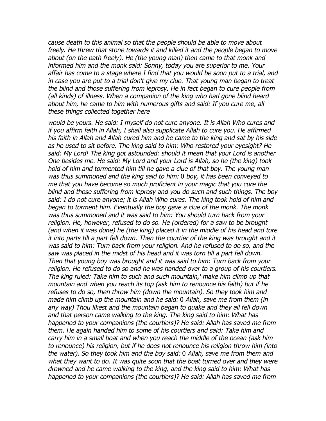cause death to this animal so that the people should be able to move about freely. He threw that stone towards it and killed it and the people began to move about (on the path freely). He (the young man) then came to that monk and informed him and the monk said: Sonny, today you are superior to me. Your affair has come to a stage where I find that you would be soon put to a trial, and in case you are put to a trial don't give my clue. That young man began to treat the blind and those suffering from leprosy. He in fact began to cure people from (all kinds) of illness. When a companion of the king who had gone blind heard about him, he came to him with numerous gifts and said: If you cure me, all these things collected together here

would be yours. He said: I myself do not cure anyone. It is Allah Who cures and if you affirm faith in Allah, I shall also supplicate Allah to cure you. He affirmed his faith in Allah and Allah cured him and he came to the king and sat by his side as he used to sit before. The king said to him: Who restored your eyesight? He said: My Lord! The king got astounded: should it mean that your Lord is another One besides me. He said: My Lord and your Lord is Allah, so he (the king) took hold of him and tormented him till he gave a clue of that boy. The young man was thus summoned and the king said to him: 0 boy, it has been conveyed to me that you have become so much proficient in your magic that you cure the blind and those suffering from leprosy and you do such and such things. The boy said: I do not cure anyone; it is Allah Who cures. The king took hold of him and began to torment him. Eventually the boy gave a clue of the monk. The monk was thus summoned and it was said to him: You should turn back from your religion. He, however, refused to do so. He (ordered) for a saw to be brought (and when it was done) he (the king) placed it in the middle of his head and tore it into parts till a part fell down. Then the courtier of the king was brought and it was said to him: Turn back from your religion. And he refused to do so, and the saw was placed in the midst of his head and it was torn till a part fell down. Then that young boy was brought and it was said to him: Turn back from your religion. He refused to do so and he was handed over to a group of his courtiers. The king ruled: Take him to such and such mountain,' make him climb up that mountain and when you reach its top (ask him to renounce his faith) but if he refuses to do so, then throw him (down the mountain). So they took him and made him climb up the mountain and he said: 0 Allah, save me from them (in any way) Thou likest and the mountain began to quake and they all fell down and that person came walking to the king. The king said to him: What has happened to your companions (the courtiers)? He said: Allah has saved me from them. He again handed him to some of his courtiers and said: Take him and carry him in a small boat and when you reach the middle of the ocean (ask him to renounce) his religion, but if he does not renounce his religion throw him (into the water). So they took him and the boy said: 0 Allah, save me from them and what they want to do. It was quite soon that the boat turned over and they were drowned and he came walking to the king, and the king said to him: What has happened to your companions (the courtiers)? He said: Allah has saved me from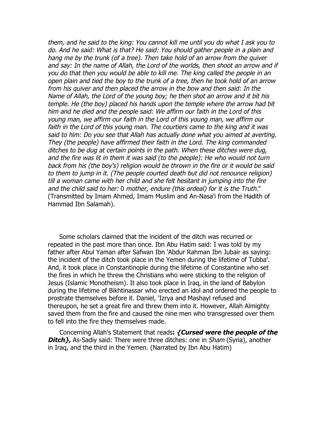them, and he said to the king: You cannot kill me until you do what I ask you to do. And he said: What is that? He said: You should gather people in a plain and hang me by the trunk (of a tree). Then take hold of an arrow from the quiver and say: In the name of Allah, the Lord of the worlds, then shoot an arrow and if you do that then you would be able to kill me. The king called the people in an open plain and tied the boy to the trunk of a tree, then he took hold of an arrow from his quiver and then placed the arrow in the bow and then said: In the Name of Allah, the Lord of the young boy; he then shot an arrow and it bit his temple. He (the boy) placed his hands upon the temple where the arrow had bit him and he died and the people said: We affirm our faith in the Lord of this young man, we affirm our faith in the Lord of this young man, we affirm our faith in the Lord of this young man. The courtiers came to the king and it was said to him: Do you see that Allah has actually done what you aimed at averting. They (the people) have affirmed their faith in the Lord. The king commanded ditches to be dug at certain points in the path. When these ditches were dug, and the fire was lit in them it was said (to the people): He who would not turn back from his (the boy's) religion would be thrown in the fire or it would be said to them to jump in it. (The people courted death but did not renounce religion) till a woman came with her child and she felt hesitant in jumping into the fire and the child said to her: 0 mother, endure (this ordeal) for it is the Truth." (Transmitted by Imam Ahmed, Imam Muslim and An-Nasa'i from the Hadith of Hammad Ibn Salamah).

Some scholars claimed that the incident of the ditch was recurred or repeated in the past more than once. Ibn Abu Hatim said: I was told by my father after Abul Yaman after Safwan Ibn 'Abdur Rahman Ibn Jubair as saying: the incident of the ditch took place in the Yemen during the lifetime of Tubba'. And, it took place in Constantinople during the lifetime of Constantine who set the fires in which he threw the Christians who were sticking to the religion of Jesus (Islamic Monotheism). It also took place in Iraq, in the land of Babylon during the lifetime of Bikhtinassar who erected an idol and ordered the people to prostrate themselves before it. Daniel, 'Izrya and Mashayl refused and thereupon, he set a great fire and threw them into it. However, Allah Almighty saved them from the fire and caused the nine men who transgressed over them to fell into the fire they themselves made.

Concerning Allah's Statement that reads**: {Cursed were the people of the Ditch},** As-Sadiy said: There were three ditches: one in Sham (Syria), another in Iraq, and the third in the Yemen. (Narrated by Ibn Abu Hatim)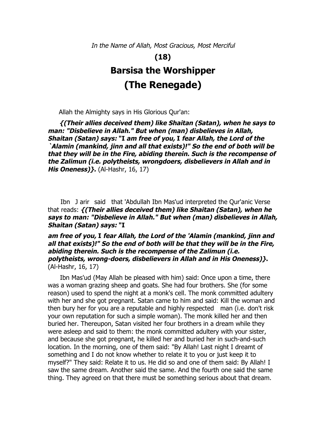In the Name of Allah, Most Gracious, Most Merciful

# **(18) Barsisa the Worshipper (The Renegade)**

Allah the Almighty says in His Glorious Qur'an:

**{(Their allies deceived them) like Shaitan (Satan), when he says to man: "Disbelieve in Allah." But when (man) disbelieves in Allah, Shaitan (Satan) says: "I am free of you, I fear Allah, the Lord of the `Alamin (mankind, jinn and all that exists)!" So the end of both will be that they will be in the Fire, abiding therein. Such is the recompense of the Zalimun (i.e. polytheists, wrongdoers, disbelievers in Allah and in His Oneness)}.** (Al-Hashr, 16, 17)

Ibn J arir said that 'Abdullah Ibn Mas'ud interpreted the Qur'anic Verse that reads: **{(Their allies deceived them) like Shaitan (Satan), when he says to man: "Disbelieve in Allah." But when (man) disbelieves in Allah, Shaitan (Satan) says: "I**

#### **am free of you, I fear Allah, the Lord of the 'Alamin (mankind, jinn and all that exists)!" So the end of both will be that they will be in the Fire, abiding therein. Such is the recompense of the Zalimun (i.e. polytheists, wrong-doers, disbelievers in Allah and in His Oneness)}.** (Al-Hashr, 16, 17)

Ibn Mas'ud (May Allah be pleased with him) said: Once upon a time, there was a woman grazing sheep and goats. She had four brothers. She (for some reason) used to spend the night at a monk's cell. The monk committed adultery with her and she got pregnant. Satan came to him and said: Kill the woman and then bury her for you are a reputable and highly respected man (i.e. don't risk your own reputation for such a simple woman). The monk killed her and then buried her. Thereupon, Satan visited her four brothers in a dream while they were asleep and said to them: the monk committed adultery with your sister, and because she got pregnant, he killed her and buried her in such-and-such location. In the morning, one of them said: "By Allah! Last night I dreamt of something and I do not know whether to relate it to you or just keep it to myself?" They said: Relate it to us. He did so and one of them said: By Allah! I saw the same dream. Another said the same. And the fourth one said the same thing. They agreed on that there must be something serious about that dream.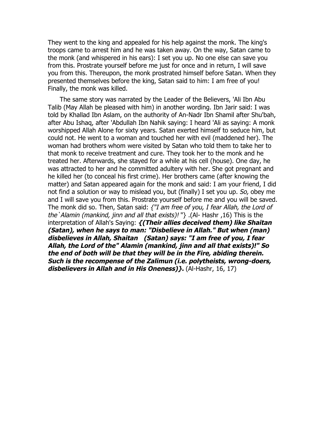They went to the king and appealed for his help against the monk. The king's troops came to arrest him and he was taken away. On the way, Satan came to the monk (and whispered in his ears): I set you up. No one else can save you from this. Prostrate yourself before me just for once and in return, I will save you from this. Thereupon, the monk prostrated himself before Satan. When they presented themselves before the king, Satan said to him: I am free of you! Finally, the monk was killed.

The same story was narrated by the Leader of the Believers, 'Ali Ibn Abu Talib (May Allah be pleased with him) in another wording. Ibn Jarir said: I was told by Khallad Ibn Aslam, on the authority of An-Nadr Ibn Shamil after Shu'bah, after Abu Ishaq, after 'Abdullah Ibn Nahik saying: I heard 'Ali as saying: A monk worshipped Allah Alone for sixty years. Satan exerted himself to seduce him, but could not. He went to a woman and touched her with evil (maddened her). The woman had brothers whom were visited by Satan who told them to take her to that monk to receive treatment and cure. They took her to the monk and he treated her. Afterwards, she stayed for a while at his cell (house). One day, he was attracted to her and he committed adultery with her. She got pregnant and he killed her (to conceal his first crime). Her brothers came (after knowing the matter) and Satan appeared again for the monk and said: I am your friend, I did not find a solution or way to mislead you, but (finally) I set you up. So, obey me and I will save you from this. Prostrate yourself before me and you will be saved. The monk did so. Then, Satan said:  $\frac{f''I}{I}$  am free of you, I fear Allah, the Lord of the`Alamin (mankind, jinn and all that exists)! "} .(Al- Hashr ,16) This is the interpretation of Allah's Saying: **{(Their allies deceived them) like Shaitan (Satan), when he says to man: "Disbelieve in Allah." But when (man) disbelieves in Allah, Shaitan (Satan) says: "I am free of you, I fear Allah, the Lord of the" Alamin (mankind, jinn and all that exists)!" So the end of both will be that they will be in the Fire, abiding therein. Such is the recompense of the Zalimun (i.e. polytheists, wrong-doers, disbelievers in Allah and in His Oneness)}.** (Al-Hashr, 16, 17)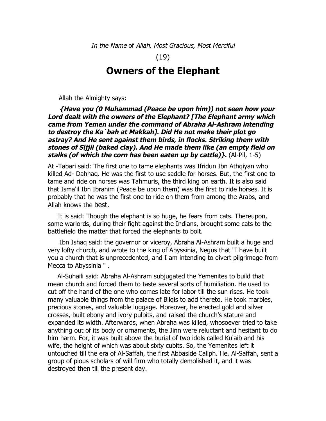In the Name of Allah, Most Gracious, Most Merciful

(19)

**Owners of the Elephant**

Allah the Almighty says:

**{Have you (0 Muhammad (Peace be upon him)) not seen how your Lord dealt with the owners of the Elephant? [The Elephant army which came from Yemen under the command of Abraha Al-Ashram intending to destroy the Ka`bah at Makkah]. Did He not make their plot go astray? And He sent against them birds, in flocks. Striking them with stones of Sijjil (baked clay). And He made them like (an empty field on stalks (of which the corn has been eaten up by cattle)}.** (Al-Pil, 1-5)

At -Tabari said: The first one to tame elephants was Ifridun Ibn Athqiyan who killed Ad- Dahhaq. He was the first to use saddle for horses. But, the first one to tame and ride on horses was Tahmuris, the third king on earth. It is also said that Isma'il Ibn Ibrahim (Peace be upon them) was the first to ride horses. It is probably that he was the first one to ride on them from among the Arabs, and Allah knows the best.

It is said: Though the elephant is so huge, he fears from cats. Thereupon, some warlords, during their fight against the Indians, brought some cats to the battlefield the matter that forced the elephants to bolt.

Ibn Ishaq said: the governor or viceroy, Abraha Al-Ashram built a huge and very lofty churcb, and wrote to the king of Abyssinia, Negus that "I have built you a church that is unprecedented, and I am intending to divert pilgrimage from Mecca to Abyssinia " .

Al-Suhaili said: Abraha Al-Ashram subjugated the Yemenites to build that mean church and forced them to taste several sorts of humiliation. He used to cut off the hand of the one who comes late for labor till the sun rises. He took many valuable things from the palace of Bilqis to add thereto. He took marbles, precious stones, and valuable luggage. Moreover, he erected gold and silver crosses, built ebony and ivory pulpits, and raised the church's stature and expanded its width. Afterwards, when Abraha was killed, whosoever tried to take anything out of its body or ornaments, the Jinn were reluctant and hesitant to do him harm. For, it was built above the burial of two idols called Ku'aib and his wife, the height of which was about sixty cubits. So, the Yemenites left it untouched till the era of Al-Saffah, the first Abbaside Caliph. He, Al-Saffah, sent a group of pious scholars of will firm who totally demolished it, and it was destroyed then till the present day.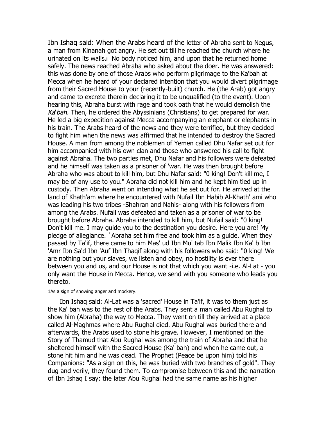Ibn Ishaq said: When the Arabs heard of the letter of Abraha sent to Negus, a man from Kinanah got angry. He set out till he reached the church where he urinated on its walls.**l** No body noticed him, and upon that he returned home safely. The news reached Abraha who asked about the doer. He was answered: this was done by one of those Arabs who perform pilgrimage to the Ka'bah at Mecca when he heard of your declared intention that you would divert pilgrimage from their Sacred House to your (recently-built) church. He (the Arab) got angry and came to excrete therein declaring it to be unqualified (to the event). Upon hearing this, Abraha burst with rage and took oath that he would demolish the Ka'bah. Then, he ordered the Abyssinians (Christians) to get prepared for war. He led a big expedition against Mecca accompanying an elephant or elephants in his train. The Arabs heard of the news and they were terrified, but they decided to fight him when the news was affirmed that he intended to destroy the Sacred House. A man from among the noblemen of Yemen called Dhu Nafar set out for him accompanied with his own clan and those who answered his call to fight against Abraha. The two parties met, Dhu Nafar and his followers were defeated and he himself was taken as a prisoner of 'war. He was then brought before Abraha who was about to kill him, but Dhu Nafar said: "0 king! Don't kill me, I may be of any use to you." Abraha did not kill him and he kept him tied up in custody. Then Abraha went on intending what he set out for. He arrived at the land of Khath'am where he encountered with Nufail Ibn Habib Al-Khath' ami who was leading his two tribes -Shahran and Nahis- along with his followers from among the Arabs. Nufail was defeated and taken as a prisoner of war to be brought before Abraha. Abraha intended to kill him, but Nufail said: "0 king! Don't kill me. I may guide you to the destination you desire. Here you are! My pledge of allegiance. `Abraha set him free and took him as a guide. When they passed by Ta'if, there came to him Mas' ud Ibn Mu' tab Ibn Malik Ibn Ka' b Ibn 'Amr Ibn Sa'd Ibn 'Auf Ibn Thaqif along with his followers who said: "0 king! We are nothing but your slaves, we listen and obey, no hostility is ever there between you and us, and our House is not that which you want -i.e. Al-Lat - you only want the House in Mecca. Hence, we send with you someone who leads you thereto.

#### 1As a sign of showing anger and mockery.

Ibn Ishaq said: Al-Lat was a 'sacred' House in Ta'if, it was to them just as the Ka' bah was to the rest of the Arabs. They sent a man called Abu Rughal to show him (Abraha) the way to Mecca. They went on till they arrived at a place called Al-Maghmas where Abu Rughal died. Abu Rughal was buried there and afterwards, the Arabs used to stone his grave. However, I mentioned on the Story of Thamud that Abu Rughal was among the train of Abraha and that he sheltered himself with the Sacred House (Ka' bah) and when he came out, a stone hit him and he was dead. The Prophet (Peace be upon him) told his Companions: "As a sign on this, he was buried with two branches of gold". They dug and verily, they found them. To compromise between this and the narration of Ibn Ishaq I say: the later Abu Rughal had the same name as his higher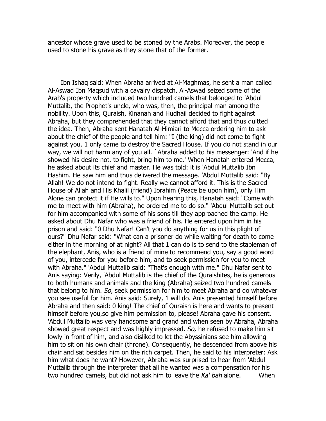ancestor whose grave used to be stoned by the Arabs. Moreover, the people used to stone his grave as they stone that of the former.

Ibn Ishaq said: When Abraha arrived at Al-Maghmas, he sent a man called Al-Aswad Ibn Maqsud with a cavalry dispatch. Al-Aswad seized some of the Arab's property which included two hundred camels that belonged to 'Abdul Muttalib, the Prophet's uncle, who was, then, the principal man among the nobility. Upon this, Quraish, Kinanah and Hudhail decided to fight against Abraha, but they comprehended that they cannot afford that and thus quitted the idea. Then, Abraha sent Hanatah Al-Himiari to Mecca ordering him to ask about the chief of the people and tell him: "I (the king) did not come to fight against you, 1 only came to destroy the Sacred House. If you do not stand in our way, we will not harm any of you all. `Abraha added to his messenger: 'And if he showed his desire not. to fight, bring him to me.' When Hanatah entered Mecca, he asked about its chief and master. He was told: it is 'Abdul Muttalib Ibn Hashim. He saw him and thus delivered the message. 'Abdul Muttalib said: "By Allah! We do not intend to fight. Really we cannot afford it. This is the Sacred House of Allah and His Khalil (friend) Ibrahim (Peace be upon him), only Him Alone can protect it if He wills to." Upon hearing this, Hanatah said: "Come with me to meet with him (Abraha), he ordered me to do so." 'Abdul Muttalib set out for him accompanied with some of his sons till they approached the camp. He asked about Dhu Nafar who was a friend of his. He entered upon him in his prison and said: "0 Dhu Nafar! Can't you do anything for us in this plight of ours?" Dhu Nafar said: "What can a prisoner do while waiting for death to come either in the morning of at night? All that 1 can do is to send to the stableman of the elephant, Anis, who is a friend of mine to recommend you, say a good word of you, intercede for you before him, and to seek permission for you to meet with Abraha." 'Abdul Muttalib said: "That's enough with me." Dhu Nafar sent to Anis saying: Verily, 'Abdul Muttalib is the chief of the Quraishites, he is generous to both humans and animals and the king (Abraha) seized two hundred camels that belong to him. So, seek permission for him to meet Abraha and do whatever you see useful for him. Anis said: Surely, 1 will do. Anis presented himself before Abraha and then said: 0 king! The chief of Quraish is here and wants to present himself before you,so give him permission to, please! Abraha gave his consent. 'Abdul Muttalib was very handsome and grand and when seen by Abraha, Abraha showed great respect and was highly impressed. So, he refused to make him sit lowly in front of him, and also disliked to let the Abyssinians see him allowing him to sit on his own chair (throne). Consequently, he descended from above his chair and sat besides him on the rich carpet. Then, he said to his interpreter: Ask him what does he want? However, Abraha was surprised to hear from 'Abdul Muttalib through the interpreter that all he wanted was a compensation for his two hundred camels, but did not ask him to leave the Ka' bah alone. When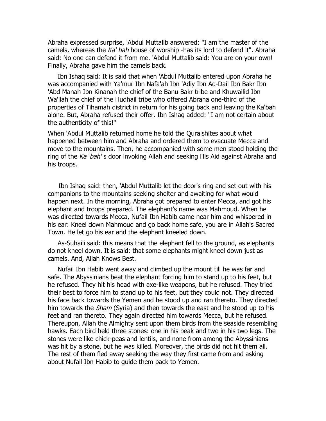Abraha expressed surprise, 'Abdul Muttalib answered: "I am the master of the camels, whereas the Ka' bah house of worship -has its lord to defend it". Abraha said: No one can defend it from me. 'Abdul Muttalib said: You are on your own! Finally, Abraha gave him the camels back.

Ibn Ishaq said: It is said that when 'Abdul Muttalib entered upon Abraha he was accompanied with Ya'mur Ibn Nafa'ah Ibn 'Adiy Ibn Ad-Dail Ibn Bakr Ibn 'Abd Manah Ibn Kinanah the chief of the Banu Bakr tribe and Khuwailid Ibn Wa'ilah the chief of the Hudhail tribe who offered Abraha one-third of the properties of Tihamah district in return for his going back and leaving the Ka'bah alone. But, Abraha refused their offer. Ibn Ishaq added: "I am not certain about the authenticity of this!"

When 'Abdul Muttalib returned home he told the Quraishites about what happened between him and Abraha and ordered them to evacuate Mecca and move to the mountains. Then, he accompanied with some men stood holding the ring of the Ka 'bah' s door invoking Allah and seeking His Aid against Abraha and his troops.

Ibn Ishaq said: then, 'Abdul Muttalib let the door's ring and set out with his companions to the mountains seeking shelter and awaiting for what would happen next. In the morning, Abraha got prepared to enter Mecca, and got his elephant and troops prepared. The elephant's name was Mahmoud. When he was directed towards Mecca, Nufail Ibn Habib came near him and whispered in his ear: Kneel down Mahmoud and go back home safe, you are in Allah's Sacred Town. He let go his ear and the elephant kneeled down.

As-Suhaili said: this means that the elephant fell to the ground, as elephants do not kneel down. It is said: that some elephants might kneel down just as camels. And, Allah Knows Best.

Nufail Ibn Habib went away and climbed up the mount till he was far and safe. The Abyssinians beat the elephant forcing him to stand up to his feet, but he refused. They hit his head with axe-like weapons, but he refused. They tried their best to force him to stand up to his feet, but they could not. They directed his face back towards the Yemen and he stood up and ran thereto. They directed him towards the Sham (Syria) and then towards the east and he stood up to his feet and ran thereto. They again directed him towards Mecca, but he refused. Thereupon, Allah the Almighty sent upon them birds from the seaside resembling hawks. Each bird held three stones: one in his beak and two in his two legs. The stones were like chick-peas and lentils, and none from among the Abyssinians was hit by a stone, but he was killed. Moreover, the birds did not hit them all. The rest of them fled away seeking the way they first came from and asking about Nufail Ibn Habib to guide them back to Yemen.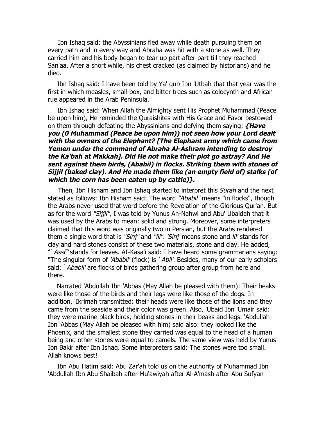Ibn Ishaq said: the Abyssinians fled away while death pursuing them on every path and in every way and Abraha was hit with a stone as well. They carried him and his body began to tear up part after part till they reached San'aa. After a short while, his chest cracked (as claimed by historians) and he died.

Ibn Ishaq said: I have been told by Ya' qub Ibn 'Utbah that that year was the first in which measles, small-box, and bitter trees such as colocynth and African rue appeared in the Arab Peninsula.

Ibn Ishaq said: When Allah the Almighty sent His Prophet Muhammad (Peace be upon him), He reminded the Quraishites with His Grace and Favor bestowed on them through defeating the Abyssinians and defying them saying: **{Have you (0 Muhammad (Peace be upon him)) not seen how your Lord dealt with the owners of the Elephant? [The Elephant army which came from Yemen under the command of Abraha Al-Ashram intending to destroy the Ka'bah at Makkah]. Did He not make their plot go astray? And He sent against them birds, (Ababil) in flocks. Striking them with stones of Sijjil (baked clay). And He made them like (an empty field of) stalks (of which the corn has been eaten up by cattle)}.**

Then, Ibn Hisham and Ibn Ishaq started to interpret this Surah and the next stated as follows: Ibn Hisham said: The word "Ababil" means "in flocks", though the Arabs never used that word before the Revelation of the Glorious Qur'an. But as for the word "Sijjil", I was told by Yunus An-Nahwi and Abu' Ubaidah that it was used by the Arabs to mean: solid and strong. Moreover, some interpreters claimed that this word was originally two in Persian, but the Arabs rendered them a single word that is "Sinj" and "lil". 'Sinj' means stone and lil' stands for clay and hard stones consist of these two materials, stone and clay. He added, ". Assf<sup>"</sup> stands for leaves. AI-Kasa'i said: I have heard some grammarians saving: "The singular form of 'Ababil' (flock) is `Abil'. Besides, many of our early scholars said: `Ababil' are flocks of birds gathering group after group from here and there.

Narrated 'Abdullah Ibn 'Abbas (May Allah be pleased with them): Their beaks were like those of the birds and their legs were like those of the dogs. In addition, 'Ikrimah transmitted: their heads were like those of the lions and they came from the seaside and their color was green. Also, 'Ubaid Ibn 'Umair said: they were marine black birds, holding stones in their beaks and legs. 'Abdullah Ibn 'Abbas (May Allah be pleased with him) said also: they looked like the Phoenix, and the smallest stone they carried was equal to the head of a human being and other stones were equal to camels. The same view was held by Yunus Ibn Bakir after Ibn Ishaq. Some interpreters said: The stones were too small. Allah knows best!

Ibn Abu Hatim said: Abu Zar'ah told us on the authority of Muhammad Ibn 'Abdullah Ibn Abu Shaibah after Mu'awiyah after Al-A'mash after Abu Sufyan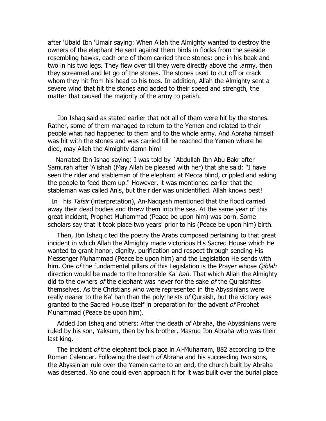after 'Ubaid Ibn 'Umair saying: When Allah the Almighty wanted to destroy the owners of the elephant He sent against them birds in flocks from the seaside resembling hawks, each one of them carried three stones: one in his beak and two in his two legs. They flew over till they were directly above the .army, then they screamed and let go of the stones. The stones used to cut off or crack whom they hit from his head to his toes. In addition, Allah the Almighty sent a severe wind that hit the stones and added to their speed and strength, the matter that caused the majority of the army to perish.

Ibn Ishaq said as stated earlier that not all of them were hit by the stones. Rather, some of them managed to return to the Yemen and related to their people what had happened to them and to the whole army. And Abraha himself was hit with the stones and was carried till he reached the Yemen where he died, may Allah the Almighty damn him!

Narrated Ibn Ishaq saying: I was told by `Abdullah Ibn Abu Bakr after Samurah after 'A'ishah (May Allah be pleased with her) that she said: "I have seen the rider and stableman of the elephant at Mecca blind, crippled and asking the people to feed them up." However, it was mentioned earlier that the stableman was called Anis, but the rider was unidentified. Allah knows best!

In his Tafsir (interpretation), An-Naqqash mentioned that the flood carried away their dead bodies and threw them into the sea. At the same year of this great incident, Prophet Muhammad (Peace be upon him) was born. Some scholars say that it took place two years' prior to his (Peace be upon him) birth.

Then, Ibn Ishaq cited the poetry the Arabs composed pertaining to that great incident in which Allah the Almighty made victorious His Sacred House which He wanted to grant honor, dignity, purification and respect through sending His Messenger Muhammad (Peace be upon him) and the Legislation He sends with him. One of the fundamental pillars of this Legislation is the Prayer whose Oiblah direction would be made to the honorable Ka' *bah.* That which Allah the Almighty did to the owners of the elephant was never for the sake of the Quraishites themselves. As the Christians who were represented in the Abyssinians were really nearer to the Ka' bah than the polytheists of Quraish, but the victory was granted to the Sacred House itself in preparation for the advent of Prophet Muhammad (Peace be upon him).

Added Ibn Ishaq and others: After the death of Abraha, the Abyssinians were ruled by his son, Yaksum, then by his brother, Masruq Ibn Abraha who was their last king.

The incident of the elephant took place in Al-Muharram, 882 according to the Roman Calendar. Following the death of Abraha and his succeeding two sons, the Abyssinian rule over the Yemen came to an end, the church built by Abraha was deserted. No one could even approach it for it was built over the burial place